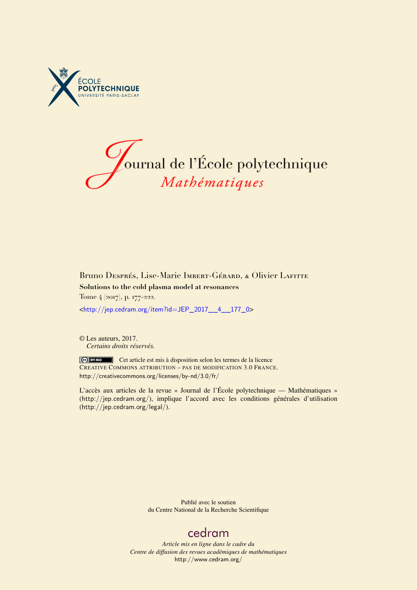



## Bruno Després, Lise-Marie Imbert-Gérard, & Olivier Lafitte **Solutions to the cold plasma model at resonances** Tome 4 (2017), p. 177-222.

<[http://jep.cedram.org/item?id=JEP\\_2017\\_\\_4\\_\\_177\\_0](http://jep.cedram.org/item?id=JEP_2017__4__177_0)>

© Les auteurs, 2017. *Certains droits réservés.*

Cet article est mis à disposition selon les termes de la licence CREATIVE COMMONS ATTRIBUTION – PAS DE MODIFICATION 3.0 FRANCE. <http://creativecommons.org/licenses/by-nd/3.0/fr/>

L'accès aux articles de la revue « Journal de l'École polytechnique — Mathématiques » (<http://jep.cedram.org/>), implique l'accord avec les conditions générales d'utilisation (<http://jep.cedram.org/legal/>).

> Publié avec le soutien du Centre National de la Recherche Scientifique

## [cedram](http://www.cedram.org/)

*Article mis en ligne dans le cadre du Centre de diffusion des revues académiques de mathématiques* <http://www.cedram.org/>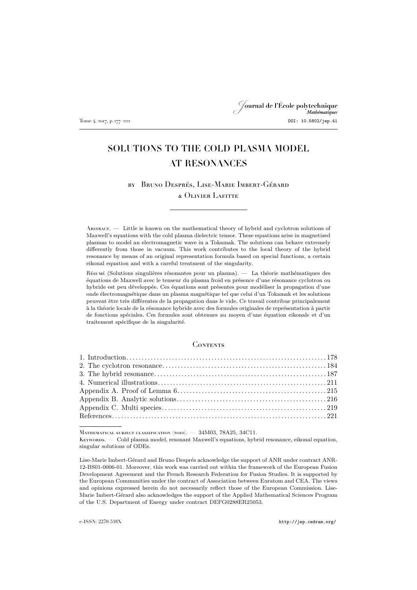## Journal de l'École polytechnique Tome 4, 2017, p. 177–222 DOI: 10.5802/jep.41

# SOLUTIONS TO THE COLD PLASMA MODEL AT RESONANCES

by Bruno Després, Lise-Marie Imbert-Gérard & Olivier Lafitte

Abstract. — Little is known on the mathematical theory of hybrid and cyclotron solutions of Maxwell's equations with the cold plasma dielectric tensor. These equations arise in magnetized plasmas to model an electromagnetic wave in a Tokamak. The solutions can behave extremely differently from those in vacuum. This work contributes to the local theory of the hybrid resonance by means of an original representation formula based on special functions, a certain eikonal equation and with a careful treatment of the singularity.

Résumé (Solutions singulières résonantes pour un plasma). — La théorie mathématiques des équations de Maxwell avec le tenseur du plasma froid en présence d'une résonance cyclotron ou hybride est peu développée. Ces équations sont présentes pour modéliser la propagation d'une onde électromagnétique dans un plasma magnétique tel que celui d'un Tokamak et les solutions peuvent être très différentes de la propagation dans le vide. Ce travail contribue principalement à la théorie locale de la résonance hybride avec des formules originales de représentation à partir de fonctions spéciales. Ces formules sont obtenues au moyen d'une équation eikonale et d'un traitement spécifique de la singularité.

## **CONTENTS**

Mathematical subject classification (2010). — 34M03, 78A25, 34C11.

Keywords. — Cold plasma model, resonant Maxwell's equations, hybrid resonance, eikonal equation, singular solutions of ODEs.

Lise-Marie Imbert-Gérard and Bruno Després acknowledge the support of ANR under contract ANR-12-BS01-0006-01. Moreover, this work was carried out within the framework of the European Fusion Development Agreement and the French Research Federation for Fusion Studies. It is supported by the European Communities under the contract of Association between Euratom and CEA. The views and opinions expressed herein do not necessarily reflect those of the European Commission. Lise-Marie Imbert-Gérard also acknowledges the support of the Applied Mathematical Sciences Program of the U.S. Department of Energy under contract DEFG0288ER25053.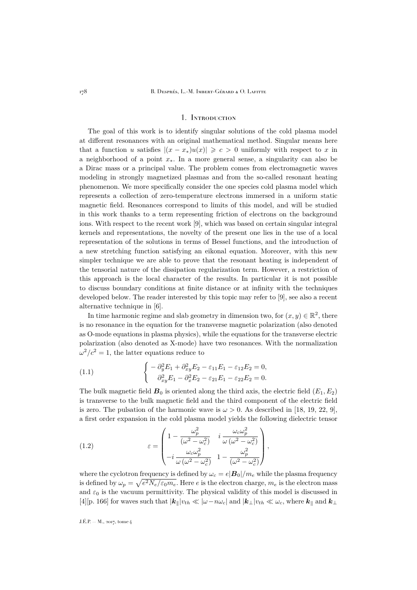## 1. Introduction

<span id="page-2-0"></span>The goal of this work is to identify singular solutions of the cold plasma model at different resonances with an original mathematical method. Singular means here that a function u satisfies  $|(x-x_*)u(x)| \geqslant c > 0$  uniformly with respect to x in a neighborhood of a point  $x_$ . In a more general sense, a singularity can also be a Dirac mass or a principal value. The problem comes from electromagnetic waves modeling in strongly magnetized plasmas and from the so-called resonant heating phenomenon. We more specifically consider the one species cold plasma model which represents a collection of zero-temperature electrons immersed in a uniform static magnetic field. Resonances correspond to limits of this model, and will be studied in this work thanks to a term representing friction of electrons on the background ions. With respect to the recent work [\[9\]](#page-45-1), which was based on certain singular integral kernels and representations, the novelty of the present one lies in the use of a local representation of the solutions in terms of Bessel functions, and the introduction of a new stretching function satisfying an eikonal equation. Moreover, with this new simpler technique we are able to prove that the resonant heating is independent of the tensorial nature of the dissipation regularization term. However, a restriction of this approach is the local character of the results. In particular it is not possible to discuss boundary conditions at finite distance or at infinity with the techniques developed below. The reader interested by this topic may refer to [\[9\]](#page-45-1), see also a recent alternative technique in [\[6\]](#page-45-2).

In time harmonic regime and slab geometry in dimension two, for  $(x, y) \in \mathbb{R}^2$ , there is no resonance in the equation for the transverse magnetic polarization (also denoted as O-mode equations in plasma physics), while the equations for the transverse electric polarization (also denoted as X-mode) have two resonances. With the normalization  $\omega^2/c^2 = 1$ , the latter equations reduce to

<span id="page-2-2"></span>(1.1) 
$$
\begin{cases}\n-\partial_y^2 E_1 + \partial_{xy}^2 E_2 - \varepsilon_{11} E_1 - \varepsilon_{12} E_2 = 0, \\
\partial_{xy}^2 E_1 - \partial_x^2 E_2 - \varepsilon_{21} E_1 - \varepsilon_{22} E_2 = 0.\n\end{cases}
$$

The bulk magnetic field  $B_0$  is oriented along the third axis, the electric field  $(E_1, E_2)$ is transverse to the bulk magnetic field and the third component of the electric field is zero. The pulsation of the harmonic wave is  $\omega > 0$ . As described in [\[18,](#page-45-3) [19,](#page-45-4) [22,](#page-46-0) [9\]](#page-45-1), a first order expansion in the cold plasma model yields the following dielectric tensor

<span id="page-2-1"></span>(1.2) 
$$
\varepsilon = \begin{pmatrix} 1 - \frac{\omega_p^2}{(\omega^2 - \omega_c^2)} & i \frac{\omega_c \omega_p^2}{\omega (\omega^2 - \omega_c^2)} \\ -i \frac{\omega_c \omega_p^2}{\omega (\omega^2 - \omega_c^2)} & 1 - \frac{\omega_p^2}{(\omega^2 - \omega_c^2)} \end{pmatrix},
$$

where the cyclotron frequency is defined by  $\omega_c = e|\mathbf{B}_0|/m_e$  while the plasma frequency is defined by  $\omega_p = \sqrt{e^2 N_e/\varepsilon_0 m_e}$ . Here e is the electron charge,  $m_e$  is the electron mass and  $\varepsilon_0$  is the vacuum permittivity. The physical validity of this model is discussed in [\[4\]](#page-45-5)[p. 166] for waves such that  $|\mathbf{k}_{\parallel}|v_{th} \ll |\omega - n\omega_c|$  and  $|\mathbf{k}_{\perp}|v_{th} \ll \omega_c$ , where  $\mathbf{k}_{\parallel}$  and  $\mathbf{k}_{\perp}$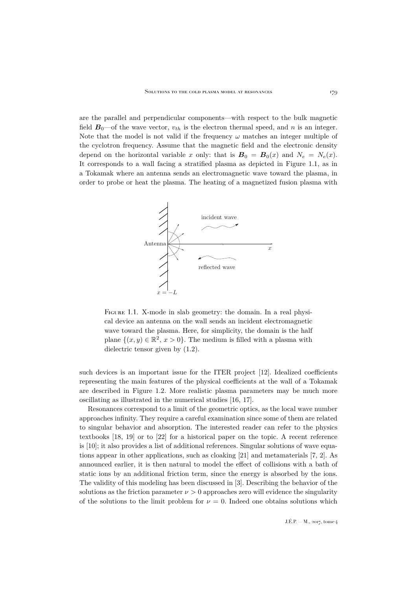are the parallel and perpendicular components—with respect to the bulk magnetic field  $\mathbf{B}_0$ —of the wave vector,  $v_{th}$  is the electron thermal speed, and n is an integer. Note that the model is not valid if the frequency  $\omega$  matches an integer multiple of the cyclotron frequency. Assume that the magnetic field and the electronic density depend on the horizontal variable x only: that is  $B_0 = B_0(x)$  and  $N_e = N_e(x)$ . It corresponds to a wall facing a stratified plasma as depicted in Figure [1.1,](#page-3-0) as in a Tokamak where an antenna sends an electromagnetic wave toward the plasma, in order to probe or heat the plasma. The heating of a magnetized fusion plasma with



<span id="page-3-0"></span>FIGURE 1.1. X-mode in slab geometry: the domain. In a real physical device an antenna on the wall sends an incident electromagnetic wave toward the plasma. Here, for simplicity, the domain is the half plane  $\{(x, y) \in \mathbb{R}^2, x > 0\}$ . The medium is filled with a plasma with dielectric tensor given by [\(1.2\)](#page-2-1).

such devices is an important issue for the ITER project [\[12\]](#page-45-6). Idealized coefficients representing the main features of the physical coefficients at the wall of a Tokamak are described in Figure [1.2.](#page-4-0) More realistic plasma parameters may be much more oscillating as illustrated in the numerical studies [\[16,](#page-45-7) [17\]](#page-45-8).

Resonances correspond to a limit of the geometric optics, as the local wave number approaches infinity. They require a careful examination since some of them are related to singular behavior and absorption. The interested reader can refer to the physics textbooks [\[18,](#page-45-3) [19\]](#page-45-4) or to [\[22\]](#page-46-0) for a historical paper on the topic. A recent reference is [\[10\]](#page-45-9); it also provides a list of additional references. Singular solutions of wave equations appear in other applications, such as cloaking [\[21\]](#page-45-10) and metamaterials [\[7,](#page-45-11) [2\]](#page-45-12). As announced earlier, it is then natural to model the effect of collisions with a bath of static ions by an additional friction term, since the energy is absorbed by the ions. The validity of this modeling has been discussed in [\[3\]](#page-45-13). Describing the behavior of the solutions as the friction parameter  $\nu > 0$  approaches zero will evidence the singularity of the solutions to the limit problem for  $\nu = 0$ . Indeed one obtains solutions which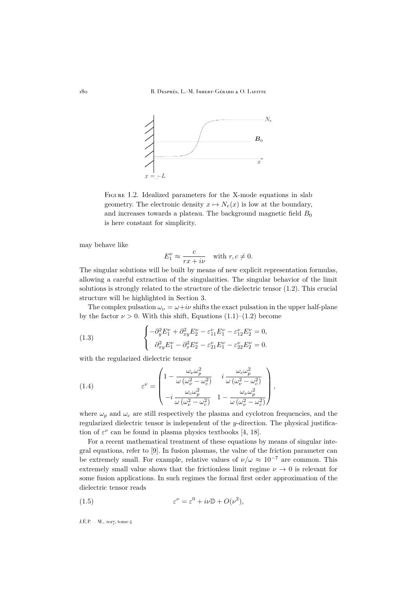

<span id="page-4-0"></span>FIGURE 1.2. Idealized parameters for the X-mode equations in slab geometry. The electronic density  $x \mapsto N_e(x)$  is low at the boundary, and increases towards a plateau. The background magnetic field  $B_0$ is here constant for simplicity.

may behave like

$$
E_1^{\nu} \approx \frac{c}{rx + i\nu} \quad \text{with } r, c \neq 0.
$$

The singular solutions will be built by means of new explicit representation formulas, allowing a careful extraction of the singularities. The singular behavior of the limit solutions is strongly related to the structure of the dielectric tensor [\(1.2\)](#page-2-1). This crucial structure will be highlighted in Section [3.](#page-11-0)

The complex pulsation  $\omega_{\nu} = \omega + i\nu$  shifts the exact pulsation in the upper half-plane by the factor  $\nu > 0$ . With this shift, Equations [\(1.1\)](#page-2-2)–[\(1.2\)](#page-2-1) become

<span id="page-4-1"></span>(1.3) 
$$
\begin{cases} -\partial_y^2 E_1^{\nu} + \partial_{xy}^2 E_2^{\nu} - \varepsilon_{11}^{\nu} E_1^{\nu} - \varepsilon_{12}^{\nu} E_2^{\nu} = 0, \\ \partial_{xy}^2 E_1^{\nu} - \partial_x^2 E_2^{\nu} - \varepsilon_{21}^{\nu} E_1^{\nu} - \varepsilon_{22}^{\nu} E_2^{\nu} = 0. \end{cases}
$$

with the regularized dielectric tensor

<span id="page-4-3"></span>(1.4) 
$$
\varepsilon^{\nu} = \begin{pmatrix} 1 - \frac{\omega_{\nu}\omega_p^2}{\omega(\omega_{\nu}^2 - \omega_c^2)} & i \frac{\omega_c\omega_p^2}{\omega(\omega_{\nu}^2 - \omega_c^2)} \\ -i \frac{\omega_c\omega_p^2}{\omega(\omega_{\nu}^2 - \omega_c^2)} & 1 - \frac{\omega_{\nu}\omega_p^2}{\omega(\omega_{\nu}^2 - \omega_c^2)} \end{pmatrix},
$$

where  $\omega_p$  and  $\omega_c$  are still respectively the plasma and cyclotron frequencies, and the regularized dielectric tensor is independent of the y-direction. The physical justification of  $\varepsilon^{\nu}$  can be found in plasma physics textbooks [\[4,](#page-45-5) [18\]](#page-45-3).

For a recent mathematical treatment of these equations by means of singular integral equations, refer to [\[9\]](#page-45-1). In fusion plasmas, the value of the friction parameter can be extremely small. For example, relative values of  $\nu/\omega \approx 10^{-7}$  are common. This extremely small value shows that the frictionless limit regime  $\nu \to 0$  is relevant for some fusion applications. In such regimes the formal first order approximation of the dielectric tensor reads

<span id="page-4-2"></span>(1.5) 
$$
\varepsilon^{\nu} = \varepsilon^{0} + i\nu \mathbb{D} + O(\nu^{2}),
$$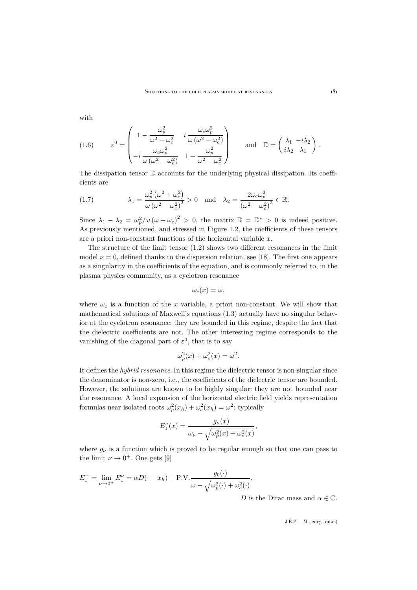with

<span id="page-5-1"></span>(1.6) 
$$
\varepsilon^{0} = \begin{pmatrix} 1 - \frac{\omega_{p}^{2}}{\omega^{2} - \omega_{c}^{2}} & i \frac{\omega_{c} \omega_{p}^{2}}{\omega (\omega^{2} - \omega_{c}^{2})} \\ -i \frac{\omega_{c} \omega_{p}^{2}}{\omega (\omega^{2} - \omega_{c}^{2})} & 1 - \frac{\omega_{p}^{2}}{\omega^{2} - \omega_{c}^{2}} \end{pmatrix} \text{ and } \mathbb{D} = \begin{pmatrix} \lambda_{1} & -i\lambda_{2} \\ i\lambda_{2} & \lambda_{1} \end{pmatrix}.
$$

The dissipation tensor  $\mathbb D$  accounts for the underlying physical dissipation. Its coefficients are

<span id="page-5-0"></span>(1.7) 
$$
\lambda_1 = \frac{\omega_p^2 (\omega^2 + \omega_c^2)}{\omega (\omega^2 - \omega_c^2)^2} > 0 \text{ and } \lambda_2 = \frac{2\omega_c \omega_p^2}{(\omega^2 - \omega_c^2)^2} \in \mathbb{R}.
$$

Since  $\lambda_1 - \lambda_2 = \omega_p^2/\omega (\omega + \omega_c)^2 > 0$ , the matrix  $\mathbb{D} = \mathbb{D}^* > 0$  is indeed positive. As previously mentioned, and stressed in Figure [1.2,](#page-4-0) the coefficients of these tensors are a priori non-constant functions of the horizontal variable  $x$ .

The structure of the limit tensor [\(1.2\)](#page-2-1) shows two different resonances in the limit model  $\nu = 0$ , defined thanks to the dispersion relation, see [\[18\]](#page-45-3). The first one appears as a singularity in the coefficients of the equation, and is commonly referred to, in the plasma physics community, as a cyclotron resonance

$$
\omega_c(x) = \omega,
$$

where  $\omega_c$  is a function of the x variable, a priori non-constant. We will show that mathematical solutions of Maxwell's equations [\(1.3\)](#page-4-1) actually have no singular behavior at the cyclotron resonance: they are bounded in this regime, despite the fact that the dielectric coefficients are not. The other interesting regime corresponds to the vanishing of the diagonal part of  $\varepsilon^0$ , that is to say

$$
\omega_p^2(x) + \omega_c^2(x) = \omega^2.
$$

It defines the *hybrid resonance*. In this regime the dielectric tensor is non-singular since the denominator is non-zero, i.e., the coefficients of the dielectric tensor are bounded. However, the solutions are known to be highly singular: they are not bounded near the resonance. A local expansion of the horizontal electric field yields representation formulas near isolated roots  $\omega_p^2(x_h) + \omega_c^2(x_h) = \omega^2$ : typically

$$
E_1^{\nu}(x) = \frac{g_{\nu}(x)}{\omega_{\nu} - \sqrt{\omega_p^2(x) + \omega_c^2(x)}},
$$

where  $g_{\nu}$  is a function which is proved to be regular enough so that one can pass to the limit  $\nu \to 0^+$ . One gets [\[9\]](#page-45-1)

$$
E_1^+ = \lim_{\nu \to 0^+} E_1^{\nu} = \alpha D(\cdot - x_h) + \text{P.V.} \frac{g_0(\cdot)}{\omega - \sqrt{\omega_p^2(\cdot) + \omega_c^2(\cdot)}},
$$
  
D is the Dirac

 $D$  is the Dirac mass and  $\alpha\in\mathbb{C}.$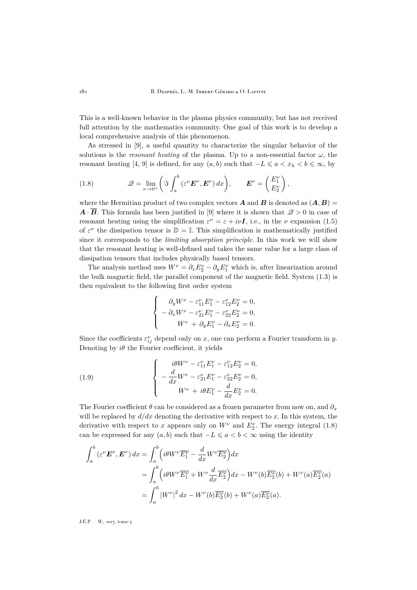This is a well-known behavior in the plasma physics community, but has not received full attention by the mathematics community. One goal of this work is to develop a local comprehensive analysis of this phenomenon.

As stressed in [\[9\]](#page-45-1), a useful quantity to characterize the singular behavior of the solutions is the *resonant heating* of the plasma. Up to a non-essential factor  $\omega$ , the resonant heating [\[4,](#page-45-5) [9\]](#page-45-1) is defined, for any  $(a, b)$  such that  $-L \leq a < x_h < b \leq \infty$ , by

<span id="page-6-0"></span>(1.8) 
$$
\mathscr{Q} = \lim_{\nu \to 0^+} \left( \Im \int_a^b (\varepsilon^{\nu} \boldsymbol{E}^{\nu}, \boldsymbol{E}^{\nu}) dx \right), \qquad \boldsymbol{E}^{\nu} = \begin{pmatrix} E_1^{\nu} \\ E_2^{\nu} \end{pmatrix},
$$

where the Hermitian product of two complex vectors **A** and **B** is denoted as  $(A, B)$  =  $\vec{A} \cdot \vec{B}$ . This formula has been justified in [\[9\]](#page-45-1) where it is shown that  $\mathcal{Q} > 0$  in case of resonant heating using the simplification  $\varepsilon^{\nu} = \varepsilon + i\nu I$ , i.e., in the  $\nu$  expansion [\(1.5\)](#page-4-2) of  $\varepsilon^{\nu}$  the dissipation tensor is  $\mathbb{D} = \mathbb{I}$ . This simplification is mathematically justified since it corresponds to the *limiting absorption principle*. In this work we will show that the resonant heating is well-defined and takes the same value for a large class of dissipation tensors that includes physically based tensors.

The analysis method uses  $W^{\nu} = \partial_x E_2^{\nu} - \partial_y E_1^{\nu}$  which is, after linearization around the bulk magnetic field, the parallel component of the magnetic field. System [\(1.3\)](#page-4-1) is then equivalent to the following first order system

$$
\begin{cases}\n\partial_y W^\nu - \varepsilon_{11}^\nu E_1^\nu - \varepsilon_{12}^\nu E_2^\nu = 0, \\
-\partial_x W^\nu - \varepsilon_{21}^\nu E_1^\nu - \varepsilon_{22}^\nu E_2^\nu = 0, \\
W^\nu + \partial_y E_1^\nu - \partial_x E_2^\nu = 0.\n\end{cases}
$$

Since the coefficients  $\varepsilon_{ij}^{\nu}$  depend only on x, one can perform a Fourier transform in y. Denoting by  $i\theta$  the Fourier coefficient, it yields

<span id="page-6-1"></span>(1.9) 
$$
\begin{cases}\ni\theta W^{\nu} - \varepsilon_{11}^{\nu} E_{1}^{\nu} - \varepsilon_{12}^{\nu} E_{2}^{\nu} = 0, \\
-\frac{d}{dx} W^{\nu} - \varepsilon_{21}^{\nu} E_{1}^{\nu} - \varepsilon_{22}^{\nu} E_{2}^{\nu} = 0, \\
W^{\nu} + i\theta E_{1}^{\nu} - \frac{d}{dx} E_{2}^{\nu} = 0.\n\end{cases}
$$

The Fourier coefficient  $\theta$  can be considered as a frozen parameter from now on, and  $\partial_x$ will be replaced by  $d/dx$  denoting the derivative with respect to x. In this system, the derivative with respect to x appears only on  $W^{\nu}$  and  $E^{\nu}_{2}$ . The energy integral [\(1.8\)](#page-6-0) can be expressed for any  $(a, b)$  such that  $-L \leq a < b < \infty$  using the identity

$$
\int_{a}^{b} \left(\varepsilon^{\nu} \mathbf{E}^{\nu}, \mathbf{E}^{\nu}\right) dx = \int_{a}^{b} \left(i\theta W^{\nu} \overline{E_{1}^{\nu}} - \frac{d}{dx} W^{\nu} \overline{E_{2}^{\nu}}\right) dx
$$
  
\n
$$
= \int_{a}^{b} \left(i\theta W^{\nu} \overline{E_{1}^{\nu}} + W^{\nu} \frac{d}{dx} \overline{E_{2}^{\nu}}\right) dx - W^{\nu}(b) \overline{E_{2}^{\nu}}(b) + W^{\nu}(a) \overline{E_{2}^{\nu}}(a)
$$
  
\n
$$
= \int_{a}^{b} |W^{\nu}|^{2} dx - W^{\nu}(b) \overline{E_{2}^{\nu}}(b) + W^{\nu}(a) \overline{E_{2}^{\nu}}(a).
$$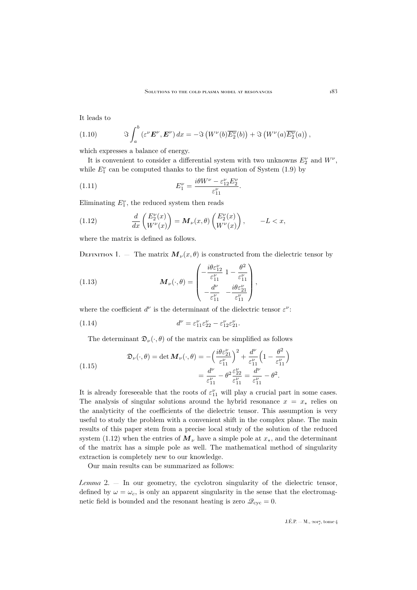It leads to

<span id="page-7-6"></span>(1.10) 
$$
\Im \int_a^b (\varepsilon^{\nu} \mathbf{E}^{\nu}, \mathbf{E}^{\nu}) dx = -\Im \left( W^{\nu}(b) \overline{E_2^{\nu}}(b) \right) + \Im \left( W^{\nu}(a) \overline{E_2^{\nu}}(a) \right),
$$

which expresses a balance of energy.

It is convenient to consider a differential system with two unknowns  $E_2^{\nu}$  and  $W^{\nu}$ , while  $E_1^{\nu}$  can be computed thanks to the first equation of System [\(1.9\)](#page-6-1) by

<span id="page-7-3"></span>(1.11) 
$$
E_1^{\nu} = \frac{i\theta W^{\nu} - \varepsilon_{12}^{\nu} E_2^{\nu}}{\varepsilon_{11}^{\nu}}.
$$

Eliminating  $E_1^{\nu}$ , the reduced system then reads

<span id="page-7-0"></span>(1.12) 
$$
\frac{d}{dx}\begin{pmatrix} E_2^{\nu}(x) \\ W^{\nu}(x) \end{pmatrix} = \mathbf{M}_{\nu}(x,\theta)\begin{pmatrix} E_2^{\nu}(x) \\ W^{\nu}(x) \end{pmatrix}, \qquad -L < x,
$$

where the matrix is defined as follows.

<span id="page-7-1"></span>DEFINITION 1. — The matrix  $M_{\nu}(x,\theta)$  is constructed from the dielectric tensor by

<span id="page-7-4"></span>(1.13) 
$$
\mathbf{M}_{\nu}(\cdot,\theta) = \begin{pmatrix} -\frac{i\theta \varepsilon_{12}^{\nu}}{\varepsilon_{11}^{\nu}} & 1 - \frac{\theta^{2}}{\varepsilon_{11}^{\nu}} \\ -\frac{d^{\nu}}{\varepsilon_{11}^{\nu}} & -\frac{i\theta \varepsilon_{21}^{\nu}}{\varepsilon_{11}^{\nu}} \end{pmatrix},
$$

where the coefficient  $d^{\nu}$  is the determinant of the dielectric tensor  $\varepsilon^{\nu}$ :

(1.14) 
$$
d^{\nu} = \varepsilon_{11}^{\nu} \varepsilon_{22}^{\nu} - \varepsilon_{12}^{\nu} \varepsilon_{21}^{\nu}.
$$

<span id="page-7-5"></span>The determinant  $\mathfrak{D}_{\nu}(\cdot,\theta)$  of the matrix can be simplified as follows

<span id="page-7-2"></span>(1.15) 
$$
\mathfrak{D}_{\nu}(\cdot,\theta) = \det \mathbf{M}_{\nu}(\cdot,\theta) = -\left(\frac{i\theta \varepsilon_{21}^{\nu}}{\varepsilon_{11}^{\nu}}\right)^{2} + \frac{d^{\nu}}{\varepsilon_{11}^{\nu}}\left(1 - \frac{\theta^{2}}{\varepsilon_{11}^{\nu}}\right) = \frac{d^{\nu}}{\varepsilon_{11}^{\nu}} - \theta^{2} \frac{\varepsilon_{22}^{\nu}}{\varepsilon_{11}^{\nu}} = \frac{d^{\nu}}{\varepsilon_{11}^{\nu}} - \theta^{2}.
$$

It is already foreseeable that the roots of  $\varepsilon_{11}^{\nu}$  will play a crucial part in some cases. The analysis of singular solutions around the hybrid resonance  $x = x_*$  relies on the analyticity of the coefficients of the dielectric tensor. This assumption is very useful to study the problem with a convenient shift in the complex plane. The main results of this paper stem from a precise local study of the solution of the reduced system [\(1.12\)](#page-7-0) when the entries of  $M_{\nu}$  have a simple pole at  $x_{*}$ , and the determinant of the matrix has a simple pole as well. The mathematical method of singularity extraction is completely new to our knowledge.

Our main results can be summarized as follows:

*Lemma* [2.](#page-10-0) — In our geometry, the cyclotron singularity of the dielectric tensor, defined by  $\omega = \omega_c$ , is only an apparent singularity in the sense that the electromagnetic field is bounded and the resonant heating is zero  $\mathcal{Q}_{\text{cyc}} = 0$ .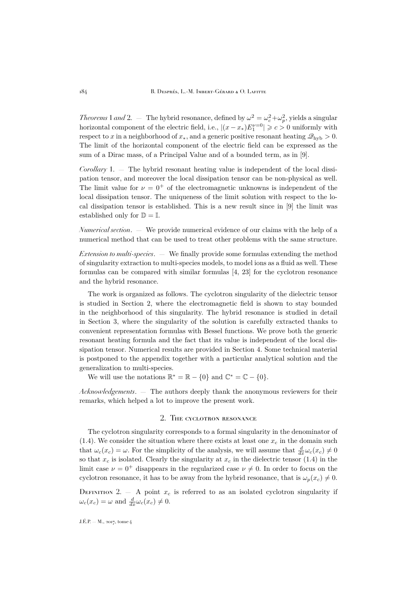*Theorems* [1](#page-30-0) *and* [2.](#page-31-0)  $-$  The hybrid resonance, defined by  $\omega^2 = \omega_c^2 + \omega_p^2$ , yields a singular horizontal component of the electric field, i.e.,  $|(x-x_*)E_1^{\nu=0}| \geqslant c > 0$  uniformly with respect to x in a neighborhood of  $x_*,$  and a generic positive resonant heating  $\mathscr{Q}_{\text{hvb}} > 0$ . The limit of the horizontal component of the electric field can be expressed as the sum of a Dirac mass, of a Principal Value and of a bounded term, as in [\[9\]](#page-45-1).

*Corollary* [1.](#page-34-0) — The hybrid resonant heating value is independent of the local dissipation tensor, and moreover the local dissipation tensor can be non-physical as well. The limit value for  $\nu = 0^+$  of the electromagnetic unknowns is independent of the local dissipation tensor. The uniqueness of the limit solution with respect to the local dissipation tensor is established. This is a new result since in [\[9\]](#page-45-1) the limit was established only for  $\mathbb{D} = \mathbb{I}$ .

*Numerical section*. — We provide numerical evidence of our claims with the help of a numerical method that can be used to treat other problems with the same structure.

*Extension to multi-species*. — We finally provide some formulas extending the method of singularity extraction to multi-species models, to model ions as a fluid as well. These formulas can be compared with similar formulas [\[4,](#page-45-5) [23\]](#page-46-1) for the cyclotron resonance and the hybrid resonance.

The work is organized as follows. The cyclotron singularity of the dielectric tensor is studied in Section [2,](#page-8-0) where the electromagnetic field is shown to stay bounded in the neighborhood of this singularity. The hybrid resonance is studied in detail in Section [3,](#page-11-0) where the singularity of the solution is carefully extracted thanks to convenient representation formulas with Bessel functions. We prove both the generic resonant heating formula and the fact that its value is independent of the local dissipation tensor. Numerical results are provided in Section [4.](#page-35-0) Some technical material is postponed to the appendix together with a particular analytical solution and the generalization to multi-species.

We will use the notations  $\mathbb{R}^* = \mathbb{R} - \{0\}$  and  $\mathbb{C}^* = \mathbb{C} - \{0\}.$ 

*Acknowledgements*. — The authors deeply thank the anonymous reviewers for their remarks, which helped a lot to improve the present work.

## 2. The cyclotron resonance

<span id="page-8-0"></span>The cyclotron singularity corresponds to a formal singularity in the denominator of [\(1.4\)](#page-4-3). We consider the situation where there exists at least one  $x_c$  in the domain such that  $\omega_c(x_c) = \omega$ . For the simplicity of the analysis, we will assume that  $\frac{d}{dx}\omega_c(x_c) \neq 0$ so that  $x_c$  is isolated. Clearly the singularity at  $x_c$  in the dielectric tensor [\(1.4\)](#page-4-3) in the limit case  $\nu = 0^+$  disappears in the regularized case  $\nu \neq 0$ . In order to focus on the cyclotron resonance, it has to be away from the hybrid resonance, that is  $\omega_p(x_c) \neq 0$ .

DEFINITION 2.  $-$  A point  $x_c$  is referred to as an isolated cyclotron singularity if  $\omega_c(x_c) = \omega$  and  $\frac{d}{dx}\omega_c(x_c) \neq 0$ .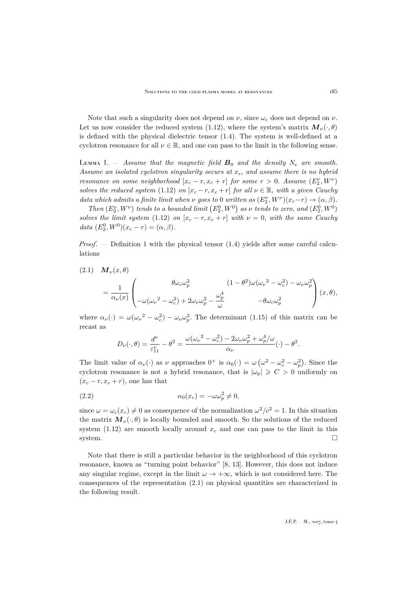Note that such a singularity does not depend on  $\nu$ , since  $\omega_c$  does not depend on  $\nu$ . Let us now consider the reduced system [\(1.12\)](#page-7-0), where the system's matrix  $\mathbf{M}_{\nu}(\cdot,\theta)$ is defined with the physical dielectric tensor [\(1.4\)](#page-4-3). The system is well-defined at a cyclotron resonance for all  $\nu \in \mathbb{R}$ , and one can pass to the limit in the following sense.

<span id="page-9-1"></span>LEMMA 1.  $-$  *Assume that the magnetic field*  $B_0$  *and the density*  $N_e$  *are smooth.* Assume an isolated cyclotron singularity occurs at  $x_c$ , and assume there is no hybrid *resonance on some neighborhood*  $[x_c - r, x_c + r]$  *for some*  $r > 0$ *. Assume*  $(E_2^{\nu}, W^{\nu})$ *solves the reduced system* [\(1.12\)](#page-7-0) *on*  $[x_c - r, x_c + r]$  *for all*  $\nu \in \mathbb{R}$ *, with a given Cauchy data which admits a finite limit when*  $\nu$  *goes to* 0 *written as*  $(E_2^{\nu}, W^{\nu})(x_c - r) \rightarrow (\alpha, \beta)$ *.* 

*Then*  $(E_2^{\nu}, W^{\nu})$  *tends to a bounded limit*  $(E_2^0, W^0)$  *as*  $\nu$  *tends to zero, and*  $(E_2^0, W^0)$ *solves the limit system* [\(1.12\)](#page-7-0) *on*  $[x_c - r, x_c + r]$  *with*  $\nu = 0$ *, with the same Cauchy* data  $(E_2^0, W^0)(x_c - r) = (\alpha, \beta).$ 

*Proof*. — Definition [1](#page-7-1) with the physical tensor [\(1.4\)](#page-4-3) yields after some careful calculations

<span id="page-9-0"></span>(2.1) 
$$
\mathbf{M}_{\nu}(x,\theta) = \frac{1}{\alpha_{\nu}(x)} \begin{pmatrix} \theta \omega_{c} \omega_{p}^{2} & (1 - \theta^{2}) \omega (\omega_{\nu}^{2} - \omega_{c}^{2}) - \omega_{\nu} \omega_{p}^{2} \\ -\omega (\omega_{\nu}^{2} - \omega_{c}^{2}) + 2\omega_{\nu} \omega_{p}^{2} - \frac{\omega_{p}^{4}}{\omega} & -\theta \omega_{c} \omega_{p}^{2} \end{pmatrix} (x,\theta),
$$

where  $\alpha_{\nu}(\cdot) = \omega(\omega_{\nu}^2 - \omega_c^2) - \omega_{\nu}\omega_p^2$ . The determinant [\(1.15\)](#page-7-2) of this matrix can be recast as

<span id="page-9-2"></span>
$$
D_{\nu}(\cdot,\theta) = \frac{d^{\nu}}{\varepsilon_{11}^{\nu}} - \theta^2 = \frac{\omega(\omega_{\nu}^2 - \omega_c^2) - 2\omega_{\nu}\omega_p^2 + \omega_p^4/\omega}{\alpha_{\nu}}(\cdot) - \theta^2.
$$

The limit value of  $\alpha_{\nu}(\cdot)$  as  $\nu$  approaches  $0^{+}$  is  $\alpha_{0}(\cdot) = \omega \left(\omega^{2} - \omega_{c}^{2} - \omega_{p}^{2}\right)$ . Since the cyclotron resonance is not a hybrid resonance, that is  $|\omega_p| \geqslant C > 0$  uniformly on  $(x_c - r, x_c + r)$ , one has that

(2.2) 
$$
\alpha_0(x_c) = -\omega \omega_p^2 \neq 0,
$$

since  $\omega = \omega_c(x_c) \neq 0$  as consequence of the normalization  $\omega^2/c^2 = 1$ . In this situation the matrix  $M_{\nu}(\cdot,\theta)$  is locally bounded and smooth. So the solutions of the reduced system [\(1.12\)](#page-7-0) are smooth locally around  $x_c$  and one can pass to the limit in this system.

Note that there is still a particular behavior in the neighborhood of this cyclotron resonance, known as "turning point behavior" [\[8,](#page-45-14) [13\]](#page-45-15). However, this does not induce any singular regime, except in the limit  $\omega \to +\infty$ , which is not considered here. The consequences of the representation [\(2.1\)](#page-9-0) on physical quantities are characterized in the following result.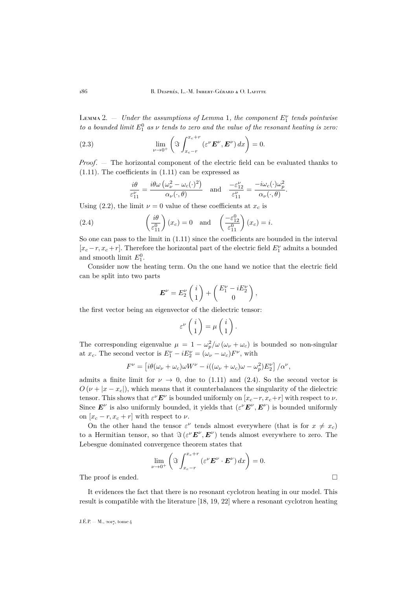<span id="page-10-0"></span> $\text{Lemma 1, the component } E_1^{\nu} \text{ tends pointwise}$  $\text{Lemma 1, the component } E_1^{\nu} \text{ tends pointwise}$  $\text{Lemma 1, the component } E_1^{\nu} \text{ tends pointwise}$ *to a bounded limit*  $E_1^0$  *as*  $\nu$  *tends to zero and the value of the resonant heating is zero:* 

(2.3) 
$$
\lim_{\nu \to 0^+} \left( \mathfrak{F} \int_{x_c - r}^{x_c + r} \left( \varepsilon^{\nu} \mathbf{E}^{\nu}, \mathbf{E}^{\nu} \right) dx \right) = 0.
$$

*Proof*. — The horizontal component of the electric field can be evaluated thanks to  $(1.11)$ . The coefficients in  $(1.11)$  can be expressed as

<span id="page-10-1"></span>
$$
\frac{i\theta}{\varepsilon_{11}^{\nu}} = \frac{i\theta\omega\left(\omega_{\nu}^{2} - \omega_{c}(\cdot)^{2}\right)}{\alpha_{\nu}(\cdot,\theta)} \quad \text{and} \quad \frac{-\varepsilon_{12}^{\nu}}{\varepsilon_{11}^{\nu}} = \frac{-i\omega_{c}(\cdot)\omega_{p}^{2}}{\alpha_{\nu}(\cdot,\theta)}.
$$

Using [\(2.2\)](#page-9-2), the limit  $\nu = 0$  value of these coefficients at  $x_c$  is

(2.4) 
$$
\left(\frac{i\theta}{\varepsilon_{11}^0}\right)(x_c) = 0 \text{ and } \left(\frac{-\varepsilon_{12}^0}{\varepsilon_{11}^0}\right)(x_c) = i.
$$

So one can pass to the limit in [\(1.11\)](#page-7-3) since the coefficients are bounded in the interval  $[x_c - r, x_c + r]$ . Therefore the horizontal part of the electric field  $E_1^{\nu}$  admits a bounded and smooth limit  $E_1^0$ .

Consider now the heating term. On the one hand we notice that the electric field can be split into two parts

$$
\boldsymbol{E}^{\nu} = E_2^{\nu} \begin{pmatrix} i \\ 1 \end{pmatrix} + \begin{pmatrix} E_1^{\nu} - i E_2^{\nu} \\ 0 \end{pmatrix},
$$

the first vector being an eigenvector of the dielectric tensor:

$$
\varepsilon^{\nu}\begin{pmatrix}i\\1\end{pmatrix}=\mu\begin{pmatrix}i\\1\end{pmatrix}.
$$

The corresponding eigenvalue  $\mu = 1 - \omega_p^2/\omega (\omega_\nu + \omega_c)$  is bounded so non-singular at  $x_c$ . The second vector is  $E_1^{\nu} - iE_2^{\nu} = (\omega_{\nu} - \omega_c)F^{\nu}$ , with

$$
F^{\nu} = \left[ i\theta(\omega_{\nu} + \omega_c) \omega W^{\nu} - i((\omega_{\nu} + \omega_c) \omega - \omega_p^2) E_2^{\nu} \right] / \alpha^{\nu},
$$

admits a finite limit for  $\nu \to 0$ , due to [\(1.11\)](#page-7-3) and [\(2.4\)](#page-10-1). So the second vector is  $O(\nu + |x - x_c|)$ , which means that it counterbalances the singularity of the dielectric tensor. This shows that  $\varepsilon^{\nu} E^{\nu}$  is bounded uniformly on  $[x_c-r, x_c+r]$  with respect to  $\nu$ . Since  $E^{\nu}$  is also uniformly bounded, it yields that  $(\varepsilon^{\nu} E^{\nu}, E^{\nu})$  is bounded uniformly on  $[x_c - r, x_c + r]$  with respect to  $\nu$ .

On the other hand the tensor  $\varepsilon^{\nu}$  tends almost everywhere (that is for  $x \neq x_c$ ) to a Hermitian tensor, so that  $\Im(\varepsilon^{\nu} \mathbf{E}^{\nu}, \mathbf{E}^{\nu})$  tends almost everywhere to zero. The Lebesgue dominated convergence theorem states that

$$
\lim_{\nu \to 0^+} \left( \Im \int_{x_c - r}^{x_c + r} (\varepsilon^{\nu} \mathbf{E}^{\nu} \cdot \mathbf{E}^{\nu}) dx \right) = 0.
$$
\nThe proof is ended.

It evidences the fact that there is no resonant cyclotron heating in our model. This result is compatible with the literature [\[18,](#page-45-3) [19,](#page-45-4) [22\]](#page-46-0) where a resonant cyclotron heating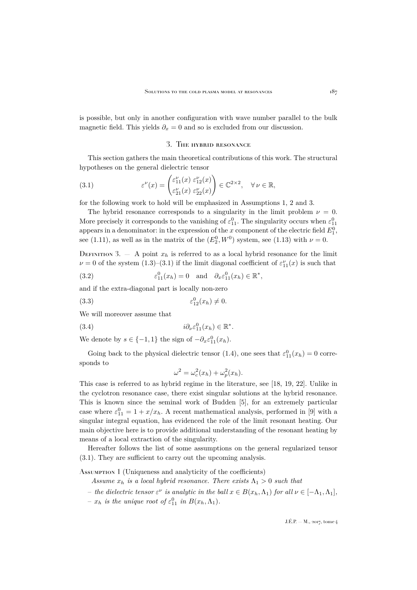is possible, but only in another configuration with wave number parallel to the bulk magnetic field. This yields  $\partial_x = 0$  and so is excluded from our discussion.

## <span id="page-11-2"></span>3. The hybrid resonance

<span id="page-11-0"></span>This section gathers the main theoretical contributions of this work. The structural hypotheses on the general dielectric tensor

(3.1) 
$$
\varepsilon^{\nu}(x) = \begin{pmatrix} \varepsilon^{\nu}_{11}(x) & \varepsilon^{\nu}_{12}(x) \\ \varepsilon^{\nu}_{21}(x) & \varepsilon^{\nu}_{22}(x) \end{pmatrix} \in \mathbb{C}^{2 \times 2}, \quad \forall \nu \in \mathbb{R},
$$

for the following work to hold will be emphasized in Assumptions [1,](#page-11-1) [2](#page-12-0) and [3.](#page-12-1)

The hybrid resonance corresponds to a singularity in the limit problem  $\nu = 0$ . More precisely it corresponds to the vanishing of  $\varepsilon_{11}^0$ . The singularity occurs when  $\varepsilon_{11}^0$ appears in a denominator: in the expression of the x component of the electric field  $E_1^0$ , see [\(1.11\)](#page-7-3), as well as in the matrix of the  $(E_2^0, W^0)$  system, see [\(1.13\)](#page-7-4) with  $\nu = 0$ .

<span id="page-11-3"></span>DEFINITION 3.  $-$  A point  $x_h$  is referred to as a local hybrid resonance for the limit  $\nu = 0$  of the system  $(1.3)$ – $(3.1)$  if the limit diagonal coefficient of  $\varepsilon_{11}^{\nu}(x)$  is such that

<span id="page-11-4"></span>(3.2) 
$$
\varepsilon_{11}^0(x_h) = 0 \text{ and } \partial_x \varepsilon_{11}^0(x_h) \in \mathbb{R}^*,
$$

and if the extra-diagonal part is locally non-zero

$$
(3.3) \qquad \qquad \varepsilon_{12}^0(x_h) \neq 0.
$$

We will moreover assume that

(3.4) 
$$
i\partial_{\nu}\varepsilon_{11}^{0}(x_{h}) \in \mathbb{R}^{*}.
$$

We denote by  $s \in \{-1, 1\}$  the sign of  $-\partial_x \varepsilon_{11}^0(x_h)$ .

Going back to the physical dielectric tensor [\(1.4\)](#page-4-3), one sees that  $\varepsilon_{11}^{0}(x_h) = 0$  corresponds to

<span id="page-11-6"></span><span id="page-11-5"></span>
$$
\omega^2 = \omega_c^2(x_h) + \omega_p^2(x_h).
$$

This case is referred to as hybrid regime in the literature, see [\[18,](#page-45-3) [19,](#page-45-4) [22\]](#page-46-0). Unlike in the cyclotron resonance case, there exist singular solutions at the hybrid resonance. This is known since the seminal work of Budden [\[5\]](#page-45-16), for an extremely particular case where  $\varepsilon_{11}^0 = 1 + x/x_h$ . A recent mathematical analysis, performed in [\[9\]](#page-45-1) with a singular integral equation, has evidenced the role of the limit resonant heating. Our main objective here is to provide additional understanding of the resonant heating by means of a local extraction of the singularity.

Hereafter follows the list of some assumptions on the general regularized tensor [\(3.1\)](#page-11-2). They are sufficient to carry out the upcoming analysis.

#### <span id="page-11-1"></span>Assumption 1 (Uniqueness and analyticity of the coefficients)

*Assume*  $x_h$  *is a local hybrid resonance. There exists*  $\Lambda_1 > 0$  *such that* 

- $-$  *the dielectric tensor*  $\varepsilon^{\nu}$  *is analytic in the ball*  $x \in B(x_h, \Lambda_1)$  *for all*  $\nu \in [-\Lambda_1, \Lambda_1]$ *,*
- $x_h$  *is the unique root of*  $\varepsilon_{11}^0$  *in*  $B(x_h, \Lambda_1)$ *.*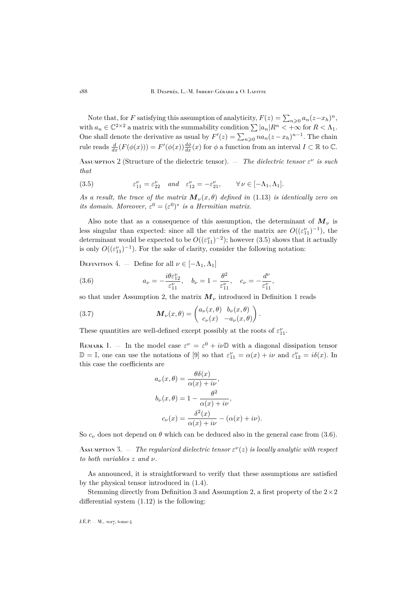Note that, for F satisfying this assumption of analyticity,  $F(z) = \sum_{n\geqslant 0} a_n(z-x_h)^n$ , with  $a_n \in \mathbb{C}^{2 \times 2}$  a matrix with the summability condition  $\sum |a_n|R^n < +\infty$  for  $R < \Lambda_1$ . One shall denote the derivative as usual by  $F'(z) = \sum_{n\geqslant 0} na_n(z - x_h)^{n-1}$ . The chain rule reads  $\frac{d}{dx}(F(\phi(x))) = F'(\phi(x))\frac{d\phi}{dx}(x)$  for  $\phi$  a function from an interval  $I \subset \mathbb{R}$  to  $\mathbb{C}$ .

<span id="page-12-0"></span>Assumption 2 (Structure of the dielectric tensor).  $-$  *The dielectric tensor*  $\varepsilon^{\nu}$  *is such that*

<span id="page-12-2"></span> $(3.5)$  $\zeta_{11}^{\nu} = \varepsilon_{22}^{\nu} \quad and \quad \varepsilon_{12}^{\nu} = -\varepsilon_{21}^{\nu}, \qquad \forall \nu \in [-\Lambda_1, \Lambda_1].$ 

*As a result, the trace of the matrix*  $\mathbf{M}_{\nu}(x,\theta)$  *defined in* [\(1.13\)](#page-7-4) *is identically zero on its domain. Moreover,*  $\varepsilon^0 = (\varepsilon^0)^*$  *is a Hermitian matrix.* 

Also note that as a consequence of this assumption, the determinant of  $M_{\nu}$  is less singular than expected: since all the entries of the matrix are  $O((\varepsilon_{11}^{\nu})^{-1})$ , the determinant would be expected to be  $O((\varepsilon_{11}^{\nu})^{-2})$ ; however [\(3.5\)](#page-12-2) shows that it actually is only  $O((\varepsilon_{11}^{\nu})^{-1})$ . For the sake of clarity, consider the following notation:

DEFINITION 4. — Define for all  $\nu \in [-\Lambda_1, \Lambda_1]$ 

<span id="page-12-3"></span>(3.6) 
$$
a_{\nu} = -\frac{i\theta \varepsilon_{12}^{\nu}}{\varepsilon_{11}^{\nu}}, \quad b_{\nu} = 1 - \frac{\theta^{2}}{\varepsilon_{11}^{\nu}}, \quad c_{\nu} = -\frac{d^{\nu}}{\varepsilon_{11}^{\nu}},
$$

so that under Assumption [2,](#page-12-0) the matrix  $M_{\nu}$  introduced in Definition [1](#page-7-1) reads

(3.7) 
$$
\mathbf{M}_{\nu}(x,\theta) = \begin{pmatrix} a_{\nu}(x,\theta) & b_{\nu}(x,\theta) \\ c_{\nu}(x) & -a_{\nu}(x,\theta) \end{pmatrix}.
$$

These quantities are well-defined except possibly at the roots of  $\varepsilon_{11}^\nu.$ 

<span id="page-12-5"></span>REMARK 1. – In the model case  $\varepsilon^{\nu} = \varepsilon^0 + i\nu\mathbb{D}$  with a diagonal dissipation tensor  $\mathbb{D} = \mathbb{I}$ , one can use the notations of [\[9\]](#page-45-1) so that  $\varepsilon_{11}^{\nu} = \alpha(x) + i\nu$  and  $\varepsilon_{12}^{\nu} = i\delta(x)$ . In this case the coefficients are

<span id="page-12-4"></span>
$$
a_{\nu}(x,\theta) = \frac{\theta \delta(x)}{\alpha(x) + i\nu},
$$
  
\n
$$
b_{\nu}(x,\theta) = 1 - \frac{\theta^2}{\alpha(x) + i\nu},
$$
  
\n
$$
c_{\nu}(x) = \frac{\delta^2(x)}{\alpha(x) + i\nu} - (\alpha(x) + i\nu).
$$

So  $c_{\nu}$  does not depend on  $\theta$  which can be deduced also in the general case from [\(3.6\)](#page-12-3).

<span id="page-12-1"></span>Assumption 3.  $-$  *The regularized dielectric tensor*  $\varepsilon^{\nu}(z)$  *is locally analytic with respect to both variables* z *and* ν*.*

As announced, it is straightforward to verify that these assumptions are satisfied by the physical tensor introduced in [\(1.4\)](#page-4-3).

Stemming directly from Definition [3](#page-11-3) and Assumption [2,](#page-12-0) a first property of the  $2\times 2$ differential system [\(1.12\)](#page-7-0) is the following: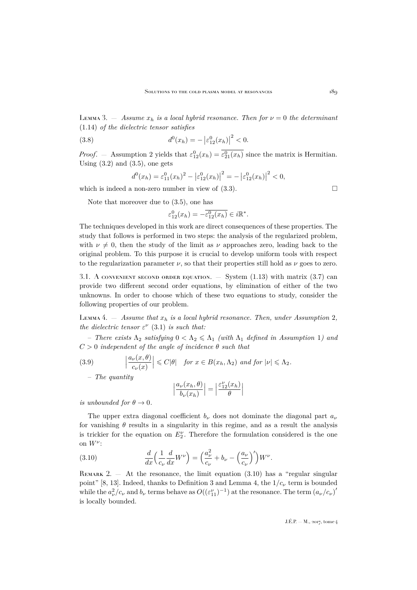LEMMA 3.  $-$  *Assume*  $x_h$  *is a local hybrid resonance. Then for*  $\nu = 0$  *the determinant* [\(1.14\)](#page-7-5) *of the dielectric tensor satisfies*

(3.8) 
$$
d^0(x_h) = -\left|\varepsilon_{12}^0(x_h)\right|^2 < 0.
$$

*Proof.* – Assumption [2](#page-12-0) yields that  $\varepsilon_{12}^0(x_h) = \varepsilon_{21}^0(x_h)$  since the matrix is Hermitian. Using  $(3.2)$  and  $(3.5)$ , one gets

<span id="page-13-2"></span>
$$
d^{0}(x_{h}) = \varepsilon_{11}^{0}(x_{h})^{2} - |\varepsilon_{12}^{0}(x_{h})|^{2} = -|\varepsilon_{12}^{0}(x_{h})|^{2} < 0,
$$

which is indeed a non-zero number in view of  $(3.3)$ .

Note that moreover due to [\(3.5\)](#page-12-2), one has

$$
\varepsilon_{12}^0(x_h) = -\overline{\varepsilon_{12}^0(x_h)} \in i\mathbb{R}^*.
$$

The techniques developed in this work are direct consequences of these properties. The study that follows is performed in two steps: the analysis of the regularized problem, with  $\nu \neq 0$ , then the study of the limit as  $\nu$  approaches zero, leading back to the original problem. To this purpose it is crucial to develop uniform tools with respect to the regularization parameter  $\nu$ , so that their properties still hold as  $\nu$  goes to zero.

3.1. A convenient second order equation.  $-$  System [\(1.13\)](#page-7-4) with matrix [\(3.7\)](#page-12-4) can provide two different second order equations, by elimination of either of the two unknowns. In order to choose which of these two equations to study, consider the following properties of our problem.

<span id="page-13-1"></span>LEMMA 4.  $-$  *Assume that*  $x_h$  *is a local hybrid resonance. Then, under Assumption* [2](#page-12-0)*, the dielectric tensor*  $\varepsilon^{\nu}$  [\(3.1\)](#page-11-2) *is such that:* 

 $-$  *There exists*  $\Lambda_2$  *satisfying*  $0 < \Lambda_2 \leq \Lambda_1$  $0 < \Lambda_2 \leq \Lambda_1$  *(with*  $\Lambda_1$  *defined in Assumption 1) and* C > 0 *independent of the angle of incidence* θ *such that*

(3.9) 
$$
\left|\frac{a_{\nu}(x,\theta)}{c_{\nu}(x)}\right| \leq C|\theta| \quad \text{for } x \in B(x_h,\Lambda_2) \text{ and for } |\nu| \leq \Lambda_2.
$$

– *The quantity*

$$
\left|\frac{a_{\nu}(x_h, \theta)}{b_{\nu}(x_h)}\right| = \left|\frac{\varepsilon_{12}^{\nu}(x_h)}{\theta}\right|
$$

*is unbounded for*  $\theta \to 0$ *.* 

The upper extra diagonal coefficient  $b_{\nu}$  does not dominate the diagonal part  $a_{\nu}$ for vanishing  $\theta$  results in a singularity in this regime, and as a result the analysis is trickier for the equation on  $E_2^{\nu}$ . Therefore the formulation considered is the one on  $W^{\nu}$ :

<span id="page-13-0"></span>(3.10) 
$$
\frac{d}{dx}\left(\frac{1}{c_{\nu}}\frac{d}{dx}W^{\nu}\right) = \left(\frac{a_{\nu}^{2}}{c_{\nu}} + b_{\nu} - \left(\frac{a_{\nu}}{c_{\nu}}\right)^{\prime}\right)W^{\nu}.
$$

REMARK 2.  $-$  At the resonance, the limit equation [\(3.10\)](#page-13-0) has a "regular singular point" [\[8,](#page-45-14) [13\]](#page-45-15). Indeed, thanks to Definition [3](#page-11-3) and Lemma [4,](#page-13-1) the  $1/c_{\nu}$  term is bounded while the  $a_{\nu}^2/c_{\nu}$  and  $b_{\nu}$  terms behave as  $O((\varepsilon_{11}^{\nu})^{-1})$  at the resonance. The term  $(a_{\nu}/c_{\nu})'$ is locally bounded.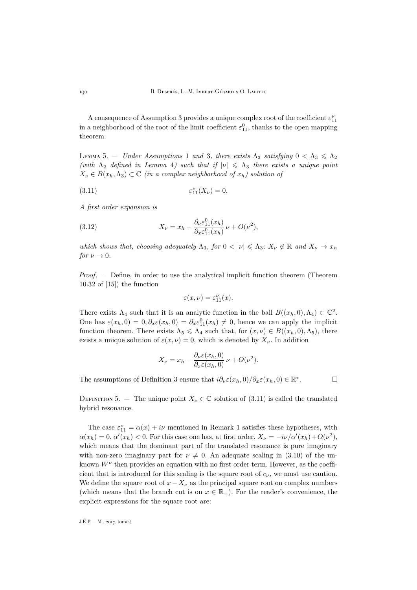A consequence of Assumption [3](#page-12-1) provides a unique complex root of the coefficient  $\varepsilon^{\nu}_{11}$ in a neighborhood of the root of the limit coefficient  $\varepsilon_{11}^0$ , thanks to the open mapping theorem:

<span id="page-14-1"></span>LEMMA 5. – *Under Assumptions* [1](#page-11-1) *and* [3](#page-12-1), there exists  $Λ_3$  *satisfying*  $0 < Λ_3 \leq \Lambda_2$ *(with*  $\Lambda_2$  *defined in Lemma [4](#page-13-1)) such that if*  $|v| \leq \Lambda_3$  *there exists a unique point*  $X_{\nu} \in B(x_h, \Lambda_3) \subset \mathbb{C}$  *(in a complex neighborhood of*  $x_h$ ) solution of

<span id="page-14-0"></span>
$$
(3.11) \qquad \qquad \varepsilon_{11}^{\nu}(X_{\nu}) = 0.
$$

*A first order expansion is*

(3.12) 
$$
X_{\nu} = x_h - \frac{\partial_{\nu} \varepsilon_{11}^0(x_h)}{\partial_{x} \varepsilon_{11}^0(x_h)} \nu + O(\nu^2),
$$

*which shows that, choosing adequately*  $\Lambda_3$ *, for*  $0 < |\nu| \leq \Lambda_3$ *:*  $X_{\nu} \notin \mathbb{R}$  *and*  $X_{\nu} \to x_h$ *for*  $\nu \to 0$ *.* 

*Proof*. — Define, in order to use the analytical implicit function theorem (Theorem 10.32 of [\[15\]](#page-45-17)) the function

<span id="page-14-2"></span>
$$
\varepsilon(x,\nu) = \varepsilon_{11}^{\nu}(x).
$$

There exists  $\Lambda_4$  such that it is an analytic function in the ball  $B((x_h, 0), \Lambda_4) \subset \mathbb{C}^2$ . One has  $\varepsilon(x_h, 0) = 0, \partial_x \varepsilon(x_h, 0) = \partial_x \varepsilon_{11}^0(x_h) \neq 0$ , hence we can apply the implicit function theorem. There exists  $\Lambda_5 \leq \Lambda_4$  such that, for  $(x, \nu) \in B((x_h, 0), \Lambda_5)$ , there exists a unique solution of  $\varepsilon(x,\nu) = 0$ , which is denoted by  $X_{\nu}$ . In addition

$$
X_{\nu} = x_h - \frac{\partial_{\nu} \varepsilon(x_h, 0)}{\partial_{x} \varepsilon(x_h, 0)} \nu + O(\nu^{2}).
$$

The assumptions of Definition [3](#page-11-3) ensure that  $i\partial_{\nu}\varepsilon(x_h,0)/\partial_{x}\varepsilon(x_h,0) \in \mathbb{R}^*$ 

 $\Box$ 

DEFINITION 5. — The unique point  $X_{\nu} \in \mathbb{C}$  solution of [\(3.11\)](#page-14-0) is called the translated hybrid resonance.

The case  $\varepsilon_{11}^{\nu} = \alpha(x) + i\nu$  $\varepsilon_{11}^{\nu} = \alpha(x) + i\nu$  $\varepsilon_{11}^{\nu} = \alpha(x) + i\nu$  mentioned in Remark 1 satisfies these hypotheses, with  $\alpha(x_h) = 0, \, \alpha'(x_h) < 0.$  For this case one has, at first order,  $X_\nu = -i\nu/\alpha'(x_h) + O(\nu^2)$ , which means that the dominant part of the translated resonance is pure imaginary with non-zero imaginary part for  $\nu \neq 0$ . An adequate scaling in [\(3.10\)](#page-13-0) of the unknown  $W^{\nu}$  then provides an equation with no first order term. However, as the coefficient that is introduced for this scaling is the square root of  $c_{\nu}$ , we must use caution. We define the square root of  $x - X_{\nu}$  as the principal square root on complex numbers (which means that the branch cut is on  $x \in \mathbb{R}_-$ ). For the reader's convenience, the explicit expressions for the square root are: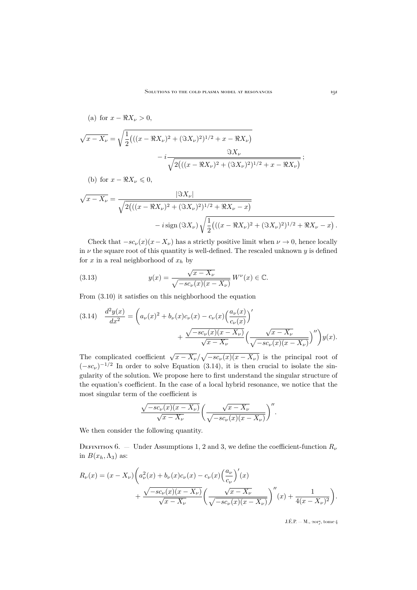(a) for 
$$
x - \Re X_{\nu} > 0
$$
,  
\n
$$
\sqrt{x - X_{\nu}} = \sqrt{\frac{1}{2}(((x - \Re X_{\nu})^2 + (\Im X_{\nu})^2)^{1/2} + x - \Re X_{\nu})}
$$
\n
$$
-i \frac{\Im X_{\nu}}{\sqrt{2(((x - \Re X_{\nu})^2 + (\Im X_{\nu})^2)^{1/2} + x - \Re X_{\nu})}};
$$

(b) for 
$$
x - \Re X_{\nu} \leq 0
$$
,

$$
\sqrt{x - X_{\nu}} = \frac{|\Im X_{\nu}|}{\sqrt{2\big(((x - \Re X_{\nu})^2 + (\Im X_{\nu})^2)^{1/2} + \Re X_{\nu} - x\big)}} - i \operatorname{sign}(\Im X_{\nu}) \sqrt{\frac{1}{2}\big(((x - \Re X_{\nu})^2 + (\Im X_{\nu})^2)^{1/2} + \Re X_{\nu} - x\big)}}.
$$

Check that  $-sc_{\nu}(x)(x-X_{\nu})$  has a strictly positive limit when  $\nu \to 0$ , hence locally in  $\nu$  the square root of this quantity is well-defined. The rescaled unknown  $y$  is defined for x in a real neighborhood of  $x_h$  by

<span id="page-15-1"></span>(3.13) 
$$
y(x) = \frac{\sqrt{x - X_{\nu}}}{\sqrt{-sc_{\nu}(x)(x - X_{\nu})}} W^{\nu}(x) \in \mathbb{C}.
$$

From [\(3.10\)](#page-13-0) it satisfies on this neighborhood the equation

<span id="page-15-0"></span>
$$
(3.14) \quad \frac{d^2y(x)}{dx^2} = \left(a_\nu(x)^2 + b_\nu(x)c_\nu(x) - c_\nu(x)\left(\frac{a_\nu(x)}{c_\nu(x)}\right)'\right) + \frac{\sqrt{-sc_\nu(x)(x-X_\nu)}}{\sqrt{x-X_\nu}}\left(\frac{\sqrt{x-X_\nu}}{\sqrt{-sc_\nu(x)(x-X_\nu)}}\right)''\right)y(x).
$$

The complicated coefficient  $\sqrt{x - X_{\nu}}/\sqrt{-sc_{\nu}(x)(x - X_{\nu})}$  is the principal root of  $(-sc_{\nu})^{-1/2}$  In order to solve Equation [\(3.14\)](#page-15-0), it is then crucial to isolate the singularity of the solution. We propose here to first understand the singular structure of the equation's coefficient. In the case of a local hybrid resonance, we notice that the most singular term of the coefficient is

$$
\frac{\sqrt{-sc_{\nu}(x)(x-X_{\nu})}}{\sqrt{x-X_{\nu}}} \bigg(\frac{\sqrt{x-X_{\nu}}}{\sqrt{-sc_{\nu}(x)(x-X_{\nu})}}\bigg)^{''}.
$$

We then consider the following quantity.

<span id="page-15-2"></span>DEFINITION 6. — Under Assumptions [1,](#page-11-1) [2](#page-12-0) and [3,](#page-12-1) we define the coefficient-function  $R_{\nu}$ in  $B(x_h, \Lambda_3)$  as:

$$
R_{\nu}(x) = (x - X_{\nu}) \left( a_{\nu}^{2}(x) + b_{\nu}(x)c_{\nu}(x) - c_{\nu}(x) \left( \frac{a_{\nu}}{c_{\nu}} \right)'(x) + \frac{\sqrt{-sc_{\nu}(x)(x - X_{\nu})}}{\sqrt{x - X_{\nu}}} \left( \frac{\sqrt{x - X_{\nu}}}{\sqrt{-sc_{\nu}(x)(x - X_{\nu})}} \right)''(x) + \frac{1}{4(x - X_{\nu})^{2}} \right).
$$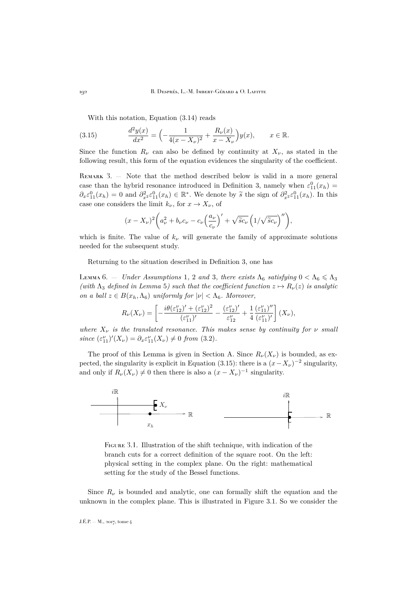<span id="page-16-1"></span>With this notation, Equation [\(3.14\)](#page-15-0) reads

(3.15) 
$$
\frac{d^2y(x)}{dx^2} = \left(-\frac{1}{4(x-X_\nu)^2} + \frac{R_\nu(x)}{x-X_\nu}\right)y(x), \qquad x \in \mathbb{R}.
$$

Since the function  $R_{\nu}$  can also be defined by continuity at  $X_{\nu}$ , as stated in the following result, this form of the equation evidences the singularity of the coefficient.

REMARK 3. - Note that the method described below is valid in a more general case than the hybrid resonance introduced in Definition [3,](#page-11-3) namely when  $\varepsilon_{11}^{0}(x_h)$  =  $\partial_x \varepsilon_{11}^0(x_h) = 0$  and  $\partial_x^2 \varepsilon_{11}^0(x_h) \in \mathbb{R}^*$ . We denote by  $\tilde{s}$  the sign of  $\partial_x^2 \varepsilon_{11}^0(x_h)$ . In this case one considers the limit  $k_{\nu}$ , for  $x \to X_{\nu}$ , of

$$
(x - X_{\nu})^2 \left( a_{\nu}^2 + b_{\nu} c_{\nu} - c_{\nu} \left( \frac{a_{\nu}}{c_{\nu}} \right)' + \sqrt{\tilde{s} c_{\nu}} \left( 1/\sqrt{\tilde{s} c_{\nu}} \right)'' \right),
$$

which is finite. The value of  $k_{\nu}$  will generate the family of approximate solutions needed for the subsequent study.

Returning to the situation described in Definition [3,](#page-11-3) one has

<span id="page-16-0"></span>LEMMA 6. – *Under Assumptions* [1](#page-11-1), [2](#page-12-0) *and* [3](#page-12-1), *there exists*  $Λ<sub>6</sub>$  *satisfying*  $0 < Λ<sub>6</sub> \le Λ<sub>3</sub>$ *(with*  $\Lambda_3$  *defined in Lemma* [5](#page-14-1)*)* such that the coefficient function  $z \mapsto R_{\nu}(z)$  is analytic *on a ball*  $z \in B(x_h, \Lambda_6)$  *uniformly for*  $|\nu| < \Lambda_6$ *. Moreover,* 

$$
R_{\nu}(X_{\nu}) = \left[ -\frac{i\theta(\varepsilon_{12}^{\nu})' + (\varepsilon_{12}^{\nu})^2}{(\varepsilon_{11}^{\nu})'} - \frac{(\varepsilon_{12}^{\nu})'}{\varepsilon_{12}^{\nu}} + \frac{1}{4} \frac{(\varepsilon_{11}^{\nu})''}{(\varepsilon_{11}^{\nu})'} \right] (X_{\nu}),
$$

*where*  $X_{\nu}$  *is the translated resonance. This makes sense by continuity for*  $\nu$  *small* since  $(\varepsilon_{11}^{\nu})'(X_{\nu}) = \partial_x \varepsilon_{11}^{\nu}(X_{\nu}) \neq 0$  from [\(3.2\)](#page-11-4).

The proof of this Lemma is given in Section [A.](#page-39-0) Since  $R_{\nu}(X_{\nu})$  is bounded, as ex-pected, the singularity is explicit in Equation [\(3.15\)](#page-16-1): there is a  $(x - X_{\nu})^{-2}$  singularity, and only if  $R_{\nu}(X_{\nu}) \neq 0$  then there is also a  $(x - X_{\nu})^{-1}$  singularity.



<span id="page-16-2"></span>FIGURE 3.1. Illustration of the shift technique, with indication of the branch cuts for a correct definition of the square root. On the left: physical setting in the complex plane. On the right: mathematical setting for the study of the Bessel functions.

Since  $R_{\nu}$  is bounded and analytic, one can formally shift the equation and the unknown in the complex plane. This is illustrated in Figure [3.1.](#page-16-2) So we consider the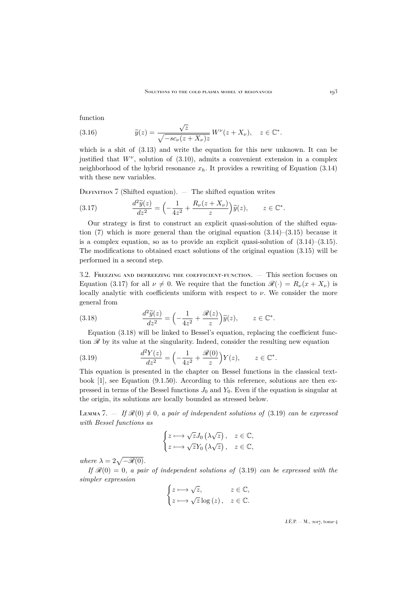function

(3.16) 
$$
\widetilde{y}(z) = \frac{\sqrt{z}}{\sqrt{-sc_{\nu}(z + X_{\nu})z}} W^{\nu}(z + X_{\nu}), \quad z \in \mathbb{C}^{*}.
$$

which is a shit of  $(3.13)$  and write the equation for this new unknown. It can be justified that  $W^{\nu}$ , solution of  $(3.10)$ , admits a convenient extension in a complex neighborhood of the hybrid resonance  $x_h$ . It provides a rewriting of Equation [\(3.14\)](#page-15-0) with these new variables.

<span id="page-17-0"></span>DEFINITION  $\overline{7}$  (Shifted equation).  $\overline{ }$  The shifted equation writes

<span id="page-17-1"></span>(3.17) 
$$
\frac{d^2 \widetilde{y}(z)}{dz^2} = \left(-\frac{1}{4z^2} + \frac{R_\nu(z + X_\nu)}{z}\right) \widetilde{y}(z), \qquad z \in \mathbb{C}^*.
$$

Our strategy is first to construct an explicit quasi-solution of the shifted equation  $(7)$  which is more general than the original equation  $(3.14)$ – $(3.15)$  because it is a complex equation, so as to provide an explicit quasi-solution of  $(3.14)$ – $(3.15)$ . The modifications to obtained exact solutions of the original equation [\(3.15\)](#page-16-1) will be performed in a second step.

3.2. Freezing and defreezing the coefficient-function. — This section focuses on Equation [\(3.17\)](#page-17-1) for all  $\nu \neq 0$ . We require that the function  $\mathscr{R}(\cdot) = R_{\nu}(x + X_{\nu})$  is locally analytic with coefficients uniform with respect to  $\nu$ . We consider the more general from

<span id="page-17-2"></span>(3.18) 
$$
\frac{d^2 \widetilde{y}(z)}{dz^2} = \left(-\frac{1}{4z^2} + \frac{\mathscr{R}(z)}{z}\right) \widetilde{y}(z), \qquad z \in \mathbb{C}^*.
$$

Equation [\(3.18\)](#page-17-2) will be linked to Bessel's equation, replacing the coefficient function  $\mathscr R$  by its value at the singularity. Indeed, consider the resulting new equation

<span id="page-17-3"></span>(3.19) 
$$
\frac{d^2Y(z)}{dz^2} = \left(-\frac{1}{4z^2} + \frac{\mathscr{R}(0)}{z}\right)Y(z), \qquad z \in \mathbb{C}^*.
$$

This equation is presented in the chapter on Bessel functions in the classical textbook [\[1\]](#page-45-18), see Equation (9.1.50). According to this reference, solutions are then expressed in terms of the Bessel functions  $J_0$  and  $Y_0$ . Even if the equation is singular at the origin, its solutions are locally bounded as stressed below.

<span id="page-17-4"></span>LEMMA 7.  $-$  *If*  $\mathcal{R}(0) \neq 0$ , a pair of independent solutions of [\(3.19\)](#page-17-3) can be expressed *with Bessel functions as*

$$
\begin{cases} z \longmapsto \sqrt{z}J_0(\lambda\sqrt{z}), & z \in \mathbb{C}, \\ z \longmapsto \sqrt{z}Y_0(\lambda\sqrt{z}), & z \in \mathbb{C}, \end{cases}
$$

*where*  $\lambda = 2\sqrt{-\mathscr{R}(0)}$ .

*If*  $\mathcal{R}(0) = 0$ , a pair of independent solutions of [\(3.19\)](#page-17-3) can be expressed with the *simpler expression*

$$
\begin{cases} z \longmapsto \sqrt{z}, & z \in \mathbb{C}, \\ z \longmapsto \sqrt{z} \log(z), & z \in \mathbb{C}. \end{cases}
$$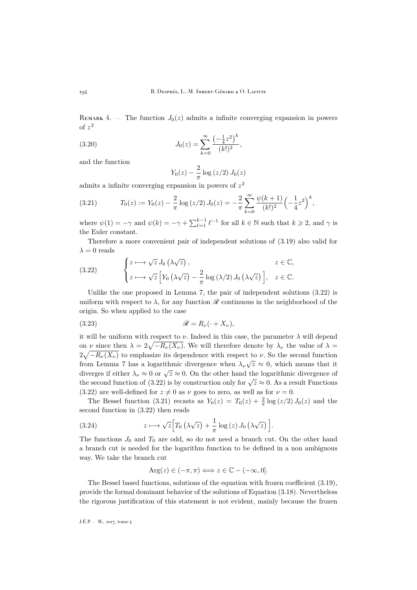REMARK 4. – The function  $J_0(z)$  admits a infinite converging expansion in powers of  $z^2$ 

(3.20) 
$$
J_0(z) = \sum_{k=0}^{\infty} \frac{\left(-\frac{1}{4}z^2\right)^k}{(k!)^2},
$$

and the function

<span id="page-18-3"></span>
$$
Y_0(z) - \frac{2}{\pi} \log \left( z/2 \right) J_0(z)
$$

admits a infinite converging expansion in powers of  $z^2$ 

<span id="page-18-1"></span>(3.21) 
$$
T_0(z) := Y_0(z) - \frac{2}{\pi} \log (z/2) J_0(z) = -\frac{2}{\pi} \sum_{k=0}^{\infty} \frac{\psi(k+1)}{(k!)^2} \left(-\frac{1}{4}z^2\right)^k,
$$

where  $\psi(1) = -\gamma$  and  $\psi(k) = -\gamma + \sum_{\ell=1}^{k-1} \ell^{-1}$  for all  $k \in \mathbb{N}$  such that  $k \geq 2$ , and  $\gamma$  is the Euler constant.

Therefore a more convenient pair of independent solutions of [\(3.19\)](#page-17-3) also valid for  $\lambda = 0$  reads

<span id="page-18-0"></span>(3.22) 
$$
\begin{cases} z \longmapsto \sqrt{z} J_0(\lambda \sqrt{z}), & z \in \mathbb{C}, \\ z \longmapsto \sqrt{z} \left[ Y_0(\lambda \sqrt{z}) - \frac{2}{\pi} \log(\lambda/2) J_0(\lambda \sqrt{z}) \right], & z \in \mathbb{C}. \end{cases}
$$

Unlike the one proposed in Lemma [7,](#page-17-4) the pair of independent solutions  $(3.22)$  is uniform with respect to  $\lambda$ , for any function  $\mathscr R$  continuous in the neighborhood of the origin. So when applied to the case

<span id="page-18-2"></span>
$$
\mathscr{R} = R_{\nu}(\cdot + X_{\nu}),
$$

it will be uniform with respect to  $\nu$ . Indeed in this case, the parameter  $\lambda$  will depend on  $\nu$  since then  $\lambda = 2\sqrt{-R_{\nu}(X_{\nu})}$ . We will therefore denote by  $\lambda_{\nu}$  the value of  $\lambda =$  $2\sqrt{-R_{\nu}(X_{\nu})}$  to emphasize its dependence with respect to  $\nu$ . So the second function from Lemma [7](#page-17-4) has a logarithmic divergence when  $\lambda_{\nu}\sqrt{z} \approx 0$ , which means that it diverges if either  $\lambda_{\nu} \approx 0$  or  $\sqrt{z} \approx 0$ . On the other hand the logarithmic divergence of the second function of [\(3.22\)](#page-18-0) is by construction only for  $\sqrt{z} \approx 0$ . As a result Functions [\(3.22\)](#page-18-0) are well-defined for  $z \neq 0$  as  $\nu$  goes to zero, as well as for  $\nu = 0$ .

The Bessel function [\(3.21\)](#page-18-1) recasts as  $Y_0(z) = T_0(z) + \frac{2}{\pi} \log (z/2) J_0(z)$  and the second function in [\(3.22\)](#page-18-0) then reads

(3.24) 
$$
z \mapsto \sqrt{z} \Big[ T_0 \left( \lambda \sqrt{z} \right) + \frac{1}{\pi} \log \left( z \right) J_0 \left( \lambda \sqrt{z} \right) \Big].
$$

The functions  $J_0$  and  $T_0$  are odd, so do not need a branch cut. On the other hand a branch cut is needed for the logarithm function to be defined in a non ambiguous way. We take the branch cut

$$
\operatorname{Arg}(z)\in (-\pi,\pi)\Longleftrightarrow z\in\mathbb{C}-(-\infty,0].
$$

The Bessel based functions, solutions of the equation with frozen coefficient [\(3.19\)](#page-17-3), provide the formal dominant behavior of the solutions of Equation [\(3.18\)](#page-17-2). Nevertheless the rigorous justification of this statement is not evident, mainly because the frozen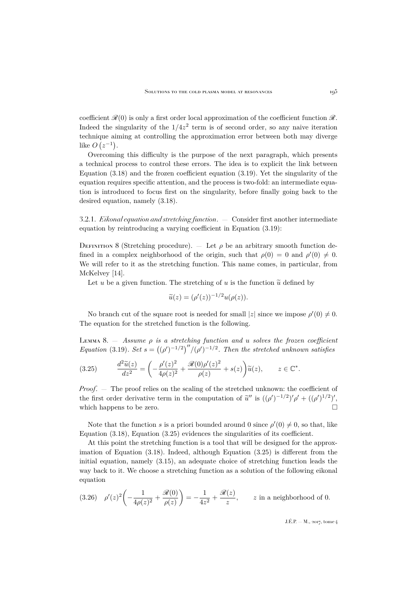coefficient  $\mathcal{R}(0)$  is only a first order local approximation of the coefficient function  $\mathcal{R}$ . Indeed the singularity of the  $1/4z^2$  term is of second order, so any naive iteration technique aiming at controlling the approximation error between both may diverge like  $O(z^{-1})$ .

Overcoming this difficulty is the purpose of the next paragraph, which presents a technical process to control these errors. The idea is to explicit the link between Equation [\(3.18\)](#page-17-2) and the frozen coefficient equation [\(3.19\)](#page-17-3). Yet the singularity of the equation requires specific attention, and the process is two-fold: an intermediate equation is introduced to focus first on the singularity, before finally going back to the desired equation, namely [\(3.18\)](#page-17-2).

3.2.1. *Eikonal equation and stretching function*. — Consider first another intermediate equation by reintroducing a varying coefficient in Equation [\(3.19\)](#page-17-3):

DEFINITION 8 (Stretching procedure). — Let  $\rho$  be an arbitrary smooth function defined in a complex neighborhood of the origin, such that  $\rho(0) = 0$  and  $\rho'(0) \neq 0$ . We will refer to it as the stretching function. This name comes, in particular, from McKelvey [\[14\]](#page-45-19).

Let u be a given function. The stretching of u is the function  $\tilde{u}$  defined by

$$
\widetilde{u}(z) = (\rho'(z))^{-1/2} u(\rho(z)).
$$

No branch cut of the square root is needed for small  $|z|$  since we impose  $\rho'(0) \neq 0$ . The equation for the stretched function is the following.

Lemma 8. — *Assume* ρ *is a stretching function and* u *solves the frozen coefficient Equation* [\(3.19\)](#page-17-3)*. Set*  $s = ((\rho')^{-1/2})''/(\rho')^{-1/2}$ *. Then the stretched unknown satisfies* 

<span id="page-19-0"></span>(3.25) 
$$
\frac{d^2\widetilde{u}(z)}{dz^2} = \left(-\frac{\rho'(z)^2}{4\rho(z)^2} + \frac{\mathcal{R}(0)\rho'(z)^2}{\rho(z)} + s(z)\right)\widetilde{u}(z), \qquad z \in \mathbb{C}^*.
$$

*Proof.* — The proof relies on the scaling of the stretched unknown: the coefficient of the first order derivative term in the computation of  $\tilde{u}''$  is  $((\rho')^{-1/2})' \rho' + ((\rho')^{1/2})'$ , which happens to be zero.  $\Box$ 

Note that the function s is a priori bounded around 0 since  $\rho'(0) \neq 0$ , so that, like Equation [\(3.18\)](#page-17-2), Equation [\(3.25\)](#page-19-0) evidences the singularities of its coefficient.

At this point the stretching function is a tool that will be designed for the approximation of Equation [\(3.18\)](#page-17-2). Indeed, although Equation [\(3.25\)](#page-19-0) is different from the initial equation, namely [\(3.15\)](#page-16-1), an adequate choice of stretching function leads the way back to it. We choose a stretching function as a solution of the following eikonal equation

<span id="page-19-1"></span>
$$
(3.26) \quad \rho'(z)^2 \left( -\frac{1}{4\rho(z)^2} + \frac{\mathcal{R}(0)}{\rho(z)} \right) = -\frac{1}{4z^2} + \frac{\mathcal{R}(z)}{z}, \qquad z \text{ in a neighborhood of 0.}
$$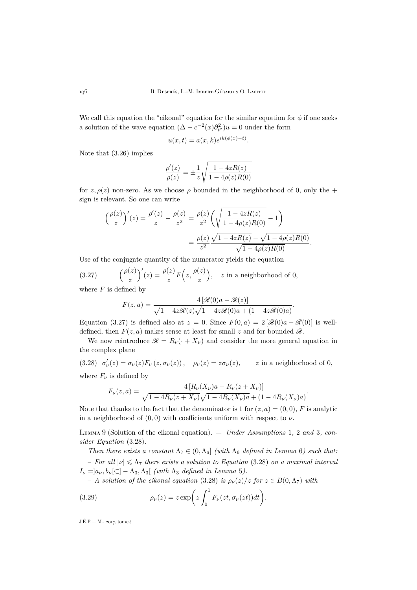We call this equation the "eikonal" equation for the similar equation for  $\phi$  if one seeks a solution of the wave equation  $(\Delta - c^{-2}(x)\partial_{t^2}^2)u = 0$  under the form

$$
u(x,t) = a(x,k)e^{ik(\phi(x)-t)}.
$$

Note that [\(3.26\)](#page-19-1) implies

$$
\frac{\rho'(z)}{\rho(z)}=\pm\frac{1}{z}\sqrt{\frac{1-4zR(z)}{1-4\rho(z)R(0)}}
$$

for z,  $\rho(z)$  non-zero. As we choose  $\rho$  bounded in the neighborhood of 0, only the + sign is relevant. So one can write

$$
\left(\frac{\rho(z)}{z}\right)'(z) = \frac{\rho'(z)}{z} - \frac{\rho(z)}{z^2} = \frac{\rho(z)}{z^2} \left(\sqrt{\frac{1 - 4zR(z)}{1 - 4\rho(z)R(0)}} - 1\right)
$$

$$
= \frac{\rho(z)}{z^2} \frac{\sqrt{1 - 4zR(z)} - \sqrt{1 - 4\rho(z)R(0)}}{\sqrt{1 - 4\rho(z)R(0)}}.
$$

Use of the conjugate quantity of the numerator yields the equation

(3.27) 
$$
\left(\frac{\rho(z)}{z}\right)'(z) = \frac{\rho(z)}{z} F\left(z, \frac{\rho(z)}{z}\right), \quad z \text{ in a neighborhood of 0,}
$$

where  $F$  is defined by

<span id="page-20-0"></span>
$$
F(z,a) = \frac{4\left[\mathcal{R}(0)a - \mathcal{R}(z)\right]}{\sqrt{1 - 4z\mathcal{R}(z)}\sqrt{1 - 4z\mathcal{R}(0)a} + (1 - 4z\mathcal{R}(0)a)}.
$$

Equation [\(3.27\)](#page-20-0) is defined also at  $z = 0$ . Since  $F(0, a) = 2 [\mathcal{R}(0)a - \mathcal{R}(0)]$  is welldefined, then  $F(z, a)$  makes sense at least for small z and for bounded  $\mathscr{R}$ .

We now reintroduce  $\mathcal{R} = R_{\nu}(\cdot + X_{\nu})$  and consider the more general equation in the complex plane

<span id="page-20-1"></span>(3.28)  $\sigma'_{\nu}(z) = \sigma_{\nu}(z) F_{\nu}(z, \sigma_{\nu}(z)), \quad \rho_{\nu}(z) = z \sigma_{\nu}(z), \quad z \text{ in a neighborhood of } 0,$ where  $F_{\nu}$  is defined by

$$
F_{\nu}(z,a) = \frac{4\left[R_{\nu}(X_{\nu})a - R_{\nu}(z + X_{\nu})\right]}{\sqrt{1 - 4R_{\nu}(z + X_{\nu})}\sqrt{1 - 4R_{\nu}(X_{\nu})a} + (1 - 4R_{\nu}(X_{\nu})a)}.
$$

Note that thanks to the fact that the denominator is 1 for  $(z, a) = (0, 0)$ , F is analytic in a neighborhood of  $(0, 0)$  with coefficients uniform with respect to  $\nu$ .

<span id="page-20-3"></span>Lemma 9 (Solution of the eikonal equation). — *Under Assumptions* [1](#page-11-1)*,* [2](#page-12-0) *and* [3](#page-12-1)*, consider Equation* [\(3.28\)](#page-20-1)*.*

*Then there exists a constant*  $\Lambda_7 \in (0, \Lambda_6]$  $\Lambda_7 \in (0, \Lambda_6]$  $\Lambda_7 \in (0, \Lambda_6]$  *(with*  $\Lambda_6$  *defined in Lemma* 6*)* such that:  $-$  *For all*  $|\nu| \leq \Lambda_7$  *there exists a solution to Equation* [\(3.28\)](#page-20-1) *on a maximal interval*  $I_{\nu} =]a_{\nu}, b_{\nu}[\subset] - \Lambda_3, \Lambda_3[$  *(with*  $\Lambda_3$  *defined in Lemma [5](#page-14-1)).* 

<span id="page-20-2"></span> $-A$  solution of the eikonal equation [\(3.28\)](#page-20-1) is  $\rho_{\nu}(z)/z$  for  $z \in B(0,\Lambda_{7})$  with

(3.29) 
$$
\rho_{\nu}(z) = z \exp\left(z \int_0^1 F_{\nu}(zt, \sigma_{\nu}(zt))dt\right).
$$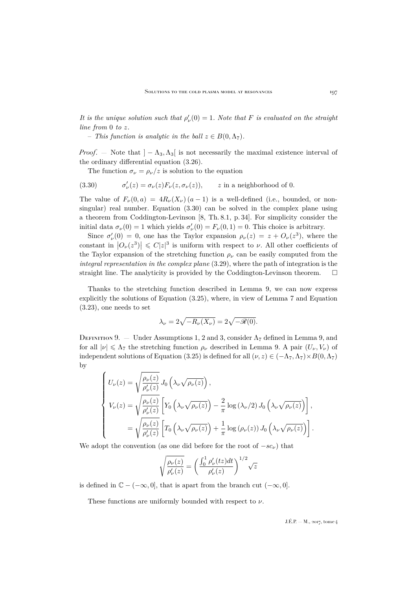*It is the unique solution such that*  $\rho'_\nu(0) = 1$ *. Note that* F *is evaluated on the straight line from* 0 *to* z*.*

 $-$  *This function is analytic in the ball*  $z \in B(0, \Lambda_7)$ *.* 

*Proof.* — Note that  $]-\Lambda_3, \Lambda_3$  is not necessarily the maximal existence interval of the ordinary differential equation [\(3.26\)](#page-19-1).

<span id="page-21-0"></span>The function  $\sigma_{\nu} = \rho_{\nu}/z$  is solution to the equation

(3.30) 
$$
\sigma'_{\nu}(z) = \sigma_{\nu}(z) F_{\nu}(z, \sigma_{\nu}(z)), \qquad z \text{ in a neighborhood of } 0.
$$

The value of  $F_{\nu}(0, a) = 4R_{\nu}(X_{\nu})(a-1)$  is a well-defined (i.e., bounded, or nonsingular) real number. Equation [\(3.30\)](#page-21-0) can be solved in the complex plane using a theorem from Coddington-Levinson [\[8,](#page-45-14) Th. 8.1, p. 34]. For simplicity consider the initial data  $\sigma_{\nu}(0) = 1$  which yields  $\sigma_{\nu}'(0) = F_{\nu}(0, 1) = 0$ . This choice is arbitrary.

Since  $\sigma'_{\nu}(0) = 0$ , one has the Taylor expansion  $\rho_{\nu}(z) = z + O_{\nu}(z^3)$ , where the constant in  $|O_{\nu}(z^3)| \leq C|z|^3$  is uniform with respect to  $\nu$ . All other coefficients of the Taylor expansion of the stretching function  $\rho_{\nu}$  can be easily computed from the *integral representation in the complex plane* [\(3.29\)](#page-20-2), where the path of integration is the straight line. The analyticity is provided by the Coddington-Levinson theorem.  $\Box$ 

Thanks to the stretching function described in Lemma [9,](#page-20-3) we can now express explicitly the solutions of Equation [\(3.25\)](#page-19-0), where, in view of Lemma [7](#page-17-4) and Equation [\(3.23\)](#page-18-2), one needs to set

$$
\lambda_{\nu} = 2\sqrt{-R_{\nu}(X_{\nu})} = 2\sqrt{-\mathscr{R}(0)}.
$$

<span id="page-21-1"></span>DEFINITION 9. — Under Assumptions [1,](#page-11-1) [2](#page-12-0) and [3,](#page-12-1) consider  $\Lambda_7$  defined in Lemma [9,](#page-20-3) and for all  $|\nu| \leq \Lambda_7$  the stretching function  $\rho_{\nu}$  described in Lemma [9.](#page-20-3) A pair  $(U_{\nu}, V_{\nu})$  of independent solutions of Equation [\(3.25\)](#page-19-0) is defined for all  $(\nu, z) \in (-\Lambda_7, \Lambda_7) \times B(0, \Lambda_7)$ by

$$
\begin{cases}\nU_{\nu}(z) = \sqrt{\frac{\rho_{\nu}(z)}{\rho_{\nu}'(z)}} J_0\left(\lambda_{\nu}\sqrt{\rho_{\nu}(z)}\right), \\
V_{\nu}(z) = \sqrt{\frac{\rho_{\nu}(z)}{\rho_{\nu}'(z)}} \left[ Y_0\left(\lambda_{\nu}\sqrt{\rho_{\nu}(z)}\right) - \frac{2}{\pi} \log\left(\lambda_{\nu}/2\right) J_0\left(\lambda_{\nu}\sqrt{\rho_{\nu}(z)}\right) \right], \\
= \sqrt{\frac{\rho_{\nu}(z)}{\rho_{\nu}'(z)}} \left[ T_0\left(\lambda_{\nu}\sqrt{\rho_{\nu}(z)}\right) + \frac{1}{\pi} \log\left(\rho_{\nu}(z)\right) J_0\left(\lambda_{\nu}\sqrt{\rho_{\nu}(z)}\right) \right].\n\end{cases}
$$

We adopt the convention (as one did before for the root of  $-sc<sub>\nu</sub>$ ) that

$$
\sqrt{\frac{\rho_{\nu}(z)}{\rho_{\nu}'(z)}} = \left(\frac{\int_0^1 \rho_{\nu}'(tz)dt}{\rho_{\nu}'(z)}\right)^{1/2} \sqrt{z}
$$

is defined in  $\mathbb{C} - (-\infty, 0]$ , that is apart from the branch cut  $(-\infty, 0]$ .

These functions are uniformly bounded with respect to  $\nu$ .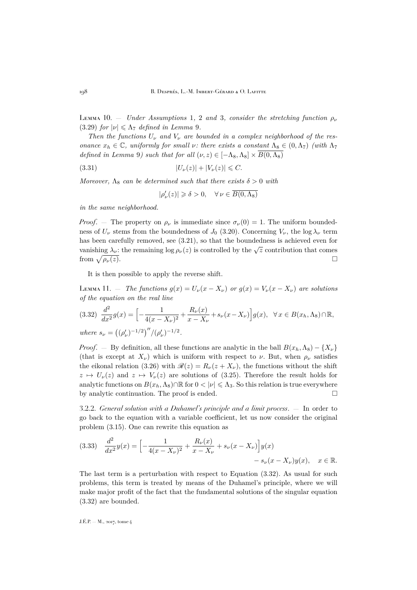<span id="page-22-1"></span>Lemma [1](#page-11-1)0. – *Under Assumptions* 1, [2](#page-12-0) *and* [3](#page-12-1), *consider the stretching function*  $\rho_{\nu}$ [\(3.29\)](#page-20-2) *for*  $|\nu| \leq \Lambda_7$  *defined in Lemma* [9](#page-20-3)*.* 

*Then the functions*  $U_{\nu}$  *and*  $V_{\nu}$  *are bounded in a complex neighborhood of the resonance*  $x_h \in \mathbb{C}$ *, uniformly for small v: there exists a constant*  $\Lambda_8 \in (0, \Lambda_7)$  *(with*  $\Lambda_7$ *defined in Lemma* [9](#page-20-3)*)* such that for all  $(\nu, z) \in [-\Lambda_8, \Lambda_8] \times B(0, \Lambda_8)$ 

(3.31) 
$$
|U_{\nu}(z)| + |V_{\nu}(z)| \leq C.
$$

*Moreover,*  $\Lambda_8$  *can be determined such that there exists*  $\delta > 0$  *with* 

<span id="page-22-3"></span>
$$
|\rho_\nu'(z)|\geqslant \delta>0,\quad \forall\, \nu\in \overline{B(0,\Lambda_8)}
$$

*in the same neighborhood.*

*Proof.* — The property on  $\rho_{\nu}$  is immediate since  $\sigma_{\nu}(0) = 1$ . The uniform boundedness of  $U_{\nu}$  stems from the boundedness of  $J_0$  [\(3.20\)](#page-18-3). Concerning  $V_{\nu}$ , the log  $\lambda_{\nu}$  term has been carefully removed, see [\(3.21\)](#page-18-1), so that the boundedness is achieved even for vanishing  $\lambda_{\nu}$ : the remaining  $\log \rho_{\nu}(z)$  is controlled by the  $\sqrt{z}$  contribution that comes from  $\sqrt{\rho_{\nu}(z)}$ .  $\rho_{\nu}(z)$ .

It is then possible to apply the reverse shift.

Lemma 11. — *The functions*  $g(x) = U_{\nu}(x - X_{\nu})$  *or*  $g(x) = V_{\nu}(x - X_{\nu})$  *are solutions of the equation on the real line*

<span id="page-22-0"></span>
$$
(3.32) \frac{d^2}{dx^2} g(x) = \left[ -\frac{1}{4(x - X_\nu)^2} + \frac{R_\nu(x)}{x - X_\nu} + s_\nu(x - X_\nu) \right] g(x), \ \ \forall \, x \in B(x_h, \Lambda_8) \cap \mathbb{R},
$$
  
where  $s_\nu = \left( (\rho'_\nu)^{-1/2} \right)'' / (\rho'_\nu)^{-1/2}.$ 

*Proof.* — By definition, all these functions are analytic in the ball  $B(x_h, \Lambda_8) - \{X_\nu\}$ (that is except at  $X_{\nu}$ ) which is uniform with respect to  $\nu$ . But, when  $\rho_{\nu}$  satisfies the eikonal relation [\(3.26\)](#page-19-1) with  $\mathcal{R}(z) = R_{\nu}(z + X_{\nu})$ , the functions without the shift  $z \mapsto U_{\nu}(z)$  and  $z \mapsto V_{\nu}(z)$  are solutions of [\(3.25\)](#page-19-0). Therefore the result holds for analytic functions on  $B(x_h, \Lambda_8) \cap \mathbb{R}$  for  $0 < |\nu| \leq \Lambda_3$ . So this relation is true everywhere by analytic continuation. The proof is ended. by analytic continuation. The proof is ended.

3.2.2. *General solution with a Duhamel's principle and a limit process*. — In order to go back to the equation with a variable coefficient, let us now consider the original problem [\(3.15\)](#page-16-1). One can rewrite this equation as

<span id="page-22-2"></span>
$$
(3.33) \quad \frac{d^2}{dx^2}y(x) = \left[ -\frac{1}{4(x - X_\nu)^2} + \frac{R_\nu(x)}{x - X_\nu} + s_\nu(x - X_\nu) \right] y(x) - s_\nu(x - X_\nu)y(x), \quad x \in \mathbb{R}.
$$

The last term is a perturbation with respect to Equation [\(3.32\)](#page-22-0). As usual for such problems, this term is treated by means of the Duhamel's principle, where we will make major profit of the fact that the fundamental solutions of the singular equation [\(3.32\)](#page-22-0) are bounded.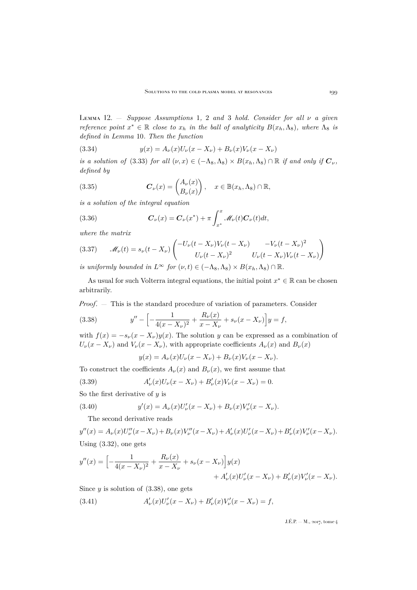<span id="page-23-5"></span>Lemma 12. — *Suppose Assumptions* [1](#page-11-1)*,* [2](#page-12-0) *and* [3](#page-12-1) *hold. Consider for all* ν *a given reference point*  $x^* \in \mathbb{R}$  *close to*  $x_h$  *in the ball of analyticity*  $B(x_h, \Lambda_8)$ *, where*  $\Lambda_8$  *is defined in Lemma* [10](#page-22-1)*. Then the function*

<span id="page-23-6"></span>(3.34) 
$$
y(x) = A_{\nu}(x)U_{\nu}(x - X_{\nu}) + B_{\nu}(x)V_{\nu}(x - X_{\nu})
$$

*is a solution of* [\(3.33\)](#page-22-2) *for all*  $(\nu, x) \in (-\Lambda_8, \Lambda_8) \times B(x_h, \Lambda_8) \cap \mathbb{R}$  *if and only if*  $C_{\nu}$ *, defined by*

(3.35) 
$$
\boldsymbol{C}_{\nu}(x) = \begin{pmatrix} A_{\nu}(x) \\ B_{\nu}(x) \end{pmatrix}, \quad x \in \mathbb{B}(x_h, \Lambda_8) \cap \mathbb{R},
$$

*is a solution of the integral equation*

<span id="page-23-3"></span>(3.36) 
$$
\boldsymbol{C}_{\nu}(x) = \boldsymbol{C}_{\nu}(x^*) + \pi \int_{x^*}^{x} \mathcal{M}_{\nu}(t) \boldsymbol{C}_{\nu}(t) dt,
$$

*where the matrix*

<span id="page-23-4"></span>(3.37) 
$$
\mathscr{M}_{\nu}(t) = s_{\nu}(t - X_{\nu}) \begin{pmatrix} -U_{\nu}(t - X_{\nu})V_{\nu}(t - X_{\nu}) & -V_{\nu}(t - X_{\nu})^2 \\ U_{\nu}(t - X_{\nu})^2 & U_{\nu}(t - X_{\nu})V_{\nu}(t - X_{\nu}) \end{pmatrix}
$$

*is uniformly bounded in*  $L^{\infty}$  *for*  $(\nu, t) \in (-\Lambda_8, \Lambda_8) \times B(x_h, \Lambda_8) \cap \mathbb{R}$ *.* 

As usual for such Volterra integral equations, the initial point  $x^* \in \mathbb{R}$  can be chosen arbitrarily.

*Proof*. — This is the standard procedure of variation of parameters. Consider

(3.38) 
$$
y'' - \left[ -\frac{1}{4(x - X_{\nu})^2} + \frac{R_{\nu}(x)}{x - X_{\nu}} + s_{\nu}(x - X_{\nu}) \right] y = f,
$$

with  $f(x) = -s_{\nu}(x - X_{\nu})y(x)$ . The solution y can be expressed as a combination of  $U_{\nu}(x - X_{\nu})$  and  $V_{\nu}(x - X_{\nu})$ , with appropriate coefficients  $A_{\nu}(x)$  and  $B_{\nu}(x)$ 

<span id="page-23-7"></span><span id="page-23-1"></span><span id="page-23-0"></span> $y(x) = A_{\nu}(x)U_{\nu}(x - X_{\nu}) + B_{\nu}(x)V_{\nu}(x - X_{\nu}).$ 

To construct the coefficients  $A_{\nu}(x)$  and  $B_{\nu}(x)$ , we first assume that

(3.39) 
$$
A'_{\nu}(x)U_{\nu}(x - X_{\nu}) + B'_{\nu}(x)V_{\nu}(x - X_{\nu}) = 0.
$$

So the first derivative of  $y$  is

(3.40) 
$$
y'(x) = A_{\nu}(x)U_{\nu}'(x - X_{\nu}) + B_{\nu}(x)V_{\nu}'(x - X_{\nu}).
$$

The second derivative reads

$$
y''(x) = A_{\nu}(x)U_{\nu}''(x - X_{\nu}) + B_{\nu}(x)V_{\nu}''(x - X_{\nu}) + A_{\nu}'(x)U_{\nu}'(x - X_{\nu}) + B_{\nu}'(x)V_{\nu}'(x - X_{\nu}).
$$
  
Using (3.32) one sets

Using 
$$
(3.32)
$$
, one gets

$$
y''(x) = \left[ -\frac{1}{4(x - X_{\nu})^2} + \frac{R_{\nu}(x)}{x - X_{\nu}} + s_{\nu}(x - X_{\nu}) \right] y(x) + A'_{\nu}(x) U'_{\nu}(x - X_{\nu}) + B'_{\nu}(x) V'_{\nu}(x - X_{\nu}).
$$

Since  $y$  is solution of  $(3.38)$ , one gets

<span id="page-23-2"></span>(3.41) 
$$
A'_{\nu}(x)U'_{\nu}(x-X_{\nu})+B'_{\nu}(x)V'_{\nu}(x-X_{\nu})=f,
$$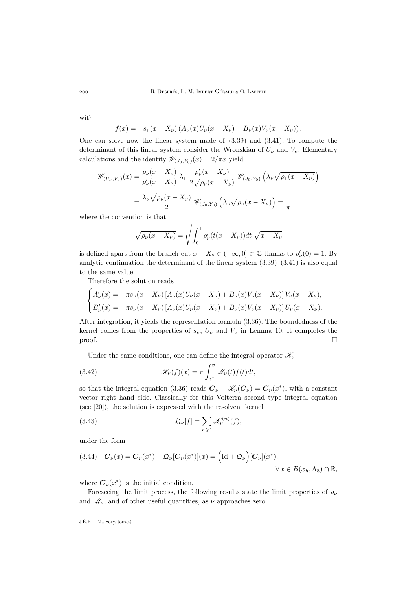200 B. Després, L.-M. Imbert-Gérard & O. Lafitte

with

$$
f(x) = -s_{\nu}(x - X_{\nu}) \left( A_{\nu}(x) U_{\nu}(x - X_{\nu}) + B_{\nu}(x) V_{\nu}(x - X_{\nu}) \right).
$$

One can solve now the linear system made of [\(3.39\)](#page-23-1) and [\(3.41\)](#page-23-2). To compute the determinant of this linear system consider the Wronskian of  $U_{\nu}$  and  $V_{\nu}$ . Elementary calculations and the identity  $\mathscr{W}_{(J_0,Y_0)}(x) = 2/\pi x$  yield

$$
\mathscr{W}_{(U_{\nu},V_{\nu})}(x) = \frac{\rho_{\nu}(x - X_{\nu})}{\rho_{\nu}'(x - X_{\nu})} \lambda_{\nu} \frac{\rho_{\nu}'(x - X_{\nu})}{2\sqrt{\rho_{\nu}(x - X_{\nu})}} \mathscr{W}_{(J_0,Y_0)}\left(\lambda_{\nu}\sqrt{\rho_{\nu}(x - X_{\nu})}\right)
$$

$$
= \frac{\lambda_{\nu}\sqrt{\rho_{\nu}(x - X_{\nu})}}{2} \mathscr{W}_{(J_0,Y_0)}\left(\lambda_{\nu}\sqrt{\rho_{\nu}(x - X_{\nu})}\right) = \frac{1}{\pi}
$$

where the convention is that

$$
\sqrt{\rho_{\nu}(x - X_{\nu})} = \sqrt{\int_0^1 \rho_{\nu}'(t(x - X_{\nu}))dt} \sqrt{x - X_{\nu}}
$$

is defined apart from the branch cut  $x - X_{\nu} \in (-\infty, 0] \subset \mathbb{C}$  thanks to  $\rho'_{\nu}(0) = 1$ . By analytic continuation the determinant of the linear system  $(3.39)$ – $(3.41)$  is also equal to the same value.

Therefore the solution reads

$$
\begin{cases}\nA'_{\nu}(x) = -\pi s_{\nu}(x - X_{\nu}) \left[ A_{\nu}(x) U_{\nu}(x - X_{\nu}) + B_{\nu}(x) V_{\nu}(x - X_{\nu}) \right] V_{\nu}(x - X_{\nu}), \\
B'_{\nu}(x) = -\pi s_{\nu}(x - X_{\nu}) \left[ A_{\nu}(x) U_{\nu}(x - X_{\nu}) + B_{\nu}(x) V_{\nu}(x - X_{\nu}) \right] U_{\nu}(x - X_{\nu}).\n\end{cases}
$$

After integration, it yields the representation formula [\(3.36\)](#page-23-3). The boundedness of the kernel comes from the properties of  $s_{\nu}$ ,  $U_{\nu}$  and  $V_{\nu}$  in Lemma [10.](#page-22-1) It completes the  $\Box$ 

<span id="page-24-1"></span>Under the same conditions, one can define the integral operator  $\mathcal{K}_{\nu}$ 

(3.42) 
$$
\mathscr{K}_{\nu}(f)(x) = \pi \int_{x^*}^{x} \mathscr{M}_{\nu}(t) f(t) dt,
$$

so that the integral equation [\(3.36\)](#page-23-3) reads  $C_{\nu} - \mathcal{K}_{\nu}(C_{\nu}) = C_{\nu}(x^*)$ , with a constant vector right hand side. Classically for this Volterra second type integral equation (see [\[20\]](#page-45-20)), the solution is expressed with the resolvent kernel

<span id="page-24-2"></span>(3.43) 
$$
\mathfrak{Q}_{\nu}[f] = \sum_{n \geqslant 1} \mathcal{K}_{\nu}^{(n)}(f),
$$

under the form

<span id="page-24-0"></span>
$$
(3.44) \quad \boldsymbol{C}_{\nu}(x) = \boldsymbol{C}_{\nu}(x^*) + \mathfrak{Q}_{\nu}[\boldsymbol{C}_{\nu}(x^*)](x) = \left(\mathrm{Id} + \mathfrak{Q}_{\nu}\right)[\boldsymbol{C}_{\nu}](x^*),
$$
  

$$
\forall x \in B(x_h, \Lambda_8) \cap \mathbb{R},
$$

where  $C_{\nu}(x^*)$  is the initial condition.

Foreseeing the limit process, the following results state the limit properties of  $\rho_{\nu}$ and  $\mathcal{M}_{\nu}$ , and of other useful quantities, as  $\nu$  approaches zero.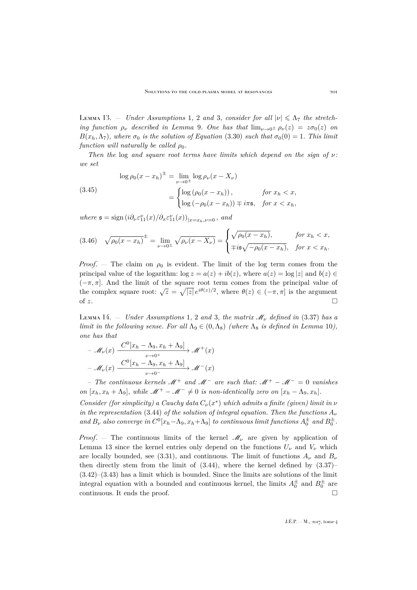<span id="page-25-0"></span>LEMMA [1](#page-11-1)[3](#page-12-1). – *Under Assumptions* 1, [2](#page-12-0) *and* 3, *consider for all*  $|\nu| \leq \Lambda_7$  *the stretching function*  $\rho_{\nu}$  *described in Lemma [9](#page-20-3). One has that*  $\lim_{\nu \to 0^{\pm}} \rho_{\nu}(z) = z \sigma_0(z)$  *on*  $B(x_h, \Lambda_7)$ *, where*  $\sigma_0$  *is the solution of Equation* [\(3.30\)](#page-21-0) *such that*  $\sigma_0(0) = 1$ *. This limit function will naturally be called*  $\rho_0$ .

*Then the* log *and square root terms have limits which depend on the sign of* ν*: we set*

<span id="page-25-1"></span>(3.45)  
\n
$$
\log \rho_0 (x - x_h)^{\pm} = \lim_{\nu \to 0^{\pm}} \log \rho_{\nu} (x - X_{\nu})
$$
\n
$$
= \begin{cases}\n\log (\rho_0 (x - x_h)), & \text{for } x_h < x, \\
\log (-\rho_0 (x - x_h)) \mp i\pi \mathfrak{s}, & \text{for } x < x_h,\n\end{cases}
$$

where  $\mathfrak{s} = \text{sign}\left(i\partial_{\nu}\varepsilon_{11}^{\nu}(x)/\partial_{x}\varepsilon_{11}^{\nu}(x)\right)_{|x=x_h,\nu=0}$ , and

$$
(3.46) \quad \sqrt{\rho_0(x - x_h)}^{\pm} = \lim_{\nu \to 0^{\pm}} \sqrt{\rho_\nu(x - X_\nu)} = \begin{cases} \sqrt{\rho_0(x - x_h)}, & \text{for } x_h < x, \\ \mp i\mathfrak{s}\sqrt{-\rho_0(x - x_h)}, & \text{for } x < x_h. \end{cases}
$$

*Proof.* – The claim on  $\rho_0$  is evident. The limit of the log term comes from the principal value of the logarithm:  $\log z = a(z) + ib(z)$ , where  $a(z) = \log |z|$  and  $b(z) \in$  $(-\pi, \pi]$ . And the limit of the square root term comes from the principal value of the complex square root:  $\sqrt{z} = \sqrt{|z|} e^{i\theta(z)/2}$ , where  $\theta(z) \in (-\pi, \pi]$  is the argument of z.

LEMMA [1](#page-11-1)4.  $-$  *Under Assumptions* 1, [2](#page-12-0) *and* [3](#page-12-1), *the matrix*  $\mathcal{M}_{\nu}$  *defined in* [\(3.37\)](#page-23-4) *has a limit in the following sense. For all*  $\Lambda_9 \in (0, \Lambda_8)$  *(where*  $\Lambda_8$  *is defined in Lemma* [10](#page-22-1)*)*, *one has that*

$$
- \mathcal{M}_{\nu}(x) \xrightarrow{\mathcal{C}^{0}[x_h - \Lambda_9, x_h + \Lambda_9]} \mathcal{M}^{+}(x)
$$
  

$$
- \mathcal{M}_{\nu}(x) \xrightarrow{\mathcal{C}^{0}[x_h - \Lambda_9, x_h + \Lambda_9]} \mathcal{M}^{-}(x)
$$

– *The continuous kernels* <sup>M</sup><sup>+</sup> *and* <sup>M</sup><sup>−</sup> *are such that:* <sup>M</sup><sup>+</sup> <sup>−</sup> <sup>M</sup><sup>−</sup> = 0 *vanishes on*  $[x_h, x_h + \Lambda_9]$ *, while*  $\mathcal{M}^+ - \mathcal{M}^- \neq 0$  *is non-identically zero on*  $[x_h - \Lambda_9, x_h]$ *.* 

*Consider (for simplicity) a Cauchy data*  $C_{\nu}(x^*)$  *which admits a finite (given) limit in*  $\nu$ *in the representation* [\(3.44\)](#page-24-0) *of the solution of integral equation. Then the functions*  $A_{\nu}$ and  $B_{\nu}$  also converge in  $C^0[x_h-\Lambda_9, x_h+\Lambda_9]$  to continuous limit functions  $A_0^{\pm}$  and  $B_0^{\pm}$ .

*Proof.* – The continuous limits of the kernel  $\mathcal{M}_{\nu}$  are given by application of Lemma [13](#page-25-0) since the kernel entries only depend on the functions  $U_{\nu}$  and  $V_{\nu}$  which are locally bounded, see [\(3.31\)](#page-22-3), and continuous. The limit of functions  $A_{\nu}$  and  $B_{\nu}$ then directly stem from the limit of  $(3.44)$ , where the kernel defined by  $(3.37)$ –  $(3.42)$ – $(3.43)$  has a limit which is bounded. Since the limits are solutions of the limit integral equation with a bounded and continuous kernel, the limits  $A_0^{\pm}$  and  $B_0^{\pm}$  are continuous. It ends the proof.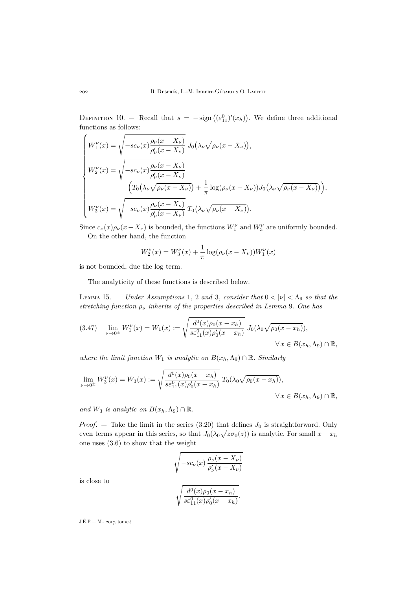<span id="page-26-0"></span>DEFINITION 10. — Recall that  $s = -\text{sign}((\varepsilon_{11}^0)'(x_h))$ . We define three additional functions as follows:

$$
\begin{cases}\nW_1^{\nu}(x) = \sqrt{-sc_{\nu}(x)\frac{\rho_{\nu}(x - X_{\nu})}{\rho_{\nu}'(x - X_{\nu})}} J_0(\lambda_{\nu}\sqrt{\rho_{\nu}(x - X_{\nu})}), \\
W_2^{\nu}(x) = \sqrt{-sc_{\nu}(x)\frac{\rho_{\nu}(x - X_{\nu})}{\rho_{\nu}'(x - X_{\nu})}} \\
\left(T_0(\lambda_{\nu}\sqrt{\rho_{\nu}(x - X_{\nu})}) + \frac{1}{\pi}\log(\rho_{\nu}(x - X_{\nu}))J_0(\lambda_{\nu}\sqrt{\rho_{\nu}(x - X_{\nu})})\right), \\
W_3^{\nu}(x) = \sqrt{-sc_{\nu}(x)\frac{\rho_{\nu}(x - X_{\nu})}{\rho_{\nu}'(x - X_{\nu})}} T_0(\lambda_{\nu}\sqrt{\rho_{\nu}(x - X_{\nu})}).\n\end{cases}
$$

Since  $c_{\nu}(x)\rho_{\nu}(x-X_{\nu})$  is bounded, the functions  $W^{\nu}_{1}$  and  $W^{\nu}_{3}$  are uniformly bounded. On the other hand, the function

$$
W_2^{\nu}(x) = W_3^{\nu}(x) + \frac{1}{\pi} \log(\rho_{\nu}(x - X_{\nu})) W_1^{\nu}(x)
$$

is not bounded, due the log term.

The analyticity of these functions is described below.

LEMMA [1](#page-11-1)5.  $-$  *Under Assumptions* 1, [2](#page-12-0) *and* [3](#page-12-1), *consider that*  $0 < |\nu| < \Lambda_9$  *so that the stretching function* ρ<sup>ν</sup> *inherits of the properties described in Lemma* [9](#page-20-3)*. One has*

<span id="page-26-1"></span>
$$
(3.47) \quad \lim_{\nu \to 0^{\pm}} W_1^{\nu}(x) = W_1(x) := \sqrt{\frac{d^0(x)\rho_0(x - x_h)}{s\varepsilon_{11}^0(x)\rho_0'(x - x_h)}} J_0(\lambda_0 \sqrt{\rho_0(x - x_h)}),
$$
  

$$
\forall x \in B(x_h, \Lambda_9) \cap \mathbb{R},
$$

*where the limit function*  $W_1$  *is analytic on*  $B(x_h, \Lambda_9) \cap \mathbb{R}$ *. Similarly* 

$$
\lim_{\nu \to 0^{\pm}} W_3^{\nu}(x) = W_3(x) := \sqrt{\frac{d^0(x)\rho_0(x - x_h)}{s \varepsilon_{11}^0(x)\rho_0'(x - x_h)}} T_0(\lambda_0 \sqrt{\rho_0(x - x_h)}),
$$
  

$$
\forall x \in B(x_h, \Lambda_9) \cap \mathbb{R},
$$

*and*  $W_3$  *is analytic on*  $B(x_h, \Lambda_9) \cap \mathbb{R}$ *.* 

*Proof.*  $-$  Take the limit in the series [\(3.20\)](#page-18-3) that defines  $J_0$  is straightforward. Only even terms appear in this series, so that  $J_0(\lambda_0\sqrt{z\sigma_0(z)})$  is analytic. For small  $x - x_h$ one uses [\(3.6\)](#page-12-3) to show that the weight

$$
\sqrt{-sc_{\nu}(x)\frac{\rho_{\nu}(x-X_{\nu})}{\rho_{\nu}'(x-X_{\nu})}}
$$

$$
\sqrt{\frac{d^0(x)\rho_0(x-x_h)}{se_{11}^0(x)\rho_0'(x-x_h)}}.
$$

is close to

$$
\sqrt{\frac{d^0(x)\rho_0(x-x_h)}{s\varepsilon_{11}^0(x)\rho_0'(x-x_h)}}
$$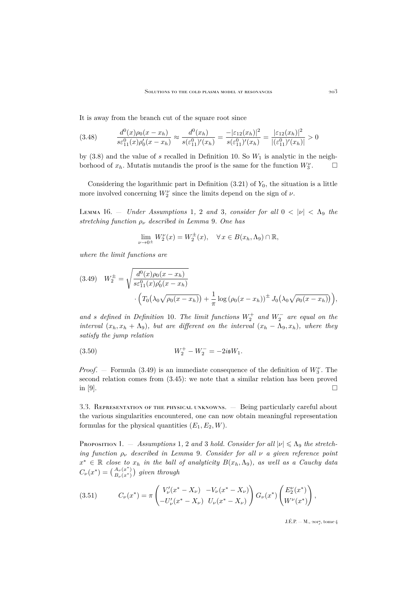It is away from the branch cut of the square root since

<span id="page-27-2"></span>
$$
(3.48) \qquad \frac{d^0(x)\rho_0(x-x_h)}{s\varepsilon_{11}^0(x)\rho_0'(x-x_h)} \approx \frac{d^0(x_h)}{s(\varepsilon_{11}^0)'(x_h)} = \frac{-|\varepsilon_{12}(x_h)|^2}{s(\varepsilon_{11}^0)'(x_h)} = \frac{|\varepsilon_{12}(x_h)|^2}{|(\varepsilon_{11}^0)'(x_h)|} > 0
$$

by  $(3.8)$  and the value of s recalled in Definition [10.](#page-26-0) So  $W_1$  is analytic in the neighborhood of  $x_h$ . Mutatis mutandis the proof is the same for the function  $W_3^{\nu}$  $\Box$ 

Considering the logarithmic part in Definition  $(3.21)$  of  $Y_0$ , the situation is a little more involved concerning  $W_2^{\nu}$  since the limits depend on the sign of  $\nu$ .

LEMMA [1](#page-11-1)6. – *Under Assumptions* 1, [2](#page-12-0) *and* [3](#page-12-1), *consider for all*  $0 < |\nu| < \Lambda_9$  *the stretching function* ρ<sup>ν</sup> *described in Lemma* [9](#page-20-3)*. One has*

$$
\lim_{\nu \to 0^{\pm}} W_2^{\nu}(x) = W_2^{\pm}(x), \quad \forall x \in B(x_h, \Lambda_9) \cap \mathbb{R},
$$

*where the limit functions are*

<span id="page-27-0"></span>
$$
(3.49) \quad W_2^{\pm} = \sqrt{\frac{d^0(x)\rho_0(x - x_h)}{s\varepsilon_{11}^0(x)\rho_0'(x - x_h)}} \cdot \Big( T_0(\lambda_0\sqrt{\rho_0(x - x_h)}) + \frac{1}{\pi}\log\left(\rho_0(x - x_h)\right)^{\pm} J_0(\lambda_0\sqrt{\rho_0(x - x_h)}) \Big),
$$

 $and$  *s* defined in Definition [10](#page-26-0). The limit functions  $W_2^+$  and  $W_2^-$  are equal on the *interval*  $(x_h, x_h + \Lambda_9)$ *, but are different on the interval*  $(x_h - \Lambda_9, x_h)$ *, where they satisfy the jump relation*

(3.50) 
$$
W_2^+ - W_2^- = -2i\mathfrak{s}W_1.
$$

*Proof.* – Formula [\(3.49\)](#page-27-0) is an immediate consequence of the definition of  $W_3^{\nu}$ . The second relation comes from [\(3.45\)](#page-25-1): we note that a similar relation has been proved in [\[9\]](#page-45-1).

3.3. Representation of the physical unknowns. — Being particularly careful about the various singularities encountered, one can now obtain meaningful representation formulas for the physical quantities  $(E_1, E_2, W)$ .

Proposition [1](#page-11-1). – Assumptions 1, [2](#page-12-0) and [3](#page-12-1) hold. Consider for all  $|v| \leq \Lambda_9$  the stretch*ing function* ρ<sup>ν</sup> *described in Lemma* [9](#page-20-3)*. Consider for all* ν *a given reference point*  $x^* \in \mathbb{R}$  *close to*  $x_h$  *in the ball of analyticity*  $B(x_h, \Lambda_9)$ *, as well as a Cauchy data*  $C_{\nu}(x^*) = \left(\frac{A_{\nu}(x^*)}{B_{\nu}(x^*)}\right)$  $\binom{A_\nu(x^*)}{B_\nu(x^*)}$  given through

<span id="page-27-1"></span>(3.51) 
$$
C_{\nu}(x^*) = \pi \begin{pmatrix} V_{\nu}'(x^* - X_{\nu}) & -V_{\nu}(x^* - X_{\nu}) \\ -U_{\nu}'(x^* - X_{\nu}) & U_{\nu}(x^* - X_{\nu}) \end{pmatrix} G_{\nu}(x^*) \begin{pmatrix} E_2^{\nu}(x^*) \\ W^{\nu}(x^*) \end{pmatrix},
$$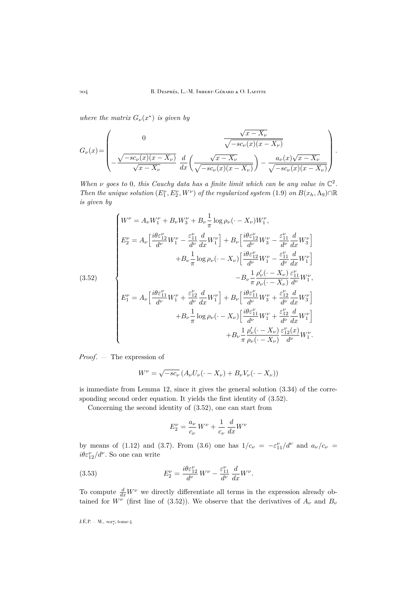*where the matrix*  $G_{\nu}(x^*)$  *is given by* 

$$
G_{\nu}(x) = \begin{pmatrix} 0 & \frac{\sqrt{x - X_{\nu}}}{\sqrt{-sc_{\nu}(x)(x - X_{\nu})}} \\ -\frac{\sqrt{-sc_{\nu}(x)(x - X_{\nu})}}{\sqrt{x - X_{\nu}}} & \frac{d}{dx} \left( \frac{\sqrt{x - X_{\nu}}}{\sqrt{-sc_{\nu}(x)(x - X_{\nu})}} \right) - \frac{a_{\nu}(x)\sqrt{x - X_{\nu}}}{\sqrt{-sc_{\nu}(x)(x - X_{\nu})}} \end{pmatrix}.
$$

*When*  $\nu$  goes to 0, this Cauchy data has a finite limit which can be any value in  $\mathbb{C}^2$ . *Then the unique solution*  $(E_1^{\nu}, E_2^{\nu}, W^{\nu})$  *of the regularized system* [\(1.9\)](#page-6-1) *on*  $B(x_h, \Lambda_9) \cap \mathbb{R}$ *is given by*

<span id="page-28-0"></span>
$$
(3.52)
$$
\n
$$
\begin{cases}\nW^{\nu} = A_{\nu}W_{1}^{\nu} + B_{\nu}W_{3}^{\nu} + B_{\nu} \frac{1}{\pi} \log \rho_{\nu} (\cdot - X_{\nu})W_{1}^{\nu}, \\
E_{2}^{\nu} = A_{\nu} \left[ \frac{i\theta \varepsilon_{12}^{\nu}}{d^{\nu}} W_{1}^{\nu} - \frac{\varepsilon_{11}^{\nu}}{d^{\nu}} \frac{d}{dx} W_{1}^{\nu} \right] + B_{\nu} \left[ \frac{i\theta \varepsilon_{12}^{\nu}}{d^{\nu}} W_{3}^{\nu} - \frac{\varepsilon_{11}^{\nu}}{d^{\nu}} \frac{d}{dx} W_{3}^{\nu} \right] \\
+ B_{\nu} \frac{1}{\pi} \log \rho_{\nu} (\cdot - X_{\nu}) \left[ \frac{i\theta \varepsilon_{12}^{\nu}}{d^{\nu}} W_{1}^{\nu} - \frac{\varepsilon_{11}^{\nu}}{d^{\nu}} \frac{d}{dx} W_{1}^{\nu} \right] \\
- B_{\nu} \frac{1}{\pi} \frac{\rho_{\nu}^{\prime} (\cdot - X_{\nu})}{\rho_{\nu} (\cdot - X_{\nu})} \frac{\varepsilon_{11}^{\nu}}{d^{\nu}} W_{1}^{\nu}, \\
E_{1}^{\nu} = A_{\nu} \left[ \frac{i\theta \varepsilon_{11}^{\nu}}{d^{\nu}} W_{1}^{\nu} + \frac{\varepsilon_{12}^{\nu}}{d^{\nu}} \frac{d}{dx} W_{1}^{\nu} \right] + B_{\nu} \left[ \frac{i\theta \varepsilon_{11}^{\nu}}{d^{\nu}} W_{3}^{\nu} + \frac{\varepsilon_{12}^{\nu}}{d^{\nu}} \frac{d}{dx} W_{3}^{\nu} \right] \\
+ B_{\nu} \frac{1}{\pi} \log \rho_{\nu} (\cdot - X_{\nu}) \left[ \frac{i\theta \varepsilon_{11}^{\nu}}{d^{\nu}} W_{1}^{\nu} + \frac{\varepsilon_{12}^{\nu}}{d^{\nu}} \frac{d}{dx} W_{1}^{\nu} \right] \\
+ B_{\nu} \frac{1}{\pi} \frac{\rho_{\nu}^{\prime} (\cdot - X_{\nu})}{\rho_{\nu} (\cdot - X_{\
$$

*Proof*. — The expression of

$$
W^{\nu} = \sqrt{-sc_{\nu}} \left( A_{\nu} U_{\nu} (\cdot - X_{\nu}) + B_{\nu} V_{\nu} (\cdot - X_{\nu}) \right)
$$

is immediate from Lemma [12,](#page-23-5) since it gives the general solution [\(3.34\)](#page-23-6) of the corresponding second order equation. It yields the first identity of [\(3.52\)](#page-28-0).

Concerning the second identity of [\(3.52\)](#page-28-0), one can start from

<span id="page-28-1"></span>
$$
E_2^{\nu} = \frac{a_{\nu}}{c_{\nu}} W^{\nu} + \frac{1}{c_{\nu}} \frac{d}{dx} W^{\nu}
$$

by means of [\(1.12\)](#page-7-0) and [\(3.7\)](#page-12-4). From [\(3.6\)](#page-12-3) one has  $1/c_{\nu} = -\varepsilon_{11}^{\nu}/d^{\nu}$  and  $a_{\nu}/c_{\nu} =$  $i\theta \varepsilon_{12}^{\nu}/d^{\nu}$ . So one can write

(3.53) 
$$
E_2^{\nu} = \frac{i\theta \varepsilon_{12}^{\nu}}{d^{\nu}} W^{\nu} - \frac{\varepsilon_{11}^{\nu}}{d^{\nu}} \frac{d}{dx} W^{\nu}.
$$

To compute  $\frac{d}{dx}W^{\nu}$  we directly differentiate all terms in the expression already obtained for  $W^{\nu}$  (first line of [\(3.52\)](#page-28-0)). We observe that the derivatives of  $A_{\nu}$  and  $B_{\nu}$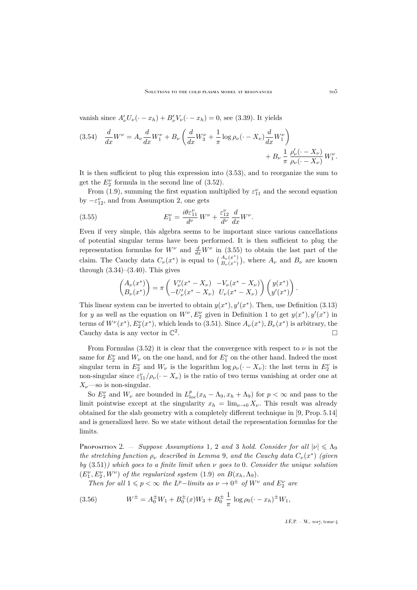vanish since  $A'_\nu U_\nu(\cdot - x_h) + B'_\nu V_\nu(\cdot - x_h) = 0$ , see [\(3.39\)](#page-23-1). It yields

$$
(3.54) \frac{d}{dx}W^{\nu} = A_{\nu}\frac{d}{dx}W_{1}^{\nu} + B_{\nu}\left(\frac{d}{dx}W_{3}^{\nu} + \frac{1}{\pi}\log\rho_{\nu}(\cdot - X_{\nu})\frac{d}{dx}W_{1}^{\nu}\right) + B_{\nu}\frac{1}{\pi}\frac{\rho_{\nu}'(\cdot - X_{\nu})}{\rho_{\nu}(\cdot - X_{\nu})}W_{1}^{\nu}.
$$

It is then sufficient to plug this expression into [\(3.53\)](#page-28-1), and to reorganize the sum to get the  $E_2^{\nu}$  formula in the second line of [\(3.52\)](#page-28-0).

From [\(1.9\)](#page-6-1), summing the first equation multiplied by  $\varepsilon_{11}^{\nu}$  and the second equation by  $-\varepsilon_{12}^{\nu}$ , and from Assumption [2,](#page-12-0) one gets

(3.55) 
$$
E_1^{\nu} = \frac{i\theta \varepsilon_{11}^{\nu}}{d^{\nu}} W^{\nu} + \frac{\varepsilon_{12}^{\nu}}{d^{\nu}} \frac{d}{dx} W^{\nu}.
$$

Even if very simple, this algebra seems to be important since various cancellations of potential singular terms have been performed. It is then sufficient to plug the representation formulas for  $W^{\nu}$  and  $\frac{d}{dx}W^{\nu}$  in [\(3.55\)](#page-29-0) to obtain the last part of the claim. The Cauchy data  $C_{\nu}(x^*)$  is equal to  $\left(\frac{A_{\nu}(x^*)}{B_{\nu}(x^*)}\right)$  $\binom{A_{\nu}(x^*)}{B_{\nu}(x^*)}$ , where  $A_{\nu}$  and  $B_{\nu}$  are known through  $(3.34)$ – $(3.40)$ . This gives

<span id="page-29-0"></span>
$$
\begin{pmatrix} A_{\nu}(x^*) \\ B_{\nu}(x^*) \end{pmatrix} = \pi \begin{pmatrix} V_{\nu}'(x^* - X_{\nu}) & -V_{\nu}(x^* - X_{\nu}) \\ -U_{\nu}'(x^* - X_{\nu}) & U_{\nu}(x^* - X_{\nu}) \end{pmatrix} \begin{pmatrix} y(x^*) \\ y'(x^*) \end{pmatrix}.
$$

This linear system can be inverted to obtain  $y(x^*)$ ,  $y'(x^*)$ . Then, use Definition [\(3.13\)](#page-15-1) for y as well as the equation on  $W^{\nu}, E_2^{\nu}$  given in Definition [1](#page-7-1) to get  $y(x^*)$ ,  $y'(x^*)$  in terms of  $W^{\nu}(x^*), E_2^{\nu}(x^*)$ , which leads to [\(3.51\)](#page-27-1). Since  $A_{\nu}(x^*), B_{\nu}(x^*)$  is arbitrary, the Cauchy data is any vector in  $\mathbb{C}^2$ .

From Formulas [\(3.52\)](#page-28-0) it is clear that the convergence with respect to  $\nu$  is not the same for  $E_2^{\nu}$  and  $W_{\nu}$  on the one hand, and for  $E_1^{\nu}$  on the other hand. Indeed the most singular term in  $E_2^{\nu}$  and  $W_{\nu}$  is the logarithm  $\log \rho_{\nu}(\cdot - X_{\nu})$ : the last term in  $E_2^{\nu}$  is non-singular since  $\varepsilon_{11}^{\nu}/\rho_{\nu}(\cdot - X_{\nu})$  is the ratio of two terms vanishing at order one at  $X_{\nu}$ —so is non-singular.

So  $E_2^{\nu}$  and  $W_{\nu}$  are bounded in  $L_{loc}^p(x_h - \Lambda_9, x_h + \Lambda_9)$  for  $p < \infty$  and pass to the limit pointwise except at the singularity  $x_h = \lim_{\nu \to 0} X_{\nu}$ . This result was already obtained for the slab geometry with a completely different technique in [\[9,](#page-45-1) Prop. 5.14] and is generalized here. So we state without detail the representation formulas for the limits.

Proposition [2](#page-12-0). – *Suppose Assumptions* [1](#page-11-1), 2 *and* [3](#page-12-1) *hold. Consider for all*  $|\nu| \leq \Lambda_9$ *the stretching function*  $\rho_{\nu}$  *described in Lemma* [9](#page-20-3), and the Cauchy data  $C_{\nu}(x^*)$  (given *by* [\(3.51\)](#page-27-1)*) which goes to a finite limit when* ν *goes to* 0*. Consider the unique solution*  $(E_1^{\nu}, E_2^{\nu}, W^{\nu})$  *of the regularized system* [\(1.9\)](#page-6-1) *on*  $B(x_h, \Lambda_9)$ *.* 

*Then for all*  $1 \leq p < \infty$  *the L<sup>p</sup>* $-$ *limits as*  $\nu \to 0^{\pm}$  *of*  $W^{\nu}$  *and*  $E_2^{\nu}$  *are* 

(3.56) 
$$
W^{\pm} = A_0^{\pm} W_1 + B_0^{\pm}(x) W_3 + B_0^{\pm} \frac{1}{\pi} \log \rho_0 (\cdot - x_h)^{\pm} W_1,
$$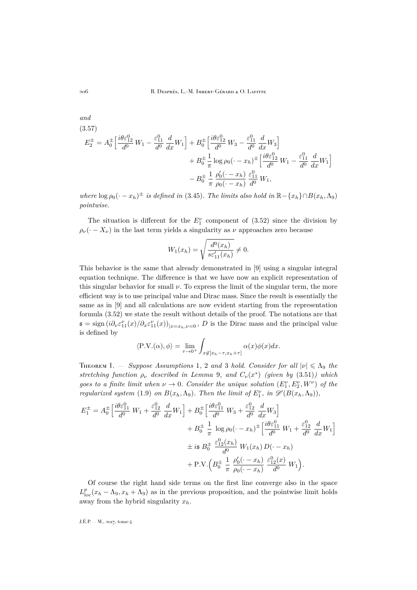$$
(3.57)
$$
\n
$$
E_2^{\pm} = A_0^{\pm} \left[ \frac{i\theta \varepsilon_{12}^0}{d^0} W_1 - \frac{\varepsilon_{11}^0}{d^0} \frac{d}{dx} W_1 \right] + B_0^{\pm} \left[ \frac{i\theta \varepsilon_{12}^0}{d^0} W_3 - \frac{\varepsilon_{11}^0}{d^0} \frac{d}{dx} W_3 \right] + B_0^{\pm} \frac{1}{\pi} \log \rho_0 (\cdot - x_h)^{\pm} \left[ \frac{i\theta \varepsilon_{12}^0}{d^0} W_1 - \frac{\varepsilon_{11}^0}{d^0} \frac{d}{dx} W_1 \right] - B_0^{\pm} \frac{1}{\pi} \frac{\rho_0' (\cdot - x_h)}{\rho_0 (\cdot - x_h)} \frac{\varepsilon_{11}^0}{d^0} W_1,
$$

*where*  $\log \rho_0(\cdot - x_h)^{\pm}$  *is defined in* [\(3.45\)](#page-25-1)*. The limits also hold in*  $\mathbb{R} - \{x_h\} \cap B(x_h, \Lambda_9)$ *pointwise.*

The situation is different for the  $E_1^{\nu}$  component of [\(3.52\)](#page-28-0) since the division by  $\rho_{\nu}$  ( $\cdot - X_{\nu}$ ) in the last term yields a singularity as  $\nu$  approaches zero because

$$
W_1(x_h) = \sqrt{\frac{d^0(x_h)}{s \varepsilon'_{11}(x_h)}} \neq 0.
$$

This behavior is the same that already demonstrated in [\[9\]](#page-45-1) using a singular integral equation technique. The difference is that we have now an explicit representation of this singular behavior for small  $\nu$ . To express the limit of the singular term, the more efficient way is to use principal value and Dirac mass. Since the result is essentially the same as in [\[9\]](#page-45-1) and all calculations are now evident starting from the representation formula [\(3.52\)](#page-28-0) we state the result without details of the proof. The notations are that  $\mathfrak{s} = \text{sign}\left(i\partial_{\nu}\varepsilon_{11}^{\nu}(x)/\partial_{x}\varepsilon_{11}^{\nu}(x)\right)_{|x=x_h,\nu=0}, D$  is the Dirac mass and the principal value is defined by

$$
\langle \text{P.V.}(\alpha), \phi \rangle = \lim_{\tau \to 0^+} \int_{x \notin [x_h - \tau, x_h + \tau]} \alpha(x) \phi(x) dx.
$$

<span id="page-30-0"></span>THEOREM [1](#page-11-1). — *Suppose Assumptions* 1, [2](#page-12-0) *and* [3](#page-12-1) *hold. Consider for all*  $|\nu| \leq \Lambda$ <sub>9</sub> *the* stretching function  $\rho_{\nu}$  described in Lemma [9](#page-20-3), and  $C_{\nu}(x^*)$  (given by [\(3.51\)](#page-27-1)) which *goes to a finite limit when*  $\nu \to 0$ . Consider the unique solution  $(E_1^{\nu}, E_2^{\nu}, W^{\nu})$  of the *regularized system* [\(1.9\)](#page-6-1) *on*  $B(x_h, \Lambda_9)$ *. Then the limit of*  $E_1^{\nu}$ *, in*  $\mathscr{D}'(B(x_h, \Lambda_9))$ *,* 

$$
E_{1}^{\pm} = A_{0}^{\pm} \left[ \frac{i\theta \varepsilon_{11}^{0}}{d^{0}} W_{1} + \frac{\varepsilon_{12}^{0}}{d^{0}} \frac{d}{dx} W_{1} \right] + B_{0}^{\pm} \left[ \frac{i\theta \varepsilon_{11}^{0}}{d^{0}} W_{3} + \frac{\varepsilon_{12}^{0}}{d^{0}} \frac{d}{dx} W_{3} \right] + B_{0}^{\pm} \frac{1}{\pi} \log \rho_{0} (\cdot - x_{h})^{\pm} \left[ \frac{i\theta \varepsilon_{11}^{0}}{d^{0}} W_{1} + \frac{\varepsilon_{12}^{0}}{d^{0}} \frac{d}{dx} W_{1} \right] + \text{i} \mathfrak{s} B_{0}^{\pm} \frac{\varepsilon_{12}^{0}(x_{h})}{d^{0}} W_{1}(x_{h}) D(\cdot - x_{h}) + P.V. \left( B_{0}^{\pm} \frac{1}{\pi} \frac{\rho_{0}'(\cdot - x_{h})}{\rho_{0}(\cdot - x_{h})} \frac{\varepsilon_{12}^{0}(x)}{d^{0}} W_{1} \right).
$$

Of course the right hand side terms on the first line converge also in the space  $L_{\text{loc}}^p(x_h - \Lambda_9, x_h + \Lambda_9)$  as in the previous proposition, and the pointwise limit holds away from the hybrid singularity  $x_h$ .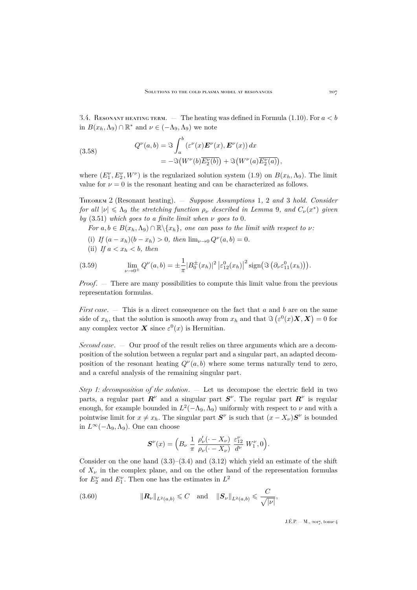3.4. RESONANT HEATING TERM. — The heating was defined in Formula [\(1.10\)](#page-7-6). For  $a < b$ in  $B(x_h, \Lambda_9) \cap \mathbb{R}^*$  and  $\nu \in (-\Lambda_9, \Lambda_9)$  we note

<span id="page-31-3"></span>(3.58) 
$$
Q^{\nu}(a,b) = \Im \int_{a}^{b} (\varepsilon^{\nu}(x) \boldsymbol{E}^{\nu}(x), \boldsymbol{E}^{\nu}(x)) dx
$$

$$
= -\Im(W^{\nu}(b) \overline{E_2^{\nu}(b)}) + \Im(W^{\nu}(a) \overline{E_2^{\nu}(a)})
$$

where  $(E_1^{\nu}, E_2^{\nu}, W^{\nu})$  is the regularized solution system [\(1.9\)](#page-6-1) on  $B(x_h, \Lambda_9)$ . The limit value for  $\nu = 0$  is the resonant heating and can be characterized as follows.

<span id="page-31-0"></span>Theorem 2 (Resonant heating). — *Suppose Assumptions* [1](#page-11-1)*,* [2](#page-12-0) *and* [3](#page-12-1) *hold. Consider for all*  $|\nu| \leq \Lambda_9$  $|\nu| \leq \Lambda_9$  *the stretching function*  $\rho_{\nu}$  *described in Lemma* 9*, and*  $C_{\nu}(x^*)$  *given*  $by$  [\(3.51\)](#page-27-1) *which goes to a finite limit when*  $\nu$  *goes to* 0*.* 

*For*  $a, b \in B(x_h, \Lambda_9) \cap \mathbb{R} \setminus \{x_h\}$ , one can pass to the limit with respect to  $\nu$ :

- (i) If  $(a x_h)(b x_h) > 0$ , then  $\lim_{\nu \to 0} Q^{\nu}(a, b) = 0$ .
- <span id="page-31-2"></span>(ii) If  $a < x_h < b$ , then

(3.59) 
$$
\lim_{\nu \to 0^{\pm}} Q^{\nu}(a, b) = \pm \frac{1}{\pi} |B_0^{\pm}(x_h)|^2 \left| \varepsilon_{12}^0(x_h) \right|^2 \operatorname{sign}(\Im(\partial_{\nu} \varepsilon_{11}^0(x_h))).
$$

*Proof*. — There are many possibilities to compute this limit value from the previous representation formulas.

*First case.* — This is a direct consequence on the fact that a and b are on the same side of  $x_h$ , that the solution is smooth away from  $x_h$  and that  $\Im(\varepsilon^0(x)X, X) = 0$  for any complex vector  $\boldsymbol{X}$  since  $\varepsilon^0(x)$  is Hermitian.

*Second case*. — Our proof of the result relies on three arguments which are a decomposition of the solution between a regular part and a singular part, an adapted decomposition of the resonant heating  $Q^{\nu}(a, b)$  where some terms naturally tend to zero, and a careful analysis of the remaining singular part.

*Step 1: decomposition of the solution*. — Let us decompose the electric field in two parts, a regular part  $\mathbf{R}^{\nu}$  and a singular part  $\mathbf{S}^{\nu}$ . The regular part  $\mathbf{R}^{\nu}$  is regular enough, for example bounded in  $L^2(-\Lambda_9, \Lambda_9)$  uniformly with respect to  $\nu$  and with a pointwise limit for  $x \neq x_h$ . The singular part  $S^{\nu}$  is such that  $(x - X_{\nu})S^{\nu}$  is bounded in  $L<sup>∞</sup>(-\Lambda<sub>9</sub>, \Lambda<sub>9</sub>)$ . One can choose

<span id="page-31-1"></span>
$$
\pmb{S}^{\nu}(x)=\Big(B_{\nu}\;\frac{1}{\pi}\;\frac{\rho'_{\nu}(\cdot-X_{\nu})}{\rho_{\nu}(\cdot-X_{\nu})}\;\frac{\varepsilon_{12}^{\nu}}{d^{\nu}}\;W^{\nu}_{1},0\Big).
$$

Consider on the one hand  $(3.3)$ – $(3.4)$  and  $(3.12)$  which yield an estimate of the shift of  $X_{\nu}$  in the complex plane, and on the other hand of the representation formulas for  $E_2^{\nu}$  and  $E_1^{\nu}$ . Then one has the estimates in  $L^2$ 

(3.60) 
$$
\|R_{\nu}\|_{L^{2}(a,b)} \leq C \quad \text{and} \quad \|S_{\nu}\|_{L^{2}(a,b)} \leq C
$$

J.É.P. — M., 2017, tome 4

,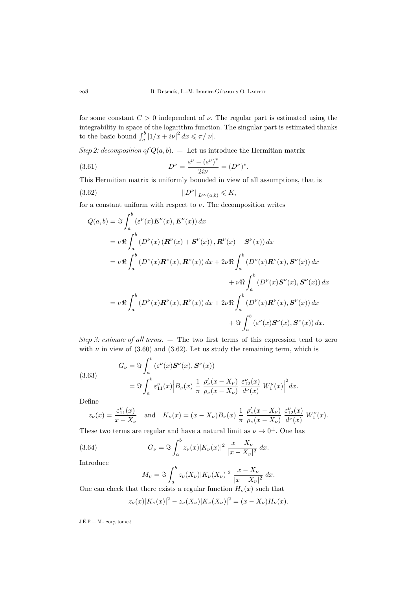for some constant  $C > 0$  independent of  $\nu$ . The regular part is estimated using the integrability in space of the logarithm function. The singular part is estimated thanks to the basic bound  $\int_a^b |1/x + i\nu|^2 dx \le \pi/|\nu|.$ 

*Step 2: decomposition of*  $Q(a, b)$ .  $-$  Let us introduce the Hermitian matrix

(3.61) 
$$
D^{\nu} = \frac{\varepsilon^{\nu} - (\varepsilon^{\nu})^*}{2i\nu} = (D^{\nu})^*.
$$

This Hermitian matrix is uniformly bounded in view of all assumptions, that is

$$
||D^{\nu}||_{L^{\infty}(a,b)} \leqslant K,
$$

<span id="page-32-0"></span> $\Delta$ 

for a constant uniform with respect to  $\nu$ . The decomposition writes

$$
Q(a,b) = \Im \int_{a}^{b} (\varepsilon^{\nu}(x) \mathbf{E}^{\nu}(x), \mathbf{E}^{\nu}(x)) dx
$$
  
\n
$$
= \nu \Re \int_{a}^{b} (D^{\nu}(x) (\mathbf{R}^{\nu}(x) + \mathbf{S}^{\nu}(x)), \mathbf{R}^{\nu}(x) + \mathbf{S}^{\nu}(x)) dx
$$
  
\n
$$
= \nu \Re \int_{a}^{b} (D^{\nu}(x) \mathbf{R}^{\nu}(x), \mathbf{R}^{\nu}(x)) dx + 2\nu \Re \int_{a}^{b} (D^{\nu}(x) \mathbf{R}^{\nu}(x), \mathbf{S}^{\nu}(x)) dx
$$
  
\n
$$
+ \nu \Re \int_{a}^{b} (D^{\nu}(x) \mathbf{S}^{\nu}(x), \mathbf{S}^{\nu}(x)) dx
$$
  
\n
$$
= \nu \Re \int_{a}^{b} (D^{\nu}(x) \mathbf{R}^{\nu}(x), \mathbf{R}^{\nu}(x)) dx + 2\nu \Re \int_{a}^{b} (D^{\nu}(x) \mathbf{R}^{\nu}(x), \mathbf{S}^{\nu}(x)) dx
$$
  
\n
$$
+ \Im \int_{a}^{b} (\varepsilon^{\nu}(x) \mathbf{S}^{\nu}(x), \mathbf{S}^{\nu}(x)) dx.
$$

*Step 3: estimate of all terms*. — The two first terms of this expression tend to zero with  $\nu$  in view of [\(3.60\)](#page-31-1) and [\(3.62\)](#page-32-0). Let us study the remaining term, which is

<span id="page-32-1"></span>(3.63)  
\n
$$
G_{\nu} = \Im \int_{a}^{b} (\varepsilon^{\nu}(x) \mathbf{S}^{\nu}(x), \mathbf{S}^{\nu}(x))
$$
\n
$$
= \Im \int_{a}^{b} \varepsilon_{11}^{\nu}(x) \left| B_{\nu}(x) \frac{1}{\pi} \frac{\rho_{\nu}^{\prime}(x - X_{\nu})}{\rho_{\nu}(x - X_{\nu})} \frac{\varepsilon_{12}^{\nu}(x)}{d^{\nu}(x)} W_{1}^{\nu}(x) \right|^{2} dx.
$$

Define

$$
z_{\nu}(x) = \frac{\varepsilon_{11}^{\nu}(x)}{x - X_{\nu}} \quad \text{and} \quad K_{\nu}(x) = (x - X_{\nu})B_{\nu}(x) + \frac{1}{\pi} \frac{\rho_{\nu}'(x - X_{\nu})}{\rho_{\nu}(x - X_{\nu})} \frac{\varepsilon_{12}^{\nu}(x)}{d^{\nu}(x)} W_{1}^{\nu}(x).
$$

These two terms are regular and have a natural limit as  $\nu \to 0^{\pm}$ . One has

(3.64) 
$$
G_{\nu} = \Im \int_{a}^{b} z_{\nu}(x) |K_{\nu}(x)|^{2} \frac{x - X_{\nu}}{|x - X_{\nu}|^{2}} dx.
$$

Introduce

<span id="page-32-2"></span>
$$
M_{\nu} = \Im \int_{a}^{b} z_{\nu}(X_{\nu}) |K_{\nu}(X_{\nu})|^{2} \frac{x - X_{\nu}}{|x - X_{\nu}|^{2}} dx.
$$

One can check that there exists a regular function  $H_{\nu}(x)$  such that

$$
z_{\nu}(x)|K_{\nu}(x)|^{2} - z_{\nu}(X_{\nu})|K_{\nu}(X_{\nu})|^{2} = (x - X_{\nu})H_{\nu}(x).
$$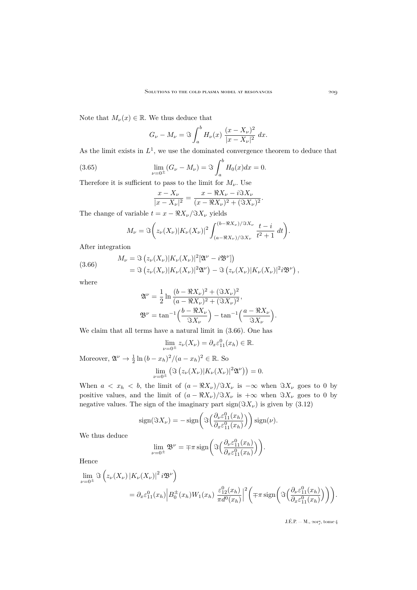Note that  $M_{\nu}(x) \in \mathbb{R}$ . We thus deduce that

$$
G_{\nu} - M_{\nu} = \Im \int_{a}^{b} H_{\nu}(x) \frac{(x - X_{\nu})^{2}}{|x - X_{\nu}|^{2}} dx.
$$

As the limit exists in  $L^1$ , we use the dominated convergence theorem to deduce that

(3.65) 
$$
\lim_{\nu=0^{\pm}} (G_{\nu} - M_{\nu}) = \Im \int_{a}^{b} H_{0}(x) dx = 0.
$$

Therefore it is sufficient to pass to the limit for  $M_{\nu}$ . Use

<span id="page-33-1"></span>
$$
\frac{x - X_{\nu}}{|x - X_{\nu}|^2} = \frac{x - \Re X_{\nu} - i \Im X_{\nu}}{(x - \Re X_{\nu})^2 + (\Im X_{\nu})^2}.
$$

The change of variable  $t = x - \Re X_{\nu}/\Im X_{\nu}$  yields

$$
M_{\nu} = \Im\bigg(z_{\nu}(X_{\nu})|K_{\nu}(X_{\nu})|^2 \int_{(a-\Re X_{\nu})/\Im X_{\nu}}^{(b-\Re X_{\nu})/\Im X_{\nu}} \frac{t-i}{t^2+1} dt\bigg).
$$

After integration

<span id="page-33-0"></span>(3.66) 
$$
M_{\nu} = \mathfrak{F}\left(z_{\nu}(X_{\nu})|K_{\nu}(X_{\nu})|^2[\mathfrak{A}^{\nu} - i\mathfrak{B}^{\nu}]\right) = \mathfrak{F}\left(z_{\nu}(X_{\nu})|K_{\nu}(X_{\nu})|^2\mathfrak{A}^{\nu}\right) - \mathfrak{F}\left(z_{\nu}(X_{\nu})|K_{\nu}(X_{\nu})|^2i\mathfrak{B}^{\nu}\right),
$$

where

$$
\mathfrak{A}^{\nu} = \frac{1}{2} \ln \frac{(b - \Re X_{\nu})^2 + (\Im X_{\nu})^2}{(a - \Re X_{\nu})^2 + (\Im X_{\nu})^2},
$$

$$
\mathfrak{B}^{\nu} = \tan^{-1} \left( \frac{b - \Re X_{\nu}}{\Im X_{\nu}} \right) - \tan^{-1} \left( \frac{a - \Re X_{\nu}}{\Im X_{\nu}} \right).
$$

We claim that all terms have a natural limit in [\(3.66\)](#page-33-0). One has

$$
\lim_{\nu=0^{\pm}} z_{\nu}(X_{\nu}) = \partial_x \varepsilon_{11}^0(x_h) \in \mathbb{R}.
$$

Moreover,  $\mathfrak{A}^{\nu} \to \frac{1}{2} \ln (b - x_h)^2 / (a - x_h)^2 \in \mathbb{R}$ . So  $\lim_{\nu=0^{\pm}} \left( \Im \left( z_{\nu}(X_{\nu}) | K_{\nu}(X_{\nu})|^2 \mathfrak{A}^{\nu} \right) \right) = 0.$ 

When  $a < x_h < b$ , the limit of  $(a - \Re X_\nu)/\Im X_\nu$  is  $-\infty$  when  $\Im X_\nu$  goes to 0 by positive values, and the limit of  $(a - \Re X_\nu)/\Im X_\nu$  is  $+\infty$  when  $\Im X_\nu$  goes to 0 by negative values. The sign of the imaginary part  $sign(\Im X_{\nu})$  is given by [\(3.12\)](#page-14-2)

$$
\operatorname{sign}(\Im X_{\nu}) = -\operatorname{sign}\left(\Im\left(\frac{\partial_{\nu}\varepsilon_{11}^{0}(x_h)}{\partial_{x}\varepsilon_{11}^{0}(x_h)}\right)\right)\operatorname{sign}(\nu).
$$

We thus deduce

$$
\lim_{\nu=0^{\pm}} \mathfrak{B}^{\nu} = \mp \pi \operatorname{sign}\bigg(\Im\Big(\frac{\partial_{\nu}\varepsilon_{11}^{0}(x_h)}{\partial_{x}\varepsilon_{11}^{0}(x_h)}\Big)\bigg).
$$

Hence

$$
\lim_{\nu=0^{\pm}} \Im \left( z_{\nu}(X_{\nu}) \left| K_{\nu}(X_{\nu}) \right|^2 i \mathfrak{B}^{\nu} \right)
$$
  
=  $\partial_x \varepsilon_{11}^0(x_h) \left| B_0^{\pm}(x_h) W_1(x_h) \frac{\varepsilon_{12}^0(x_h)}{\pi d^0(x_h)} \right|^2 \left( \mp \pi \operatorname{sign} \left( \Im \left( \frac{\partial_{\nu} \varepsilon_{11}^0(x_h)}{\partial_{x} \varepsilon_{11}^0(x_h)} \right) \right) \right).$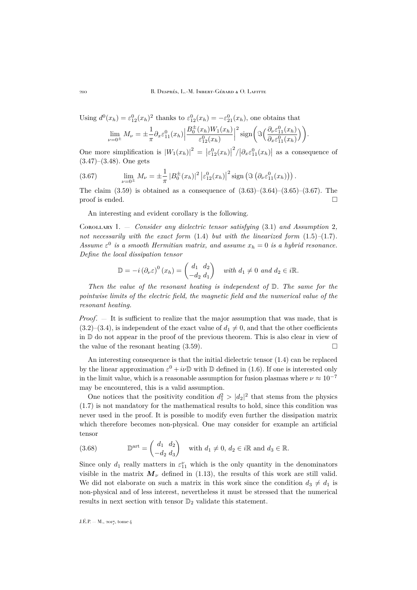Using 
$$
d^0(x_h) = \varepsilon_{12}^0(x_h)^2
$$
 thanks to  $\varepsilon_{12}^0(x_h) = -\varepsilon_{21}^0(x_h)$ , one obtains that  
\n
$$
\lim_{\nu=0^{\pm}} M_{\nu} = \pm \frac{1}{\pi} \partial_x \varepsilon_{11}^0(x_h) \Big| \frac{B_0^{\pm}(x_h) W_1(x_h)}{\varepsilon_{12}^0(x_h)} \Big|^2 \operatorname{sign} \Big( \mathfrak{F} \Big( \frac{\partial_\nu \varepsilon_{11}^0(x_h)}{\partial_x \varepsilon_{11}^0(x_h)} \Big) \Big).
$$

One more simplification is  $|W_1(x_h)|^2 = |\varepsilon_{12}^0(x_h)|$  $\sqrt{\frac{2}{\theta_x \varepsilon_{11}^0(x_h)}}$  as a consequence of [\(3.47\)](#page-26-1)–[\(3.48\)](#page-27-2). One gets

<span id="page-34-1"></span>(3.67) 
$$
\lim_{\nu=0^{\pm}} M_{\nu} = \pm \frac{1}{\pi} |B_0^{\pm}(x_h)|^2 |\varepsilon_{12}^0(x_h)|^2 \operatorname{sign} (\Im (\partial_{\nu} \varepsilon_{11}^0(x_h))) .
$$

The claim  $(3.59)$  is obtained as a consequence of  $(3.63)$ – $(3.64)$ – $(3.65)$ – $(3.67)$ . The proof is ended.  $\Box$ 

An interesting and evident corollary is the following.

<span id="page-34-0"></span>Corollary 1. — *Consider any dielectric tensor satisfying* [\(3.1\)](#page-11-2) *and Assumption* [2](#page-12-0)*, not necessarily with the exact form* [\(1.4\)](#page-4-3) *but with the linearized form* [\(1.5\)](#page-4-2)*–*[\(1.7\)](#page-5-0)*.* Assume  $\varepsilon^0$  is a smooth Hermitian matrix, and assume  $x_h = 0$  is a hybrid resonance. *Define the local dissipation tensor*

$$
\mathbb{D} = -i \left( \partial_{\nu} \varepsilon \right)^{0} (x_{h}) = \begin{pmatrix} d_{1} & d_{2} \\ -d_{2} & d_{1} \end{pmatrix} \quad \text{with } d_{1} \neq 0 \text{ and } d_{2} \in i\mathbb{R}.
$$

*Then the value of the resonant heating is independent of* D*. The same for the pointwise limits of the electric field, the magnetic field and the numerical value of the resonant heating.*

*Proof*. — It is sufficient to realize that the major assumption that was made, that is  $(3.2)$ – $(3.4)$ , is independent of the exact value of  $d_1 \neq 0$ , and that the other coefficients in D do not appear in the proof of the previous theorem. This is also clear in view of the value of the resonant heating  $(3.59)$ .

An interesting consequence is that the initial dielectric tensor [\(1.4\)](#page-4-3) can be replaced by the linear approximation  $\varepsilon^0 + i\nu\mathbb{D}$  with  $\mathbb D$  defined in [\(1.6\)](#page-5-1). If one is interested only in the limit value, which is a reasonable assumption for fusion plasmas where  $\nu \approx 10^{-7}$ may be encountered, this is a valid assumption.

One notices that the positivity condition  $d_1^2 > |d_2|^2$  that stems from the physics [\(1.7\)](#page-5-0) is not mandatory for the mathematical results to hold, since this condition was never used in the proof. It is possible to modify even further the dissipation matrix which therefore becomes non-physical. One may consider for example an artificial tensor

(3.68) 
$$
\mathbb{D}^{\text{art}} = \begin{pmatrix} d_1 & d_2 \\ -d_2 & d_3 \end{pmatrix} \text{ with } d_1 \neq 0, d_2 \in i\mathbb{R} \text{ and } d_3 \in \mathbb{R}.
$$

Since only  $d_1$  really matters in  $\varepsilon_{11}^{\nu}$  which is the only quantity in the denominators visible in the matrix  $M_{\nu}$  defined in [\(1.13\)](#page-7-4), the results of this work are still valid. We did not elaborate on such a matrix in this work since the condition  $d_3 \neq d_1$  is non-physical and of less interest, nevertheless it must be stressed that the numerical results in next section with tensor  $\mathbb{D}_2$  validate this statement.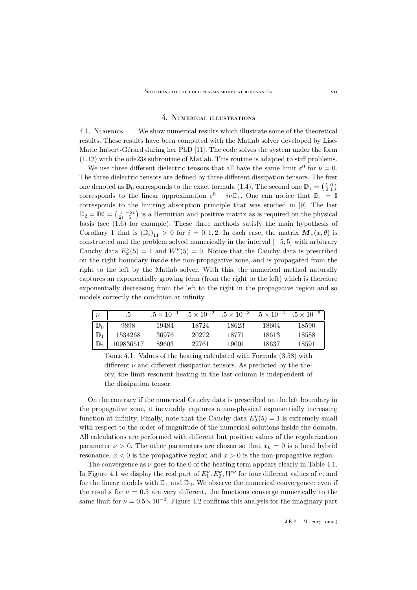## 4. Numerical illustrations

<span id="page-35-0"></span>4.1. Numerics. — We show numerical results which illustrate some of the theoretical results. These results have been computed with the Matlab solver developed by Lise-Marie Imbert-Gérard during her PhD [\[11\]](#page-45-21). The code solves the system under the form [\(1.12\)](#page-7-0) with the ode23s subroutine of Matlab. This routine is adapted to stiff problems.

We use three different dielectric tensors that all have the same limit  $\varepsilon^0$  for  $\nu = 0$ . The three dielectric tensors are defined by three different dissipation tensors. The first one denoted as  $\mathbb{D}_0$  corresponds to the exact formula [\(1.4\)](#page-4-3). The second one  $\mathbb{D}_1 = \begin{pmatrix} 1 & 0 \\ 0 & 1 \end{pmatrix}$ corresponds to the linear approximation  $\varepsilon^0 + i\nu \mathbb{D}_1$ . One can notice that  $\mathbb{D}_1 = \mathbb{I}$ corresponds to the limiting absorption principle that was studied in [\[9\]](#page-45-1). The last  $\mathbb{D}_2 = \mathbb{D}_2^* = \left(\begin{smallmatrix} 1 & -2i \\ 2i & 5 \end{smallmatrix}\right)$  is a Hermitian and positive matrix as is required on the physical basis (see [\(1.6\)](#page-5-1) for example). These three methods satisfy the main hypothesis of Corollary [1](#page-34-0) that is  $(\mathbb{D}_i)_{11} > 0$  for  $i = 0, 1, 2$ . In each case, the matrix  $\mathbf{M}_{\nu}(x, \theta)$  is constructed and the problem solved numerically in the interval [−5, 5] with arbitrary Cauchy data  $E_2^{\nu}(5) = 1$  and  $W^{\nu}(5) = 0$ . Notice that the Cauchy data is prescribed on the right boundary inside the non-propagative zone, and is propagated from the right to the left by the Matlab solver. With this, the numerical method naturally captures an exponentially growing term (from the right to the left) which is therefore exponentially decreasing from the left to the right in the propagative region and so models correctly the condition at infinity.

|                | .b        |       | $.5 \times 10^{-1}$ $.5 \times 10^{-2}$ $.5 \times 10^{-3}$ |       | $.5 \times 10^{-4}$ $.5 \times 10^{-5}$ |       |
|----------------|-----------|-------|-------------------------------------------------------------|-------|-----------------------------------------|-------|
| $\mathbb{D}_0$ | 9898      | 19484 | 18724                                                       | 18623 | 18604                                   | 18590 |
| $\mathbb{D}_1$ | 1534268   | 36976 | 20272                                                       | 18771 | 18613                                   | 18588 |
| $\mathbb{D}_2$ | 109836517 | 89603 | 22761                                                       | 19001 | 18637                                   | 18591 |

<span id="page-35-1"></span>TABLE 4.1. Values of the heating calculated with Formula  $(3.58)$  with different  $\nu$  and different dissipation tensors. As predicted by the theory, the limit resonant heating in the last column is independent of the dissipation tensor.

On the contrary if the numerical Cauchy data is prescribed on the left boundary in the propagative zone, it inevitably captures a non-physical exponentially increasing function at infinity. Finally, note that the Cauchy data  $E_2^{\nu}(5) = 1$  is extremely small with respect to the order of magnitude of the numerical solutions inside the domain. All calculations are performed with different but positive values of the regularization parameter  $\nu > 0$ . The other parameters are chosen so that  $x_h = 0$  is a local hybrid resonance,  $x < 0$  is the propagative region and  $x > 0$  is the non-propagative region.

The convergence as  $\nu$  goes to the 0 of the heating term appears clearly in Table [4.1.](#page-35-1) In Figure [4.1](#page-36-0) we display the real part of  $E_1^{\nu}, E_2^{\nu}, W^{\nu}$  for four different values of  $\nu$ , and for the linear models with  $\mathbb{D}_1$  and  $\mathbb{D}_2$ . We observe the numerical convergence: even if the results for  $\nu = 0.5$  are very different, the functions converge numerically to the same limit for  $\nu = 0.5 \times 10^{-3}$ . Figure [4.2](#page-37-0) confirms this analysis for the imaginary part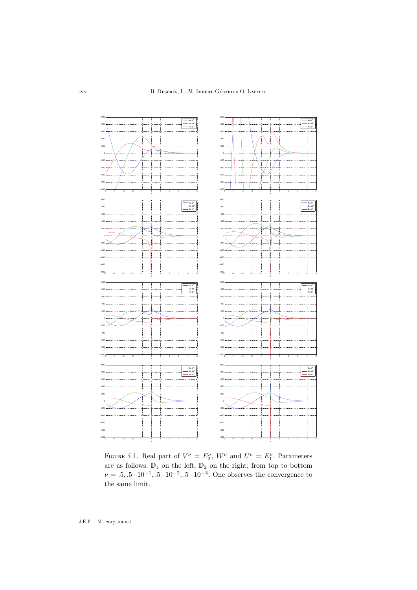

<span id="page-36-0"></span>FIGURE 4.1. Real part of  $V^{\nu} = E_2^{\nu}$ ,  $W^{\nu}$  and  $U^{\nu} = E_1^{\nu}$ . Parameters are as follows:  $\mathbb{D}_1$  on the left,  $\mathbb{D}_2$  on the right; from top to bottom  $\nu = .5, .5 \cdot 10^{-1}, .5 \cdot 10^{-2}, .5 \cdot 10^{-3}$ . One observes the convergence to the same limit.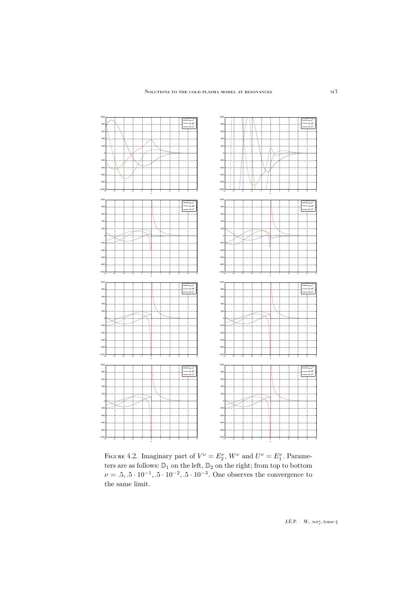

<span id="page-37-0"></span>FIGURE 4.2. Imaginary part of  $V^{\nu} = E_2^{\nu}$ ,  $W^{\nu}$  and  $U^{\nu} = E_1^{\nu}$ . Parameters are as follows:  $\mathbb{D}_1$  on the left,  $\mathbb{D}_2$  on the right; from top to bottom  $\nu = .5, .5 \cdot 10^{-1}, .5 \cdot 10^{-2}, .5 \cdot 10^{-3}$ . One observes the convergence to the same limit.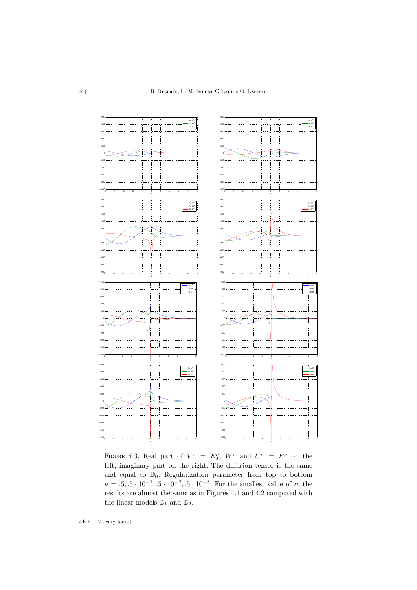

<span id="page-38-0"></span>FIGURE 4.3. Real part of  $V^{\nu} = E_2^{\nu}$ ,  $W^{\nu}$  and  $U^{\nu} = E_1^{\nu}$  on the left, imaginary part on the right. The diffusion tensor is the same and equal to  $\mathbb{D}_0$ . Regularization parameter from top to bottom  $\nu = .5, .5 \cdot 10^{-1}, .5 \cdot 10^{-2}, .5 \cdot 10^{-3}$ . For the smallest value of  $\nu$ , the results are almost the same as in Figures [4.1](#page-36-0) and [4.2](#page-37-0) computed with the linear models  $\mathbb{D}_1$  and  $\mathbb{D}_2.$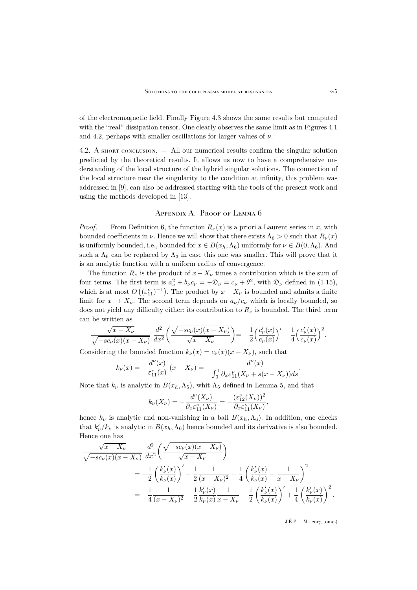of the electromagnetic field. Finally Figure [4.3](#page-38-0) shows the same results but computed with the "real" dissipation tensor. One clearly observes the same limit as in Figures [4.1](#page-36-0) and [4.2,](#page-37-0) perhaps with smaller oscillations for larger values of  $\nu$ .

4.2. A short conclusion. — All our numerical results confirm the singular solution predicted by the theoretical results. It allows us now to have a comprehensive understanding of the local structure of the hybrid singular solutions. The connection of the local structure near the singularity to the condition at infinity, this problem was addressed in [\[9\]](#page-45-1), can also be addressed starting with the tools of the present work and using the methods developed in [\[13\]](#page-45-15).

## Appendix A. Proof of Lemma [6](#page-16-0)

<span id="page-39-0"></span>*Proof.* — From Definition [6,](#page-15-2) the function  $R_{\nu}(x)$  is a priori a Laurent series in x, with bounded coefficients in  $\nu$ . Hence we will show that there exists  $\Lambda_6 > 0$  such that  $R_{\nu}(x)$ is uniformly bounded, i.e., bounded for  $x \in B(x_h, \Lambda_6)$  uniformly for  $\nu \in B(0, \Lambda_6)$ . And such a  $\Lambda_6$  can be replaced by  $\Lambda_3$  in case this one was smaller. This will prove that it is an analytic function with a uniform radius of convergence.

The function  $R_{\nu}$  is the product of  $x - X_{\nu}$  times a contribution which is the sum of four terms. The first term is  $a_{\nu}^2 + b_{\nu}c_{\nu} = -\mathfrak{D}_{\nu} = c_{\nu} + \theta^2$ , with  $\mathfrak{D}_{\nu}$  defined in [\(1.15\)](#page-7-2), which is at most  $O\left(\left(\epsilon_{11}^{\nu}\right)^{-1}\right)$ . The product by  $x - X_{\nu}$  is bounded and admits a finite limit for  $x \to X_{\nu}$ . The second term depends on  $a_{\nu}/c_{\nu}$  which is locally bounded, so does not yield any difficulty either: its contribution to  $R_{\nu}$  is bounded. The third term can be written as

$$
\frac{\sqrt{x-X_\nu}}{\sqrt{-sc_\nu(x)(x-X_\nu)}}\,\frac{d^2}{dx^2}\bigg(\frac{\sqrt{-sc_\nu(x)(x-X_\nu)}}{\sqrt{x-X_\nu}}\bigg)=-\frac{1}{2}\Big(\frac{c_\nu'(x)}{c_\nu(x)}\Big)'+\frac{1}{4}\Big(\frac{c_\nu'(x)}{c_\nu(x)}\Big)^2.
$$

Considering the bounded function  $k_{\nu}(x) = c_{\nu}(x)(x - X_{\nu})$ , such that

$$
k_{\nu}(x) = -\frac{d^{\nu}(x)}{\varepsilon_{11}^{\nu}(x)} (x - X_{\nu}) = -\frac{d^{\nu}(x)}{\int_0^1 \partial_x \varepsilon_{11}^{\nu}(X_{\nu} + s(x - X_{\nu})) ds}.
$$

Note that  $k_{\nu}$  is analytic in  $B(x_h, \Lambda_5)$ , whit  $\Lambda_5$  defined in Lemma [5,](#page-14-1) and that

$$
k_{\nu}(X_{\nu}) = -\frac{d^{\nu}(X_{\nu})}{\partial_{x}\varepsilon_{11}^{\nu}(X_{\nu})} = -\frac{(\varepsilon_{12}^{\nu}(X_{\nu}))^{2}}{\partial_{x}\varepsilon_{11}^{\nu}(X_{\nu})},
$$

hence  $k_{\nu}$  is analytic and non-vanishing in a ball  $B(x_h, \Lambda_6)$ . In addition, one checks that  $k'_{\nu}/k_{\nu}$  is analytic in  $B(x_h, \Lambda_6)$  hence bounded and its derivative is also bounded. Hence one has

$$
\frac{\sqrt{x - X_{\nu}}}{\sqrt{-sc_{\nu}(x)(x - X_{\nu})}} \frac{d^{2}}{dx^{2}} \left( \frac{\sqrt{-sc_{\nu}(x)(x - X_{\nu})}}{\sqrt{x - X_{\nu}}} \right)
$$
\n
$$
= -\frac{1}{2} \left( \frac{k'_{\nu}(x)}{k_{\nu}(x)} \right)' - \frac{1}{2} \frac{1}{(x - X_{\nu})^{2}} + \frac{1}{4} \left( \frac{k'_{\nu}(x)}{k_{\nu}(x)} - \frac{1}{x - X_{\nu}} \right)^{2}
$$
\n
$$
= -\frac{1}{4} \frac{1}{(x - X_{\nu})^{2}} - \frac{1}{2} \frac{k'_{\nu}(x)}{k_{\nu}(x)} \frac{1}{x - X_{\nu}} - \frac{1}{2} \left( \frac{k'_{\nu}(x)}{k_{\nu}(x)} \right)' + \frac{1}{4} \left( \frac{k'_{\nu}(x)}{k_{\nu}(x)} \right)^{2}.
$$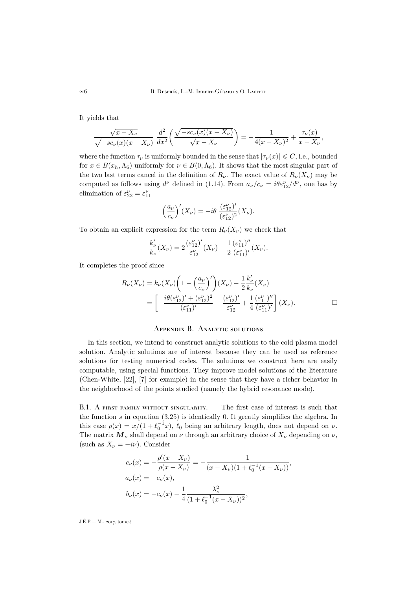216 B. Després, L.-M. Imbert-Gérard & O. Lafitte

It yields that

$$
\frac{\sqrt{x-X_{\nu}}}{\sqrt{-sc_{\nu}(x)(x-X_{\nu})}}\,\,\frac{d^2}{dx^2}\bigg(\frac{\sqrt{-sc_{\nu}(x)(x-X_{\nu})}}{\sqrt{x-X_{\nu}}}\bigg)=-\frac{1}{4(x-X_{\nu})^2}+\frac{\tau_{\nu}(x)}{x-X_{\nu}},
$$

where the function  $\tau_{\nu}$  is uniformly bounded in the sense that  $|\tau_{\nu}(x)| \leq C$ , i.e., bounded for  $x \in B(x_h, \Lambda_6)$  uniformly for  $\nu \in B(0, \Lambda_6)$ . It shows that the most singular part of the two last terms cancel in the definition of  $R_{\nu}$ . The exact value of  $R_{\nu}(X_{\nu})$  may be computed as follows using  $d^{\nu}$  defined in [\(1.14\)](#page-7-5). From  $a_{\nu}/c_{\nu} = i\theta \varepsilon_{12}^{\nu}/d^{\nu}$ , one has by elimination of  $\varepsilon_{22}^{\nu} = \varepsilon_{11}^{\nu}$ 

$$
\left(\frac{a_{\nu}}{c_{\nu}}\right)'(X_{\nu}) = -i\theta \frac{(\varepsilon_{12}^{\nu})'}{(\varepsilon_{12}^{\nu})^2}(X_{\nu}).
$$

To obtain an explicit expression for the term  $R_{\nu}(X_{\nu})$  we check that

$$
\frac{k'_{\nu}}{k_{\nu}}(X_{\nu}) = 2 \frac{(\varepsilon_{12}^{\nu})'}{\varepsilon_{12}^{\nu}}(X_{\nu}) - \frac{1}{2} \frac{(\varepsilon_{11}^{\nu})''}{(\varepsilon_{11}^{\nu})'}(X_{\nu}).
$$

It completes the proof since

$$
R_{\nu}(X_{\nu}) = k_{\nu}(X_{\nu}) \left( 1 - \left(\frac{a_{\nu}}{c_{\nu}}\right)' \right) (X_{\nu}) - \frac{1}{2} \frac{k'_{\nu}}{k_{\nu}} (X_{\nu})
$$
  
= 
$$
\left[ -\frac{i\theta(\varepsilon_{12}^{\nu})' + (\varepsilon_{12}^{\nu})^2}{(\varepsilon_{11}^{\nu})'} - \frac{(\varepsilon_{12}^{\nu})'}{\varepsilon_{12}^{\nu}} + \frac{1}{4} \frac{(\varepsilon_{11}^{\nu})''}{(\varepsilon_{11}^{\nu})'} \right] (X_{\nu}).
$$

### Appendix B. Analytic solutions

<span id="page-40-0"></span>In this section, we intend to construct analytic solutions to the cold plasma model solution. Analytic solutions are of interest because they can be used as reference solutions for testing numerical codes. The solutions we construct here are easily computable, using special functions. They improve model solutions of the literature (Chen-White, [\[22\]](#page-46-0), [\[7\]](#page-45-11) for example) in the sense that they have a richer behavior in the neighborhood of the points studied (namely the hybrid resonance mode).

B.1. A first family without singularity. — The first case of interest is such that the function  $s$  in equation  $(3.25)$  is identically 0. It greatly simplifies the algebra. In this case  $\rho(x) = x/(1 + \ell_0^{-1}x)$ ,  $\ell_0$  being an arbitrary length, does not depend on  $\nu$ . The matrix  $M_{\nu}$  shall depend on  $\nu$  through an arbitrary choice of  $X_{\nu}$  depending on  $\nu$ , (such as  $X_{\nu} = -i\nu$ ). Consider

$$
c_{\nu}(x) = -\frac{\rho'(x - X_{\nu})}{\rho(x - X_{\nu})} = -\frac{1}{(x - X_{\nu})(1 + \ell_0^{-1}(x - X_{\nu}))},
$$
  
\n
$$
a_{\nu}(x) = -c_{\nu}(x),
$$
  
\n
$$
b_{\nu}(x) = -c_{\nu}(x) - \frac{1}{4} \frac{\lambda_{\nu}^2}{(1 + \ell_0^{-1}(x - X_{\nu}))^2},
$$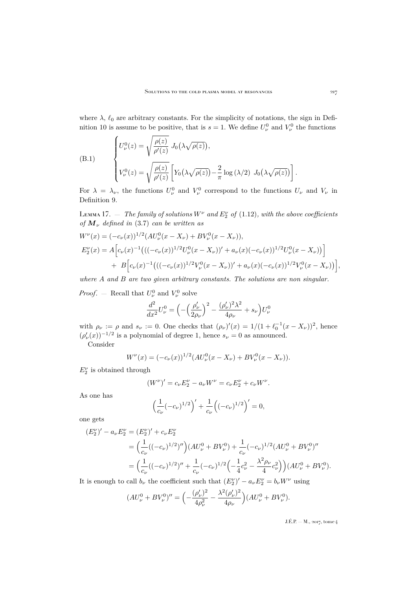where  $\lambda$ ,  $\ell_0$  are arbitrary constants. For the simplicity of notations, the sign in Defi-nition [10](#page-26-0) is assume to be positive, that is  $s = 1$ . We define  $U_{\nu}^0$  and  $V_{\nu}^0$  the functions

(B.1)  

$$
\begin{cases}\nU_{\nu}^{0}(z) = \sqrt{\frac{\rho(z)}{\rho'(z)}} J_{0}(\lambda \sqrt{\rho(z)}), \\
V_{\nu}^{0}(z) = \sqrt{\frac{\rho(z)}{\rho'(z)}} \left[ Y_{0}(\lambda \sqrt{\rho(z)}) - \frac{2}{\pi} \log (\lambda/2) J_{0}(\lambda \sqrt{\rho(z)}) \right].\n\end{cases}
$$

For  $\lambda = \lambda_{\nu}$ , the functions  $U_{\nu}^{0}$  and  $V_{\nu}^{0}$  correspond to the functions  $U_{\nu}$  and  $V_{\nu}$  in Definition [9.](#page-21-1)

 $\text{Lemma 17.}$  — *The family of solutions*  $W^{\nu}$  *and*  $E_2^{\nu}$  *of* [\(1.12\)](#page-7-0)*, with the above coefficients of*  $M_{\nu}$  *defined in* [\(3.7\)](#page-12-4) *can be written as* 

$$
W^{\nu}(x) = (-c_{\nu}(x))^{1/2} (AU_{\nu}^{0}(x - X_{\nu}) + BV_{\nu}^{0}(x - X_{\nu})),
$$
  
\n
$$
E_{2}^{\nu}(x) = A \Big[c_{\nu}(x)^{-1} \big(((-c_{\nu}(x))^{1/2} U_{\nu}^{0}(x - X_{\nu})\big)' + a_{\nu}(x)(-c_{\nu}(x))^{1/2} U_{\nu}^{0}(x - X_{\nu})\big)\Big] + B \Big[c_{\nu}(x)^{-1} \big(((-c_{\nu}(x))^{1/2} V_{\nu}^{0}(x - X_{\nu})\big)' + a_{\nu}(x)(-c_{\nu}(x))^{1/2} V_{\nu}^{0}(x - X_{\nu})\big)\Big],
$$

*where* A *and* B *are two given arbitrary constants. The solutions are non singular.*

*Proof.* – Recall that  $U^0_\nu$  and  $V^0_\nu$  solve

$$
\frac{d^2}{dx^2}U_\nu^0=\Bigl(-\Bigl(\frac{\rho_\nu'}{2\rho_\nu}\Bigr)^2-\frac{(\rho_\nu')^2\lambda^2}{4\rho_\nu}+s_\nu\Bigr)U_\nu^0
$$

with  $\rho_{\nu} := \rho$  and  $s_{\nu} := 0$ . One checks that  $(\rho_{\nu})'(x) = 1/(1 + \ell_0^{-1}(x - X_{\nu}))^2$ , hence  $(\rho'_\nu(x))^{-1/2}$  is a polynomial of degree 1, hence  $s_\nu = 0$  as announced.

Consider

$$
W^{\nu}(x) = (-c_{\nu}(x))^{1/2} (AU_{\nu}^{0}(x - X_{\nu}) + BV_{\nu}^{0}(x - X_{\nu})).
$$

 $E_2^{\nu}$  is obtained through

$$
(W^{\nu})' = c_{\nu} E_2^{\nu} - a_{\nu} W^{\nu} = c_{\nu} E_2^{\nu} + c_{\nu} W^{\nu}.
$$

As one has

$$
\left(\frac{1}{c_{\nu}}(-c_{\nu})^{1/2}\right)' + \frac{1}{c_{\nu}}\left((-c_{\nu})^{1/2}\right)' = 0,
$$

one gets

$$
(E_2^{\nu})' - a_{\nu} E_2^{\nu} = (E_2^{\nu})' + c_{\nu} E_2^{\nu}
$$
  
=  $\left(\frac{1}{c_{\nu}}((-c_{\nu})^{1/2})''\right) (AU_{\nu}^0 + BV_{\nu}^0) + \frac{1}{c_{\nu}}(-c_{\nu})^{1/2} (AU_{\nu}^0 + BV_{\nu}^0)''$   
=  $\left(\frac{1}{c_{\nu}}((-c_{\nu})^{1/2})'' + \frac{1}{c_{\nu}}(-c_{\nu})^{1/2}\left(-\frac{1}{4}c_{\nu}^2 - \frac{\lambda^2 \rho_{\nu}}{4}c_{\nu}^2\right)\right) (AU_{\nu}^0 + BV_{\nu}^0).$ 

It is enough to call  $b_{\nu}$  the coefficient such that  $(E_2^{\nu})' - a_{\nu} E_2^{\nu} = b_{\nu} W^{\nu}$  using

$$
(AU_{\nu}^{0} + BV_{\nu}^{0})'' = \left(-\frac{(\rho_{\nu}')^{2}}{4\rho_{\nu}^{2}} - \frac{\lambda^{2}(\rho_{\nu}')^{2}}{4\rho_{\nu}}\right)(AU_{\nu}^{0} + BV_{\nu}^{0}).
$$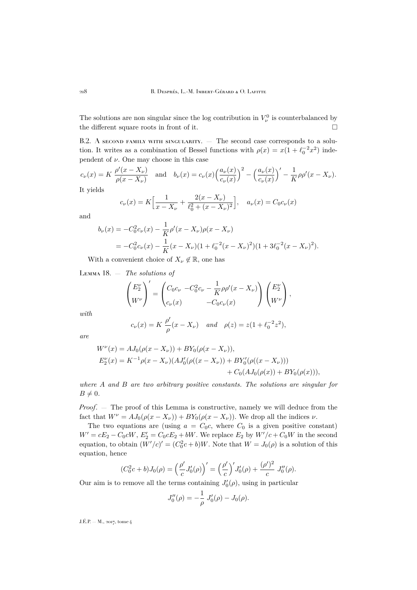The solutions are non singular since the log contribution in  $V^0_\nu$  is counterbalanced by the different square roots in front of it.  $\Box$ 

B.2. A second family with singularity. — The second case corresponds to a solution. It writes as a combination of Bessel functions with  $\rho(x) = x(1 + \ell_0^{-2}x^2)$  independent of  $\nu$ . One may choose in this case

$$
c_{\nu}(x) = K \frac{\rho'(x - X_{\nu})}{\rho(x - X_{\nu})} \quad \text{and} \quad b_{\nu}(x) = c_{\nu}(x) \left(\frac{a_{\nu}(x)}{c_{\nu}(x)}\right)^2 - \left(\frac{a_{\nu}(x)}{c_{\nu}(x)}\right)' - \frac{1}{K} \rho \rho'(x - X_{\nu}).
$$
  
It yields

 $c_{\nu}(x) = K\left[\frac{1}{x}\right]$  $\frac{1}{x - X_{\nu}} + \frac{2(x - X_{\nu})}{\ell_0^2 + (x - X_{\nu})}$  $\left[\frac{2(x - X_{\nu})}{\ell_0^2 + (x - X_{\nu})^2}\right], \quad a_{\nu}(x) = C_0 c_{\nu}(x)$ 

and

$$
b_{\nu}(x) = -C_0^2 c_{\nu}(x) - \frac{1}{K} \rho'(x - X_{\nu}) \rho(x - X_{\nu})
$$
  
= -C\_0^2 c\_{\nu}(x) - \frac{1}{K} (x - X\_{\nu})(1 + \ell\_0^{-2}(x - X\_{\nu})^2)(1 + 3\ell\_0^{-2}(x - X\_{\nu})^2).

With a convenient choice of  $X_{\nu} \notin \mathbb{R}$ , one has

Lemma 18. — *The solutions of*

$$
\begin{pmatrix} E_2^{\nu} \\ W^{\nu} \end{pmatrix}' = \begin{pmatrix} C_0 c_{\nu} & -C_0^2 c_{\nu} - \frac{1}{K} \rho \rho'(x - X_{\nu}) \\ c_{\nu}(x) & -C_0 c_{\nu}(x) \end{pmatrix} \begin{pmatrix} E_2^{\nu} \\ W^{\nu} \end{pmatrix},
$$

*with*

$$
c_{\nu}(x) = K \frac{\rho'}{\rho}(x - X_{\nu})
$$
 and  $\rho(z) = z(1 + \ell_0^{-2}z^2),$ 

*are*

$$
W^{\nu}(x) = AJ_0(\rho(x - X_{\nu})) + BY_0(\rho(x - X_{\nu})),
$$
  
\n
$$
E_2^{\nu}(x) = K^{-1}\rho(x - X_{\nu})(AJ_0'(\rho((x - X_{\nu})) + BY_0'(\rho((x - X_{\nu})))
$$
  
\n
$$
+ C_0(AJ_0(\rho(x)) + BY_0(\rho(x))),
$$

*where* A *and* B *are two arbitrary positive constants. The solutions are singular for*  $B \neq 0$ .

*Proof*. — The proof of this Lemma is constructive, namely we will deduce from the fact that  $W^{\nu} = AJ_0(\rho(x - X_{\nu})) + BY_0(\rho(x - X_{\nu}))$ . We drop all the indices  $\nu$ .

The two equations are (using  $a = C_0 c$ , where  $C_0$  is a given positive constant)  $W' = cE_2 - C_0cW, E'_2 = C_0cE_2 + bW$ . We replace  $E_2$  by  $W'/c + C_0W$  in the second equation, to obtain  $(W'/c)' = (C_0^2c + b)W$ . Note that  $W = J_0(\rho)$  is a solution of this equation, hence

$$
(C_0^2c+b)J_0(\rho) = \left(\frac{\rho'}{c}J_0'(\rho)\right)' = \left(\frac{\rho'}{c}\right)'J_0'(\rho) + \frac{(\rho')^2}{c}J_0''(\rho).
$$

Our aim is to remove all the terms containing  $J'_0(\rho)$ , using in particular

$$
J_0''(\rho) = -\frac{1}{\rho} J_0'(\rho) - J_0(\rho).
$$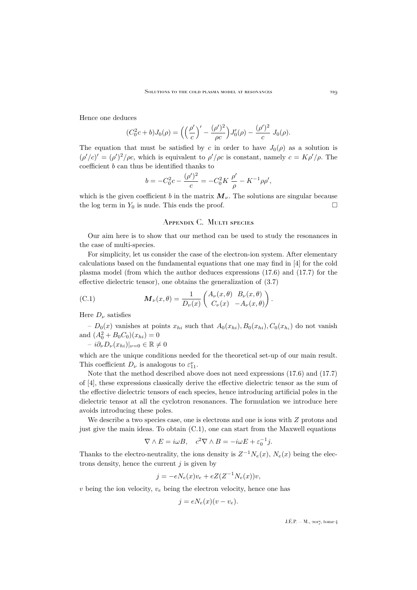Hence one deduces

$$
(C_0^2c+b)J_0(\rho) = \left(\left(\frac{\rho'}{c}\right)' - \frac{(\rho')^2}{\rho c}\right)J'_0(\rho) - \frac{(\rho')^2}{c}J_0(\rho).
$$

The equation that must be satisfied by c in order to have  $J_0(\rho)$  as a solution is  $(\rho'/c)' = (\rho')^2/\rho c$ , which is equivalent to  $\rho'/\rho c$  is constant, namely  $c = K \rho'/\rho$ . The coefficient  $b$  can thus be identified thanks to

$$
b = -C_0^2 c - \frac{(\rho')^2}{c} = -C_0^2 K \frac{\rho'}{\rho} - K^{-1} \rho \rho',
$$

which is the given coefficient b in the matrix  $\mathbf{M}_{\nu}$ . The solutions are singular because the log term in  $Y_0$  is nude. This ends the proof.

## Appendix C. Multi species

<span id="page-43-0"></span>Our aim here is to show that our method can be used to study the resonances in the case of multi-species.

For simplicity, let us consider the case of the electron-ion system. After elementary calculations based on the fundamental equations that one may find in [\[4\]](#page-45-5) for the cold plasma model (from which the author deduces expressions (17.6) and (17.7) for the effective dielectric tensor), one obtains the generalization of [\(3.7\)](#page-12-4)

<span id="page-43-1"></span>(C.1) 
$$
\mathbf{M}_{\nu}(x,\theta) = \frac{1}{D_{\nu}(x)} \begin{pmatrix} A_{\nu}(x,\theta) & B_{\nu}(x,\theta) \\ C_{\nu}(x) & -A_{\nu}(x,\theta) \end{pmatrix}.
$$

Here  $D_{\nu}$  satisfies

 $-D_0(x)$  vanishes at points  $x_{hi}$  such that  $A_0(x_{hi}), B_0(x_{hi}), C_0(x_{h_i})$  do not vanish and  $(A_0^2 + B_0 C_0)(x_{hi}) = 0$ 

$$
- i \partial_{\nu} D_{\nu}(x_{hi})|_{\nu=0} \in \mathbb{R} \neq 0
$$

which are the unique conditions needed for the theoretical set-up of our main result. This coefficient  $D_{\nu}$  is analogous to  $\varepsilon_{11}^{\nu}$ .

Note that the method described above does not need expressions (17.6) and (17.7) of [\[4\]](#page-45-5), these expressions classically derive the effective dielectric tensor as the sum of the effective dielectric tensors of each species, hence introducing artificial poles in the dielectric tensor at all the cyclotron resonances. The formulation we introduce here avoids introducing these poles.

We describe a two species case, one is electrons and one is ions with  $Z$  protons and just give the main ideas. To obtain [\(C.1\)](#page-43-1), one can start from the Maxwell equations

$$
\nabla \wedge E = i\omega B, \quad c^2 \nabla \wedge B = -i\omega E + \varepsilon_0^{-1} j.
$$

Thanks to the electro-neutrality, the ions density is  $Z^{-1}N_e(x)$ ,  $N_e(x)$  being the electrons density, hence the current  $j$  is given by

$$
j = -eN_e(x)v_e + eZ(Z^{-1}N_e(x))v,
$$

v being the ion velocity,  $v_e$  being the electron velocity, hence one has

$$
j = eN_e(x)(v - v_e).
$$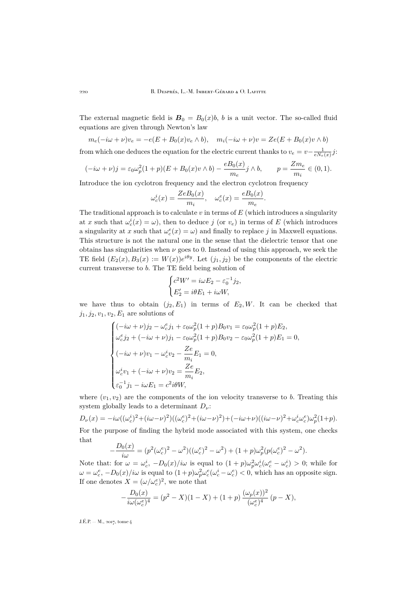The external magnetic field is  $B_0 = B_0(x)b$ , b is a unit vector. The so-called fluid equations are given through Newton's law

 $m_e(-i\omega + \nu)v_e = -e(E + B_0(x)v_e \wedge b), \quad m_i(-i\omega + \nu)v = Ze(E + B_0(x)v \wedge b)$ 

from which one deduces the equation for the electric current thanks to  $v_e = v - \frac{1}{eN_e(x)}j$ :

$$
(-i\omega + \nu)j = \varepsilon_0 \omega_p^2 (1+p)(E + B_0(x)v \wedge b) - \frac{eB_0(x)}{m_e}j \wedge b, \qquad p = \frac{Zm_e}{m_i} \in (0,1).
$$

Introduce the ion cyclotron frequency and the electron cyclotron frequency

$$
\omega_c^i(x) = \frac{ZeB_0(x)}{m_i}, \quad \omega_c^e(x) = \frac{eB_0(x)}{m_e}.
$$

The traditional approach is to calculate  $v$  in terms of  $E$  (which introduces a singularity at x such that  $\omega_c^i(x) = \omega$ , then to deduce j (or  $v_e$ ) in terms of E (which introduces a singularity at x such that  $\omega_c^e(x) = \omega$ ) and finally to replace j in Maxwell equations. This structure is not the natural one in the sense that the dielectric tensor that one obtains has singularities when  $\nu$  goes to 0. Instead of using this approach, we seek the TE field  $(E_2(x), B_3(x) := W(x))e^{i\theta y}$ . Let  $(j_1, j_2)$  be the components of the electric current transverse to b. The TE field being solution of

$$
\begin{cases} c^2 W' = i\omega E_2 - \varepsilon_0^{-1} j_2, \\ E'_2 = i\theta E_1 + i\omega W, \end{cases}
$$

we have thus to obtain  $(j_2, E_1)$  in terms of  $E_2, W$ . It can be checked that  $j_1, j_2, v_1, v_2, E_1$  are solutions of

$$
\begin{cases}\n(-i\omega + \nu)j_2 - \omega_c^e j_1 + \varepsilon_0 \omega_p^2 (1+p) B_0 v_1 = \varepsilon_0 \omega_p^2 (1+p) E_2, \\
\omega_c^e j_2 + (-i\omega + \nu) j_1 - \varepsilon_0 \omega_p^2 (1+p) B_0 v_2 - \varepsilon_0 \omega_p^2 (1+p) E_1 = 0, \\
(-i\omega + \nu) v_1 - \omega_c^i v_2 - \frac{Ze}{m_i} E_1 = 0, \\
\omega_c^i v_1 + (-i\omega + \nu) v_2 = \frac{Ze}{m_i} E_2, \\
\varepsilon_0^{-1} j_1 - i\omega E_1 = c^2 i\theta W,\n\end{cases}
$$

where  $(v_1, v_2)$  are the components of the ion velocity transverse to b. Treating this system globally leads to a determinant  $D_{\nu}$ :

 $D_{\nu}(x) = -i\omega((\omega_c^i)^2 + (i\omega - \nu)^2)((\omega_c^e)^2 + (i\omega - \nu)^2) + (-i\omega + \nu)((i\omega - \nu)^2 + \omega_c^i\omega_c^e)\omega_p^2(1+p).$ For the purpose of finding the hybrid mode associated with this system, one checks that

$$
-\frac{D_0(x)}{i\omega} = (p^2(\omega_c^e)^2 - \omega^2)((\omega_c^e)^2 - \omega^2) + (1+p)\omega_p^2(p(\omega_c^e)^2 - \omega^2).
$$

Note that: for  $\omega = \omega_c^i$ ,  $-D_0(x)/i\omega$  is equal to  $(1+p)\omega_p^2\omega_c^i(\omega_c^e - \omega_c^i) > 0$ ; while for  $\omega = \omega_c^e$ ,  $-D_0(x)/i\omega$  is equal to  $(1+p)\omega_p^2 \omega_c^e(\omega_c^i - \omega_c^e) < 0$ , which has an opposite sign. If one denotes  $X = (\omega/\omega_c^e)^2$ , we note that

$$
-\frac{D_0(x)}{i\omega(\omega_c^e)^4} = (p^2 - X)(1 - X) + (1 + p)\frac{(\omega_p(x))^2}{(\omega_c^e)^4}(p - X),
$$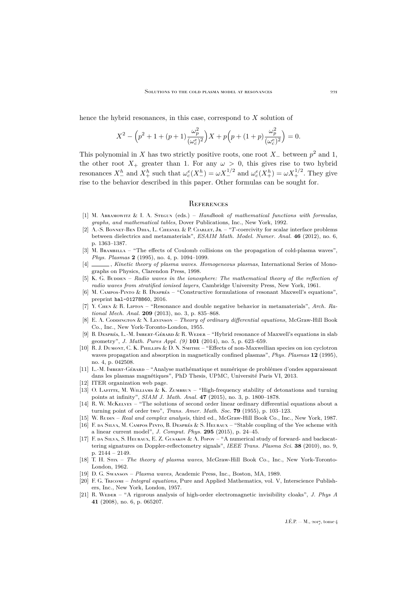hence the hybrid resonances, in this case, correspond to  $X$  solution of

$$
X^{2} - \left(p^{2} + 1 + (p+1)\frac{\omega_{p}^{2}}{(\omega_{c}^{e})^{2}}\right)X + p\left(p + (1+p)\frac{\omega_{p}^{2}}{(\omega_{c}^{e})^{2}}\right) = 0.
$$

This polynomial in X has two strictly positive roots, one root  $X_-\$  between  $p^2$  and 1, the other root  $X_+$  greater than 1. For any  $\omega > 0$ , this gives rise to two hybrid resonances  $X_{-}^h$  and  $X_{+}^h$  such that  $\omega_c^e(X_{-}^h) = \omega X_{-}^{1/2}$  and  $\omega_c^e(X_{+}^h) = \omega X_{+}^{1/2}$ . They give rise to the behavior described in this paper. Other formulas can be sought for.

#### <span id="page-45-0"></span>**REFERENCES**

- <span id="page-45-18"></span>[1] M. Abramowitz & I. A. Stegun (eds.) – *Handbook of mathematical functions with formulas, graphs, and mathematical tables*, Dover Publications, Inc., New York, 1992.
- <span id="page-45-12"></span>[2] A.-S. Bonnet-Ben Dhia, L. Chesnel & P. Ciarlet, Jr. – "T-coercivity for scalar interface problems between dielectrics and metamaterials", *ESAIM Math. Model. Numer. Anal.* **46** (2012), no. 6, p. 1363–1387.
- <span id="page-45-13"></span>[3] M. BRAMBILLA – "The effects of Coulomb collisions on the propagation of cold-plasma waves", *Phys. Plasmas* **2** (1995), no. 4, p. 1094–1099.
- <span id="page-45-5"></span>[4] , *Kinetic theory of plasma waves. Homogeneous plasmas*, International Series of Monographs on Physics, Clarendon Press, 1998.
- <span id="page-45-16"></span>[5] K. G. Budden – *Radio waves in the ionosphere: The mathematical theory of the reflection of radio waves from stratified ionised layers*, Cambridge University Press, New York, 1961.
- <span id="page-45-2"></span>[6] M. Campos-Pinto & B. Després – "Constructive formulations of resonant Maxwell's equations", preprint [hal-01278860](https://hal.archives-ouvertes.fr/hal-01278860), 2016.
- <span id="page-45-11"></span>[7] Y. Chen & R. Lipton – "Resonance and double negative behavior in metamaterials", *Arch. Rational Mech. Anal.* **209** (2013), no. 3, p. 835–868.
- <span id="page-45-14"></span>[8] E. A. Coppington & N. Levinson – *Theory of ordinary differential equations*, McGraw-Hill Book Co., Inc., New York-Toronto-London, 1955.
- <span id="page-45-1"></span>[9] B. DESPRÉS, L.-M. IMBERT-GÉRARD & R. WEDER – "Hybrid resonance of Maxwell's equations in slab geometry", *J. Math. Pures Appl. (9)* **101** (2014), no. 5, p. 623–659.
- <span id="page-45-9"></span>[10] R. J. DUMONT, C. K. PHILLIPS & D. N. SMITHE – "Effects of non-Maxwellian species on ion cyclotron waves propagation and absorption in magnetically confined plasmas", *Phys. Plasmas* **12** (1995), no. 4, p. 042508.
- <span id="page-45-21"></span>[11] L.-M. Imbert-Gérard – "Analyse mathématique et numérique de problémes d'ondes apparaissant dans les plasmas magnétiques", PhD Thesis, UPMC, Université Paris VI, 2013.
- <span id="page-45-6"></span>[12] [ITER organization web page.](http://www.iter.org/)
- <span id="page-45-15"></span>[13] O. Lafitte, M. Williams & K. Zumbrun – "High-frequency stability of detonations and turning points at infinity", *SIAM J. Math. Anal.* **47** (2015), no. 3, p. 1800–1878.
- <span id="page-45-19"></span>[14] R. W. McKELVEY – "The solutions of second order linear ordinary differential equations about a turning point of order two", *Trans. Amer. Math. Soc.* **79** (1955), p. 103–123.
- <span id="page-45-17"></span>[15] W. Rudin – *Real and complex analysis*, third ed., McGraw-Hill Book Co., Inc., New York, 1987.
- <span id="page-45-7"></span>[16] F. da Silva, M. Campos Pinto, B. Després & S. Heuraux – "Stable coupling of the Yee scheme with a linear current model", *J. Comput. Phys.* **295** (2015), p. 24–45.
- <span id="page-45-8"></span>[17] F. da Silva, S. Heuraux, E. Z. Gusakov & A. Popov – "A numerical study of forward- and backscattering signatures on Doppler-reflectometry signals", *IEEE Trans. Plasma Sci.* **38** (2010), no. 9, p. 2144 – 2149.
- <span id="page-45-3"></span>[18] T. H. Stix – *The theory of plasma waves*, McGraw-Hill Book Co., Inc., New York-Toronto-London, 1962.
- <span id="page-45-4"></span>[19] D. G. Swanson – *Plasma waves*, Academic Press, Inc., Boston, MA, 1989.
- <span id="page-45-20"></span>[20] F. G. Tricomi – *Integral equations*, Pure and Applied Mathematics, vol. V, Interscience Publishers, Inc., New York, London, 1957.
- <span id="page-45-10"></span>[21] R. Weder – "A rigorous analysis of high-order electromagnetic invisibility cloaks", *J. Phys A* **41** (2008), no. 6, p. 065207.